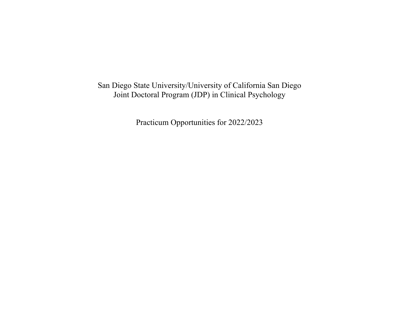San Diego State University/University of California San Diego Joint Doctoral Program (JDP) in Clinical Psychology

Practicum Opportunities for 2022/2023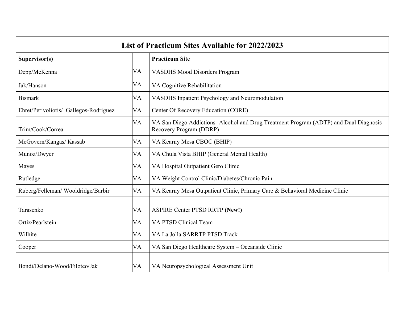| <b>List of Practicum Sites Available for 2022/2023</b> |           |                                                                                                                  |
|--------------------------------------------------------|-----------|------------------------------------------------------------------------------------------------------------------|
| Supervisor(s)                                          |           | <b>Practicum Site</b>                                                                                            |
| Depp/McKenna                                           | VA        | <b>VASDHS Mood Disorders Program</b>                                                                             |
| Jak/Hanson                                             | VA        | VA Cognitive Rehabilitation                                                                                      |
| <b>Bismark</b>                                         | VA        | VASDHS Inpatient Psychology and Neuromodulation                                                                  |
| Ehret/Perivoliotis/ Gallegos-Rodriguez                 | VA        | Center Of Recovery Education (CORE)                                                                              |
| Trim/Cook/Correa                                       | VA        | VA San Diego Addictions- Alcohol and Drug Treatment Program (ADTP) and Dual Diagnosis<br>Recovery Program (DDRP) |
| McGovern/Kangas/ Kassab                                | VA        | VA Kearny Mesa CBOC (BHIP)                                                                                       |
| Munoz/Dwyer                                            | VA        | VA Chula Vista BHIP (General Mental Health)                                                                      |
| Mayes                                                  | <b>VA</b> | VA Hospital Outpatient Gero Clinic                                                                               |
| Rutledge                                               | VA        | VA Weight Control Clinic/Diabetes/Chronic Pain                                                                   |
| Ruberg/Felleman/Wooldridge/Barbir                      | <b>VA</b> | VA Kearny Mesa Outpatient Clinic, Primary Care & Behavioral Medicine Clinic                                      |
| Tarasenko                                              | VA        | <b>ASPIRE Center PTSD RRTP (New!)</b>                                                                            |
| Ortiz/Pearlstein                                       | <b>VA</b> | VA PTSD Clinical Team                                                                                            |
| Wilhite                                                | <b>VA</b> | VA La Jolla SARRTP PTSD Track                                                                                    |
| Cooper                                                 | VA        | VA San Diego Healthcare System - Oceanside Clinic                                                                |
| Bondi/Delano-Wood/Filoteo/Jak                          | VA        | VA Neuropsychological Assessment Unit                                                                            |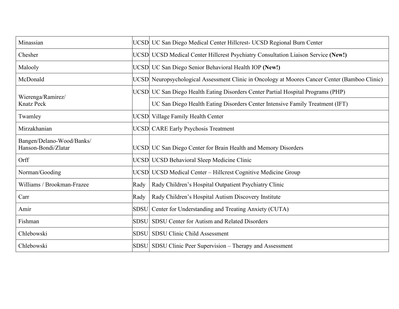| Minassian                                        |             | UCSD UC San Diego Medical Center Hillcrest- UCSD Regional Burn Center                         |
|--------------------------------------------------|-------------|-----------------------------------------------------------------------------------------------|
| Chesher                                          |             | UCSD UCSD Medical Center Hillcrest Psychiatry Consultation Liaison Service (New!)             |
| Malooly                                          |             | UCSD UC San Diego Senior Behavioral Health IOP (New!)                                         |
| McDonald                                         |             | UCSD Neuropsychological Assessment Clinic in Oncology at Moores Cancer Center (Bamboo Clinic) |
| Wierenga/Ramirez/                                |             | UCSD UC San Diego Health Eating Disorders Center Partial Hospital Programs (PHP)              |
| <b>Knatz Peck</b>                                |             | UC San Diego Health Eating Disorders Center Intensive Family Treatment (IFT)                  |
| Twamley                                          |             | UCSD Village Family Health Center                                                             |
| Mirzakhanian                                     |             | <b>UCSD</b> CARE Early Psychosis Treatment                                                    |
| Bangen/Delano-Wood/Banks/<br>Hanson-Bondi/Zlatar |             | UCSD UC San Diego Center for Brain Health and Memory Disorders                                |
| Orff                                             |             | UCSD UCSD Behavioral Sleep Medicine Clinic                                                    |
| Norman/Gooding                                   |             | UCSD UCSD Medical Center – Hillcrest Cognitive Medicine Group                                 |
| Williams / Brookman-Frazee                       | Rady        | Rady Children's Hospital Outpatient Psychiatry Clinic                                         |
| Carr                                             | Rady        | Rady Children's Hospital Autism Discovery Institute                                           |
| Amir                                             | <b>SDSU</b> | Center for Understanding and Treating Anxiety (CUTA)                                          |
| Fishman                                          | <b>SDSU</b> | SDSU Center for Autism and Related Disorders                                                  |
| Chlebowski                                       |             | SDSU SDSU Clinic Child Assessment                                                             |
| Chlebowski                                       |             | SDSU SDSU Clinic Peer Supervision – Therapy and Assessment                                    |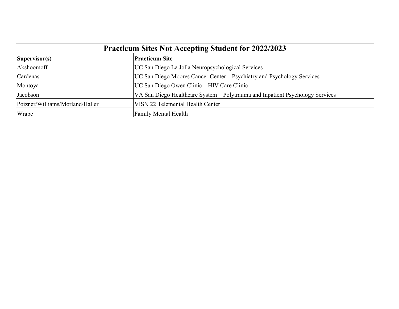| <b>Practicum Sites Not Accepting Student for 2022/2023</b> |                                                                               |  |
|------------------------------------------------------------|-------------------------------------------------------------------------------|--|
| Supervisor(s)                                              | <b>Practicum Site</b>                                                         |  |
| Akshoomoff                                                 | UC San Diego La Jolla Neuropsychological Services                             |  |
| Cardenas                                                   | UC San Diego Moores Cancer Center – Psychiatry and Psychology Services        |  |
| Montoya                                                    | UC San Diego Owen Clinic – HIV Care Clinic                                    |  |
| Jacobson                                                   | VA San Diego Healthcare System - Polytrauma and Inpatient Psychology Services |  |
| Poizner/Williams/Morland/Haller                            | VISN 22 Telemental Health Center                                              |  |
| Wrape                                                      | <b>Family Mental Health</b>                                                   |  |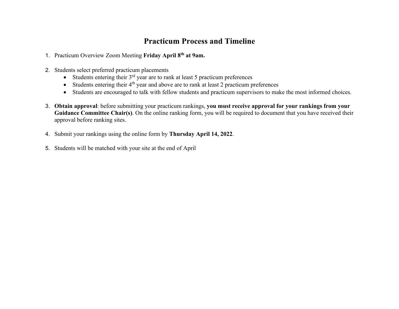### **Practicum Process and Timeline**

- 1. Practicum Overview Zoom Meeting **Friday April 8th at 9am.**
- 2. Students select preferred practicum placements
	- Students entering their  $3<sup>rd</sup>$  year are to rank at least 5 practicum preferences
	- Students entering their  $4<sup>th</sup>$  year and above are to rank at least 2 practicum preferences
	- Students are encouraged to talk with fellow students and practicum supervisors to make the most informed choices.
- 3. **Obtain approval**: before submitting your practicum rankings, **you must receive approval for your rankings from your Guidance Committee Chair(s)**. On the online ranking form, you will be required to document that you have received their approval before ranking sites.
- 4. Submit your rankings using the online form by **Thursday April 14, 2022**.
- 5. Students will be matched with your site at the end of April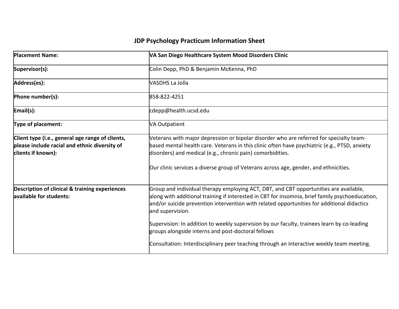| <b>Placement Name:</b>                                                                                                  | VA San Diego Healthcare System Mood Disorders Clinic                                                                                                                                                                                                                                                                                           |
|-------------------------------------------------------------------------------------------------------------------------|------------------------------------------------------------------------------------------------------------------------------------------------------------------------------------------------------------------------------------------------------------------------------------------------------------------------------------------------|
| Supervisor(s):                                                                                                          | Colin Depp, PhD & Benjamin McKenna, PhD                                                                                                                                                                                                                                                                                                        |
| Address(es):                                                                                                            | VASDHS La Jolla                                                                                                                                                                                                                                                                                                                                |
| Phone number(s):                                                                                                        | 858-822-4251                                                                                                                                                                                                                                                                                                                                   |
| Email(s):                                                                                                               | cdepp@health.ucsd.edu                                                                                                                                                                                                                                                                                                                          |
| Type of placement:                                                                                                      | <b>VA Outpatient</b>                                                                                                                                                                                                                                                                                                                           |
| Client type (i.e., general age range of clients,<br>please include racial and ethnic diversity of<br>clients if known): | Veterans with major depression or bipolar disorder who are referred for specialty team-<br>based mental health care. Veterans in this clinic often have psychiatric (e.g., PTSD, anxiety<br>disorders) and medical (e.g., chronic pain) comorbidities.<br>Our clinic services a diverse group of Veterans across age, gender, and ethnicities. |
|                                                                                                                         |                                                                                                                                                                                                                                                                                                                                                |
| Description of clinical & training experiences<br>available for students:                                               | Group and individual therapy employing ACT, DBT, and CBT opportunities are available,<br>along with additional training if interested in CBT for insomnia, brief family psychoeducation,<br>and/or suicide prevention intervention with related opportunities for additional didactics<br>and supervision.                                     |
|                                                                                                                         | Supervision: In addition to weekly supervision by our faculty, trainees learn by co-leading<br>groups alongside interns and post-doctoral fellows                                                                                                                                                                                              |
|                                                                                                                         | Consultation: Interdisciplinary peer teaching through an interactive weekly team meeting.                                                                                                                                                                                                                                                      |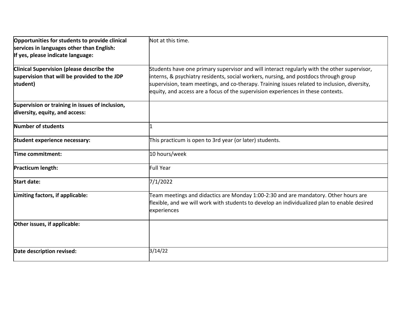| Opportunities for students to provide clinical<br>services in languages other than English:<br>If yes, please indicate language: | Not at this time.                                                                                                                                                                                                                                                                                                                                                       |
|----------------------------------------------------------------------------------------------------------------------------------|-------------------------------------------------------------------------------------------------------------------------------------------------------------------------------------------------------------------------------------------------------------------------------------------------------------------------------------------------------------------------|
| <b>Clinical Supervision (please describe the</b><br>supervision that will be provided to the JDP<br>student)                     | Students have one primary supervisor and will interact regularly with the other supervisor,<br>interns, & psychiatry residents, social workers, nursing, and postdocs through group<br>supervision, team meetings, and co-therapy. Training issues related to inclusion, diversity,<br>equity, and access are a focus of the supervision experiences in these contexts. |
| Supervision or training in issues of inclusion,<br>diversity, equity, and access:                                                |                                                                                                                                                                                                                                                                                                                                                                         |
| Number of students                                                                                                               |                                                                                                                                                                                                                                                                                                                                                                         |
| Student experience necessary:                                                                                                    | This practicum is open to 3rd year (or later) students.                                                                                                                                                                                                                                                                                                                 |
| Time commitment:                                                                                                                 | 10 hours/week                                                                                                                                                                                                                                                                                                                                                           |
| Practicum length:                                                                                                                | Full Year                                                                                                                                                                                                                                                                                                                                                               |
| <b>Start date:</b>                                                                                                               | 7/1/2022                                                                                                                                                                                                                                                                                                                                                                |
| Limiting factors, if applicable:                                                                                                 | Team meetings and didactics are Monday 1:00-2:30 and are mandatory. Other hours are<br>flexible, and we will work with students to develop an individualized plan to enable desired<br>experiences                                                                                                                                                                      |
| Other issues, if applicable:                                                                                                     |                                                                                                                                                                                                                                                                                                                                                                         |
| Date description revised:                                                                                                        | 3/14/22                                                                                                                                                                                                                                                                                                                                                                 |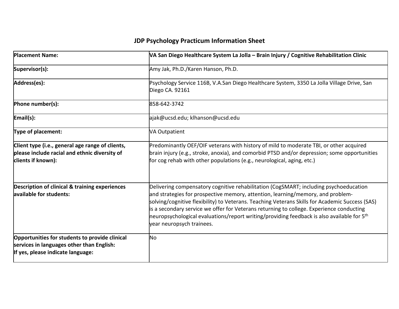| <b>Placement Name:</b>                                                                                                           | VA San Diego Healthcare System La Jolla - Brain Injury / Cognitive Rehabilitation Clinic                                                                                                                                                                                                                                                                                                                                                                                                             |
|----------------------------------------------------------------------------------------------------------------------------------|------------------------------------------------------------------------------------------------------------------------------------------------------------------------------------------------------------------------------------------------------------------------------------------------------------------------------------------------------------------------------------------------------------------------------------------------------------------------------------------------------|
| Supervisor(s):                                                                                                                   | Amy Jak, Ph.D./Karen Hanson, Ph.D.                                                                                                                                                                                                                                                                                                                                                                                                                                                                   |
| Address(es):                                                                                                                     | Psychology Service 116B, V.A.San Diego Healthcare System, 3350 La Jolla Village Drive, San<br>Diego CA. 92161                                                                                                                                                                                                                                                                                                                                                                                        |
| Phone number(s):                                                                                                                 | 858-642-3742                                                                                                                                                                                                                                                                                                                                                                                                                                                                                         |
| Email(s):                                                                                                                        | ajak@ucsd.edu; klhanson@ucsd.edu                                                                                                                                                                                                                                                                                                                                                                                                                                                                     |
| <b>Type of placement:</b>                                                                                                        | <b>VA Outpatient</b>                                                                                                                                                                                                                                                                                                                                                                                                                                                                                 |
| Client type (i.e., general age range of clients,<br>please include racial and ethnic diversity of<br>clients if known):          | Predominantly OEF/OIF veterans with history of mild to moderate TBI, or other acquired<br>brain injury (e.g., stroke, anoxia), and comorbid PTSD and/or depression; some opportunities<br>for cog rehab with other populations (e.g., neurological, aging, etc.)                                                                                                                                                                                                                                     |
| Description of clinical & training experiences<br>available for students:                                                        | Delivering compensatory cognitive rehabilitation (CogSMART; including psychoeducation<br>and strategies for prospective memory, attention, learning/memory, and problem-<br>solving/cognitive flexibility) to Veterans. Teaching Veterans Skills for Academic Success (SAS)<br>is a secondary service we offer for Veterans returning to college. Experience conducting<br>neuropsychological evaluations/report writing/providing feedback is also available for $5th$<br>year neuropsych trainees. |
| Opportunities for students to provide clinical<br>services in languages other than English:<br>If yes, please indicate language: | No                                                                                                                                                                                                                                                                                                                                                                                                                                                                                                   |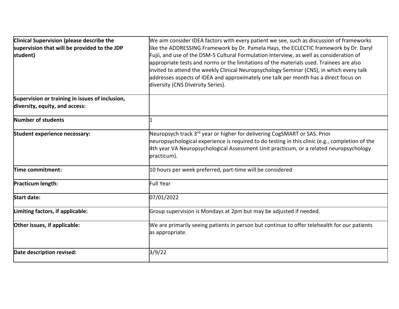| Clinical Supervision (please describe the<br>supervision that will be provided to the JDP<br>student) | We aim consider IDEA factors with every patient we see, such as discussion of frameworks<br>like the ADDRESSING Framework by Dr. Pamela Hays, the ECLECTIC framework by Dr. Daryl<br>Fujii, and use of the DSM-5 Cultural Formulation Interview, as well as consideration of<br>appropriate tests and norms or the limitations of the materials used. Trainees are also<br>invited to attend the weekly Clinical Neuropsychology Seminar (CNS), in which every talk<br>addresses aspects of IDEA and approximately one talk per month has a direct focus on<br>diversity (CNS Diversity Series). |
|-------------------------------------------------------------------------------------------------------|--------------------------------------------------------------------------------------------------------------------------------------------------------------------------------------------------------------------------------------------------------------------------------------------------------------------------------------------------------------------------------------------------------------------------------------------------------------------------------------------------------------------------------------------------------------------------------------------------|
| Supervision or training in issues of inclusion,<br>diversity, equity, and access:                     |                                                                                                                                                                                                                                                                                                                                                                                                                                                                                                                                                                                                  |
|                                                                                                       |                                                                                                                                                                                                                                                                                                                                                                                                                                                                                                                                                                                                  |
| Number of students                                                                                    |                                                                                                                                                                                                                                                                                                                                                                                                                                                                                                                                                                                                  |
| Student experience necessary:                                                                         | Neuropsych track 3 <sup>rd</sup> year or higher for delivering CogSMART or SAS. Prior<br>neuropsychological experience is required to do testing in this clinic (e.g., completion of the<br>4th year VA Neuropsychological Assessment Unit practicum, or a related neuropsychology<br>practicum).                                                                                                                                                                                                                                                                                                |
| Time commitment:                                                                                      | 10 hours per week preferred, part-time will be considered                                                                                                                                                                                                                                                                                                                                                                                                                                                                                                                                        |
| Practicum length:                                                                                     | <b>Full Year</b>                                                                                                                                                                                                                                                                                                                                                                                                                                                                                                                                                                                 |
| <b>Start date:</b>                                                                                    | 07/01/2022                                                                                                                                                                                                                                                                                                                                                                                                                                                                                                                                                                                       |
| Limiting factors, if applicable:                                                                      | Group supervision is Mondays at 2pm but may be adjusted if needed.                                                                                                                                                                                                                                                                                                                                                                                                                                                                                                                               |
| Other issues, if applicable:                                                                          | We are primarily seeing patients in person but continue to offer telehealth for our patients<br>as appropriate.                                                                                                                                                                                                                                                                                                                                                                                                                                                                                  |
| Date description revised:                                                                             | 3/9/22                                                                                                                                                                                                                                                                                                                                                                                                                                                                                                                                                                                           |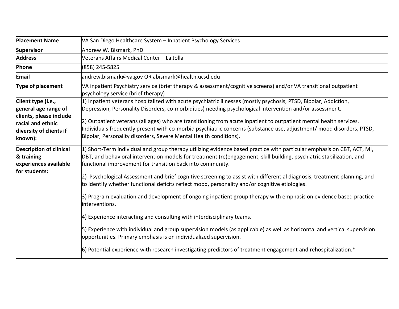| <b>Placement Name</b>                                                                                                            | VA San Diego Healthcare System - Inpatient Psychology Services                                                                                                                                                                                                                                                                                                                                                                                                                                                                                                                                                                                                                                                                                                                                                                                                                                                                                                                                                                                                                              |
|----------------------------------------------------------------------------------------------------------------------------------|---------------------------------------------------------------------------------------------------------------------------------------------------------------------------------------------------------------------------------------------------------------------------------------------------------------------------------------------------------------------------------------------------------------------------------------------------------------------------------------------------------------------------------------------------------------------------------------------------------------------------------------------------------------------------------------------------------------------------------------------------------------------------------------------------------------------------------------------------------------------------------------------------------------------------------------------------------------------------------------------------------------------------------------------------------------------------------------------|
| <b>Supervisor</b>                                                                                                                | Andrew W. Bismark, PhD                                                                                                                                                                                                                                                                                                                                                                                                                                                                                                                                                                                                                                                                                                                                                                                                                                                                                                                                                                                                                                                                      |
| <b>Address</b>                                                                                                                   | Veterans Affairs Medical Center - La Jolla                                                                                                                                                                                                                                                                                                                                                                                                                                                                                                                                                                                                                                                                                                                                                                                                                                                                                                                                                                                                                                                  |
| Phone                                                                                                                            | (858) 245-5825                                                                                                                                                                                                                                                                                                                                                                                                                                                                                                                                                                                                                                                                                                                                                                                                                                                                                                                                                                                                                                                                              |
| Email                                                                                                                            | andrew.bismark@va.gov OR abismark@health.ucsd.edu                                                                                                                                                                                                                                                                                                                                                                                                                                                                                                                                                                                                                                                                                                                                                                                                                                                                                                                                                                                                                                           |
| Type of placement                                                                                                                | VA inpatient Psychiatry service (brief therapy & assessment/cognitive screens) and/or VA transitional outpatient<br>psychology service (brief therapy)                                                                                                                                                                                                                                                                                                                                                                                                                                                                                                                                                                                                                                                                                                                                                                                                                                                                                                                                      |
| Client type (i.e.,<br>general age range of<br>clients, please include<br>racial and ethnic<br>diversity of clients if<br>known): | $ 1\rangle$ Inpatient veterans hospitalized with acute psychiatric illnesses (mostly psychosis, PTSD, Bipolar, Addiction,<br>Depression, Personality Disorders, co-morbidities) needing psychological intervention and/or assessment.<br>[2] Outpatient veterans (all ages) who are transitioning from acute inpatient to outpatient mental health services.<br>Individuals frequently present with co-morbid psychiatric concerns (substance use, adjustment/ mood disorders, PTSD,<br>Bipolar, Personality disorders, Severe Mental Health conditions).                                                                                                                                                                                                                                                                                                                                                                                                                                                                                                                                   |
| <b>Description of clinical</b><br>& training<br>experiences available<br>for students:                                           | $ 1\rangle$ Short-Term individual and group therapy utilizing evidence based practice with particular emphasis on CBT, ACT, MI,<br>DBT, and behavioral intervention models for treatment (re)engagement, skill building, psychiatric stabilization, and<br>functional improvement for transition back into community.<br>2) Psychological Assessment and brief cognitive screening to assist with differential diagnosis, treatment planning, and<br>to identify whether functional deficits reflect mood, personality and/or cognitive etiologies.<br>3) Program evaluation and development of ongoing inpatient group therapy with emphasis on evidence based practice<br>interventions.<br>4) Experience interacting and consulting with interdisciplinary teams.<br>5) Experience with individual and group supervision models (as applicable) as well as horizontal and vertical supervision<br>opportunities. Primary emphasis is on individualized supervision.<br>$ 6 $ Potential experience with research investigating predictors of treatment engagement and rehospitalization.* |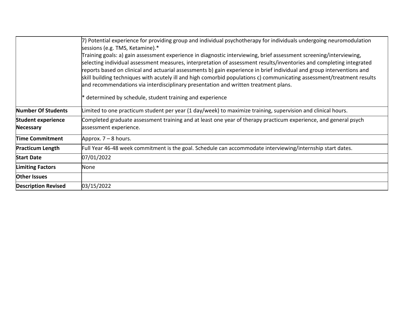|                            | 7) Potential experience for providing group and individual psychotherapy for individuals undergoing neuromodulation<br>sessions (e.g. TMS, Ketamine).*                                                                                                                                                                                                                                                                                                                                                                                                                                |
|----------------------------|---------------------------------------------------------------------------------------------------------------------------------------------------------------------------------------------------------------------------------------------------------------------------------------------------------------------------------------------------------------------------------------------------------------------------------------------------------------------------------------------------------------------------------------------------------------------------------------|
|                            | Training goals: a) gain assessment experience in diagnostic interviewing, brief assessment screening/interviewing,<br>selecting individual assessment measures, interpretation of assessment results/inventories and completing integrated<br>reports based on clinical and actuarial assessments b) gain experience in brief individual and group interventions and<br>skill building techniques with acutely ill and high comorbid populations c) communicating assessment/treatment results<br>and recommendations via interdisciplinary presentation and written treatment plans. |
|                            | determined by schedule, student training and experience                                                                                                                                                                                                                                                                                                                                                                                                                                                                                                                               |
| Number Of Students         | imited to one practicum student per year (1 day/week) to maximize training, supervision and clinical hours.                                                                                                                                                                                                                                                                                                                                                                                                                                                                           |
| <b>Student experience</b>  | Completed graduate assessment training and at least one year of therapy practicum experience, and general psych                                                                                                                                                                                                                                                                                                                                                                                                                                                                       |
| Necessary                  | assessment experience.                                                                                                                                                                                                                                                                                                                                                                                                                                                                                                                                                                |
| <b>Time Commitment</b>     | Approx. $7 - 8$ hours.                                                                                                                                                                                                                                                                                                                                                                                                                                                                                                                                                                |
| <b>Practicum Length</b>    | Full Year 46-48 week commitment is the goal. Schedule can accommodate interviewing/internship start dates.                                                                                                                                                                                                                                                                                                                                                                                                                                                                            |
| <b>Start Date</b>          | 07/01/2022                                                                                                                                                                                                                                                                                                                                                                                                                                                                                                                                                                            |
| <b>Limiting Factors</b>    | None                                                                                                                                                                                                                                                                                                                                                                                                                                                                                                                                                                                  |
| <b>Other Issues</b>        |                                                                                                                                                                                                                                                                                                                                                                                                                                                                                                                                                                                       |
| <b>Description Revised</b> | 03/15/2022                                                                                                                                                                                                                                                                                                                                                                                                                                                                                                                                                                            |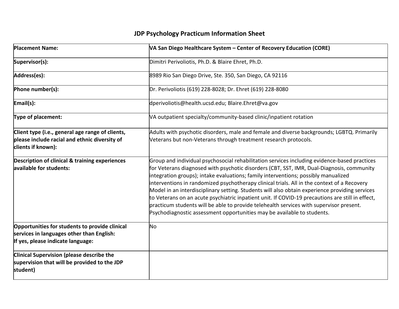| <b>Placement Name:</b>                                                                                                           | VA San Diego Healthcare System - Center of Recovery Education (CORE)                                                                                                                                                                                                                                                                                                                                                                                                                                                                                                                                                                                                                                                                                       |
|----------------------------------------------------------------------------------------------------------------------------------|------------------------------------------------------------------------------------------------------------------------------------------------------------------------------------------------------------------------------------------------------------------------------------------------------------------------------------------------------------------------------------------------------------------------------------------------------------------------------------------------------------------------------------------------------------------------------------------------------------------------------------------------------------------------------------------------------------------------------------------------------------|
| Supervisor(s):                                                                                                                   | Dimitri Perivoliotis, Ph.D. & Blaire Ehret, Ph.D.                                                                                                                                                                                                                                                                                                                                                                                                                                                                                                                                                                                                                                                                                                          |
| Address(es):                                                                                                                     | 8989 Rio San Diego Drive, Ste. 350, San Diego, CA 92116                                                                                                                                                                                                                                                                                                                                                                                                                                                                                                                                                                                                                                                                                                    |
| Phone number(s):                                                                                                                 | Dr. Perivoliotis (619) 228-8028; Dr. Ehret (619) 228-8080                                                                                                                                                                                                                                                                                                                                                                                                                                                                                                                                                                                                                                                                                                  |
| Email(s):                                                                                                                        | dperivoliotis@health.ucsd.edu; Blaire.Ehret@va.gov                                                                                                                                                                                                                                                                                                                                                                                                                                                                                                                                                                                                                                                                                                         |
| Type of placement:                                                                                                               | VA outpatient specialty/community-based clinic/inpatient rotation                                                                                                                                                                                                                                                                                                                                                                                                                                                                                                                                                                                                                                                                                          |
| Client type (i.e., general age range of clients,<br>please include racial and ethnic diversity of<br>clients if known):          | Adults with psychotic disorders, male and female and diverse backgrounds; LGBTQ. Primarily<br>Veterans but non-Veterans through treatment research protocols.                                                                                                                                                                                                                                                                                                                                                                                                                                                                                                                                                                                              |
| <b>Description of clinical &amp; training experiences</b><br>available for students:                                             | Group and individual psychosocial rehabilitation services including evidence-based practices<br>for Veterans diagnosed with psychotic disorders (CBT, SST, IMR, Dual-Diagnosis, community<br>integration groups); intake evaluations; family interventions; possibly manualized<br>interventions in randomized psychotherapy clinical trials. All in the context of a Recovery<br>Model in an interdisciplinary setting. Students will also obtain experience providing services<br>to Veterans on an acute psychiatric inpatient unit. If COVID-19 precautions are still in effect,<br>practicum students will be able to provide telehealth services with supervisor present.<br>Psychodiagnostic assessment opportunities may be available to students. |
| Opportunities for students to provide clinical<br>services in languages other than English:<br>If yes, please indicate language: | No                                                                                                                                                                                                                                                                                                                                                                                                                                                                                                                                                                                                                                                                                                                                                         |
| <b>Clinical Supervision (please describe the</b><br>supervision that will be provided to the JDP<br>student)                     |                                                                                                                                                                                                                                                                                                                                                                                                                                                                                                                                                                                                                                                                                                                                                            |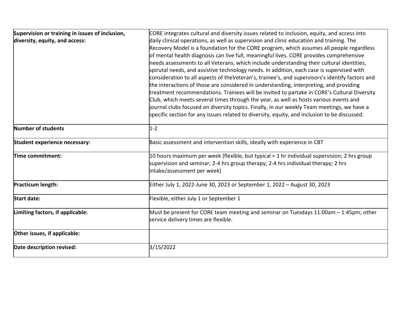| Supervision or training in issues of inclusion, | CORE integrates cultural and diversity issues related to inclusion, equity, and access into     |
|-------------------------------------------------|-------------------------------------------------------------------------------------------------|
| diversity, equity, and access:                  | daily clinical operations, as well as supervision and clinic education and training. The        |
|                                                 | Recovery Model is a foundation for the CORE program, which assumes all people regardless        |
|                                                 | of mental health diagnosis can live full, meaningful lives. CORE provides comprehensive         |
|                                                 | needs assessments to all Veterans, which include understanding their cultural identities,       |
|                                                 | spirutal needs, and assistive technology needs. In addition, each case is supervised with       |
|                                                 | consideration to all aspects of theVeteran's, trainee's, and supervisors's identify factors and |
|                                                 | the interactions of those are considered in understanding, interpreting, and providing          |
|                                                 | treatment recommendations. Trainees will be invited to partake in CORE's Cultural Diversity     |
|                                                 | Club, which meets several times through the year, as well as hosts various events and           |
|                                                 | journal clubs focused on diversity topics. Finally, in our weekly Team meetings, we have a      |
|                                                 | specific section for any issues related to diversity, equity, and inclusion to be discussed.    |
|                                                 |                                                                                                 |
| Number of students                              | $1 - 2$                                                                                         |
| Student experience necessary:                   | Basic assessment and intervention skills, ideally with experience in CBT                        |
| Time commitment:                                | 10 hours maximum per week (flexible, but typical = 1 hr individual supervision; 2 hrs group     |
|                                                 | supervision and seminar; 2-4 hrs group therapy; 2-4 hrs individual therapy; 2 hrs               |
|                                                 | intake/assessment per week)                                                                     |
|                                                 |                                                                                                 |
| Practicum length:                               | Either July 1, 2022-June 30, 2023 or September 1, 2022 - August 30, 2023                        |
| <b>Start date:</b>                              | Flexible, either July 1 or September 1                                                          |
| Limiting factors, if applicable:                | Must be present for CORE team meeting and seminar on Tuesdays 11:00am – 1:45pm; other           |
|                                                 | service delivery times are flexible.                                                            |
|                                                 |                                                                                                 |
| Other issues, if applicable:                    |                                                                                                 |
| Date description revised:                       | 3/15/2022                                                                                       |
|                                                 |                                                                                                 |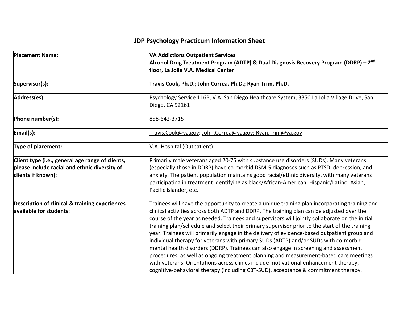| <b>Placement Name:</b>                                                                                                  | <b>VA Addictions Outpatient Services</b><br>Alcohol Drug Treatment Program (ADTP) & Dual Diagnosis Recovery Program (DDRP) - 2 <sup>nd</sup><br>floor, La Jolla V.A. Medical Center                                                                                                                                                                                                                                                                                                                                                                                                                                                                                                                                                                                                                                                                                                                                                                 |
|-------------------------------------------------------------------------------------------------------------------------|-----------------------------------------------------------------------------------------------------------------------------------------------------------------------------------------------------------------------------------------------------------------------------------------------------------------------------------------------------------------------------------------------------------------------------------------------------------------------------------------------------------------------------------------------------------------------------------------------------------------------------------------------------------------------------------------------------------------------------------------------------------------------------------------------------------------------------------------------------------------------------------------------------------------------------------------------------|
| Supervisor(s):                                                                                                          | Travis Cook, Ph.D.; John Correa, Ph.D.; Ryan Trim, Ph.D.                                                                                                                                                                                                                                                                                                                                                                                                                                                                                                                                                                                                                                                                                                                                                                                                                                                                                            |
| Address(es):                                                                                                            | Psychology Service 116B, V.A. San Diego Healthcare System, 3350 La Jolla Village Drive, San<br>Diego, CA 92161                                                                                                                                                                                                                                                                                                                                                                                                                                                                                                                                                                                                                                                                                                                                                                                                                                      |
| Phone number(s):                                                                                                        | 858-642-3715                                                                                                                                                                                                                                                                                                                                                                                                                                                                                                                                                                                                                                                                                                                                                                                                                                                                                                                                        |
| Email(s):                                                                                                               | Travis.Cook@va.gov; John.Correa@va.gov; Ryan.Trim@va.gov                                                                                                                                                                                                                                                                                                                                                                                                                                                                                                                                                                                                                                                                                                                                                                                                                                                                                            |
| Type of placement:                                                                                                      | V.A. Hospital (Outpatient)                                                                                                                                                                                                                                                                                                                                                                                                                                                                                                                                                                                                                                                                                                                                                                                                                                                                                                                          |
| Client type (i.e., general age range of clients,<br>please include racial and ethnic diversity of<br>clients if known): | Primarily male veterans aged 20-75 with substance use disorders (SUDs). Many veterans<br>(especially those in DDRP) have co-morbid DSM-5 diagnoses such as PTSD, depression, and<br>anxiety. The patient population maintains good racial/ethnic diversity, with many veterans<br>participating in treatment identifying as black/African-American, Hispanic/Latino, Asian,<br>Pacific Islander, etc.                                                                                                                                                                                                                                                                                                                                                                                                                                                                                                                                               |
| <b>Description of clinical &amp; training experiences</b><br>available for students:                                    | Trainees will have the opportunity to create a unique training plan incorporating training and<br>clinical activities across both ADTP and DDRP. The training plan can be adjusted over the<br>course of the year as needed. Trainees and supervisors will jointly collaborate on the initial<br>training plan/schedule and select their primary supervisor prior to the start of the training<br>year. Trainees will primarily engage in the delivery of evidence-based outpatient group and<br>individual therapy for veterans with primary SUDs (ADTP) and/or SUDs with co-morbid<br>mental health disorders (DDRP). Trainees can also engage in screening and assessment<br>procedures, as well as ongoing treatment planning and measurement-based care meetings<br>with veterans. Orientations across clinics include motivational enhancement therapy,<br>cognitive-behavioral therapy (including CBT-SUD), acceptance & commitment therapy, |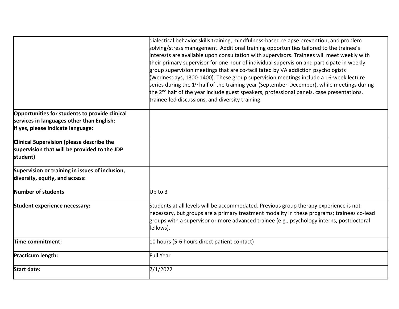|                                                  | dialectical behavior skills training, mindfulness-based relapse prevention, and problem<br>solving/stress management. Additional training opportunities tailored to the trainee's<br>interests are available upon consultation with supervisors. Trainees will meet weekly with<br>their primary supervisor for one hour of individual supervision and participate in weekly<br>group supervision meetings that are co-facilitated by VA addiction psychologists<br>(Wednesdays, 1300-1400). These group supervision meetings include a 16-week lecture<br>series during the $1st$ half of the training year (September-December), while meetings during<br>the $2nd$ half of the year include guest speakers, professional panels, case presentations,<br>trainee-led discussions, and diversity training. |
|--------------------------------------------------|-------------------------------------------------------------------------------------------------------------------------------------------------------------------------------------------------------------------------------------------------------------------------------------------------------------------------------------------------------------------------------------------------------------------------------------------------------------------------------------------------------------------------------------------------------------------------------------------------------------------------------------------------------------------------------------------------------------------------------------------------------------------------------------------------------------|
| Opportunities for students to provide clinical   |                                                                                                                                                                                                                                                                                                                                                                                                                                                                                                                                                                                                                                                                                                                                                                                                             |
| services in languages other than English:        |                                                                                                                                                                                                                                                                                                                                                                                                                                                                                                                                                                                                                                                                                                                                                                                                             |
| If yes, please indicate language:                |                                                                                                                                                                                                                                                                                                                                                                                                                                                                                                                                                                                                                                                                                                                                                                                                             |
| <b>Clinical Supervision (please describe the</b> |                                                                                                                                                                                                                                                                                                                                                                                                                                                                                                                                                                                                                                                                                                                                                                                                             |
| supervision that will be provided to the JDP     |                                                                                                                                                                                                                                                                                                                                                                                                                                                                                                                                                                                                                                                                                                                                                                                                             |
| student)                                         |                                                                                                                                                                                                                                                                                                                                                                                                                                                                                                                                                                                                                                                                                                                                                                                                             |
| Supervision or training in issues of inclusion,  |                                                                                                                                                                                                                                                                                                                                                                                                                                                                                                                                                                                                                                                                                                                                                                                                             |
| diversity, equity, and access:                   |                                                                                                                                                                                                                                                                                                                                                                                                                                                                                                                                                                                                                                                                                                                                                                                                             |
| Number of students                               | Up to 3                                                                                                                                                                                                                                                                                                                                                                                                                                                                                                                                                                                                                                                                                                                                                                                                     |
| Student experience necessary:                    | Students at all levels will be accommodated. Previous group therapy experience is not                                                                                                                                                                                                                                                                                                                                                                                                                                                                                                                                                                                                                                                                                                                       |
|                                                  | necessary, but groups are a primary treatment modality in these programs; trainees co-lead                                                                                                                                                                                                                                                                                                                                                                                                                                                                                                                                                                                                                                                                                                                  |
|                                                  | groups with a supervisor or more advanced trainee (e.g., psychology interns, postdoctoral                                                                                                                                                                                                                                                                                                                                                                                                                                                                                                                                                                                                                                                                                                                   |
|                                                  | fellows).                                                                                                                                                                                                                                                                                                                                                                                                                                                                                                                                                                                                                                                                                                                                                                                                   |
| Time commitment:                                 | 10 hours (5-6 hours direct patient contact)                                                                                                                                                                                                                                                                                                                                                                                                                                                                                                                                                                                                                                                                                                                                                                 |
| Practicum length:                                | <b>Full Year</b>                                                                                                                                                                                                                                                                                                                                                                                                                                                                                                                                                                                                                                                                                                                                                                                            |
| <b>Start date:</b>                               | 7/1/2022                                                                                                                                                                                                                                                                                                                                                                                                                                                                                                                                                                                                                                                                                                                                                                                                    |
|                                                  |                                                                                                                                                                                                                                                                                                                                                                                                                                                                                                                                                                                                                                                                                                                                                                                                             |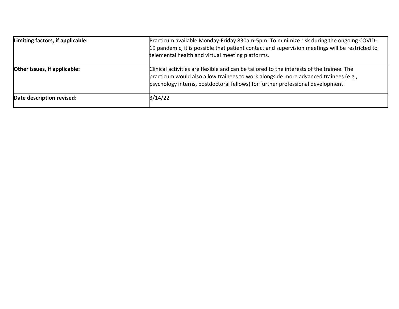| Limiting factors, if applicable: | Practicum available Monday-Friday 830am-5pm. To minimize risk during the ongoing COVID-<br>19 pandemic, it is possible that patient contact and supervision meetings will be restricted to<br>telemental health and virtual meeting platforms.                      |
|----------------------------------|---------------------------------------------------------------------------------------------------------------------------------------------------------------------------------------------------------------------------------------------------------------------|
| Other issues, if applicable:     | Clinical activities are flexible and can be tailored to the interests of the trainee. The<br>practicum would also allow trainees to work alongside more advanced trainees (e.g.,<br>psychology interns, postdoctoral fellows) for further professional development. |
| Date description revised:        | 3/14/22                                                                                                                                                                                                                                                             |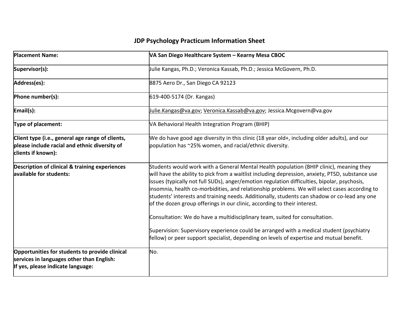| <b>Placement Name:</b>                                                                                                           | VA San Diego Healthcare System - Kearny Mesa CBOC                                                                                                                                                                                                                                                                                                                                                                                                                                                                                                                                                                                                                                                                                                                                                                                               |
|----------------------------------------------------------------------------------------------------------------------------------|-------------------------------------------------------------------------------------------------------------------------------------------------------------------------------------------------------------------------------------------------------------------------------------------------------------------------------------------------------------------------------------------------------------------------------------------------------------------------------------------------------------------------------------------------------------------------------------------------------------------------------------------------------------------------------------------------------------------------------------------------------------------------------------------------------------------------------------------------|
| Supervisor(s):                                                                                                                   | Julie Kangas, Ph.D.; Veronica Kassab, Ph.D.; Jessica McGovern, Ph.D.                                                                                                                                                                                                                                                                                                                                                                                                                                                                                                                                                                                                                                                                                                                                                                            |
| Address(es):                                                                                                                     | 8875 Aero Dr., San Diego CA 92123                                                                                                                                                                                                                                                                                                                                                                                                                                                                                                                                                                                                                                                                                                                                                                                                               |
| Phone number(s):                                                                                                                 | 619-400-5174 (Dr. Kangas)                                                                                                                                                                                                                                                                                                                                                                                                                                                                                                                                                                                                                                                                                                                                                                                                                       |
| Email(s):                                                                                                                        | <u>Julie.Kangas@va.gov; Veronica.Kassab@va.gov</u> ; Jessica.Mcgovern@va.gov                                                                                                                                                                                                                                                                                                                                                                                                                                                                                                                                                                                                                                                                                                                                                                    |
| Type of placement:                                                                                                               | VA Behavioral Health Integration Program (BHIP)                                                                                                                                                                                                                                                                                                                                                                                                                                                                                                                                                                                                                                                                                                                                                                                                 |
| Client type (i.e., general age range of clients,<br>please include racial and ethnic diversity of<br>clients if known):          | We do have good age diversity in this clinic (18 year old+, including older adults), and our<br>population has ~25% women, and racial/ethnic diversity.                                                                                                                                                                                                                                                                                                                                                                                                                                                                                                                                                                                                                                                                                         |
| Description of clinical & training experiences<br>available for students:                                                        | Students would work with a General Mental Health population (BHIP clinic), meaning they<br>will have the ability to pick from a waitlist including depression, anxiety, PTSD, substance use<br>issues (typically not full SUDs), anger/emotion regulation difficulties, bipolar, psychosis,<br>insomnia, health co-morbidities, and relationship problems. We will select cases according to<br>students' interests and training needs. Additionally, students can shadow or co-lead any one<br>of the dozen group offerings in our clinic, according to their interest.<br>Consultation: We do have a multidisciplinary team, suited for consultation.<br>Supervision: Supervisory experience could be arranged with a medical student (psychiatry<br>fellow) or peer support specialist, depending on levels of expertise and mutual benefit. |
| Opportunities for students to provide clinical<br>services in languages other than English:<br>If yes, please indicate language: | No.                                                                                                                                                                                                                                                                                                                                                                                                                                                                                                                                                                                                                                                                                                                                                                                                                                             |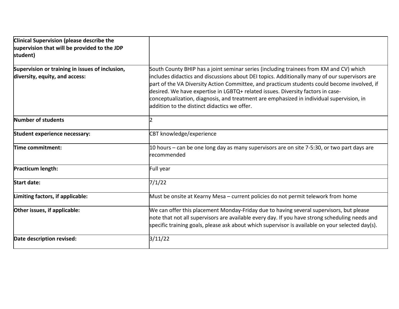| Clinical Supervision (please describe the<br>supervision that will be provided to the JDP<br>student) |                                                                                                                                                                                                                                                                                                                                                                                                                                                                                                                        |
|-------------------------------------------------------------------------------------------------------|------------------------------------------------------------------------------------------------------------------------------------------------------------------------------------------------------------------------------------------------------------------------------------------------------------------------------------------------------------------------------------------------------------------------------------------------------------------------------------------------------------------------|
| Supervision or training in issues of inclusion,<br>diversity, equity, and access:                     | South County BHIP has a joint seminar series (including trainees from KM and CV) which<br>includes didactics and discussions about DEI topics. Additionally many of our supervisors are<br>part of the VA Diversity Action Committee, and practicum students could become involved, if<br>desired. We have expertise in LGBTQ+ related issues. Diversity factors in case-<br>conceptualization, diagnosis, and treatment are emphasized in individual supervision, in<br>laddition to the distinct didactics we offer. |
| Number of students                                                                                    |                                                                                                                                                                                                                                                                                                                                                                                                                                                                                                                        |
| Student experience necessary:                                                                         | CBT knowledge/experience                                                                                                                                                                                                                                                                                                                                                                                                                                                                                               |
| Time commitment:                                                                                      | 10 hours – can be one long day as many supervisors are on site 7-5:30, or two part days are<br>recommended                                                                                                                                                                                                                                                                                                                                                                                                             |
| Practicum length:                                                                                     | Full year                                                                                                                                                                                                                                                                                                                                                                                                                                                                                                              |
| <b>Start date:</b>                                                                                    | 7/1/22                                                                                                                                                                                                                                                                                                                                                                                                                                                                                                                 |
| Limiting factors, if applicable:                                                                      | Must be onsite at Kearny Mesa - current policies do not permit telework from home                                                                                                                                                                                                                                                                                                                                                                                                                                      |
| Other issues, if applicable:                                                                          | We can offer this placement Monday-Friday due to having several supervisors, but please<br>note that not all supervisors are available every day. If you have strong scheduling needs and<br>specific training goals, please ask about which supervisor is available on your selected day(s).                                                                                                                                                                                                                          |
| Date description revised:                                                                             | 3/11/22                                                                                                                                                                                                                                                                                                                                                                                                                                                                                                                |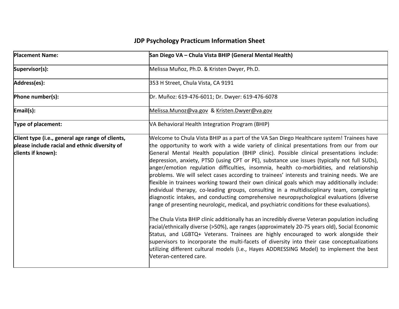| <b>Placement Name:</b>                                                                                                  | San Diego VA - Chula Vista BHIP (General Mental Health)                                                                                                                                                                                                                                                                                                                                                                                                                                                                                                                                                                                                                                                                                                                                                                                                                                                                                                                                                                                                                                                                                                                                                                                                                                                                                                                                                                                                                             |
|-------------------------------------------------------------------------------------------------------------------------|-------------------------------------------------------------------------------------------------------------------------------------------------------------------------------------------------------------------------------------------------------------------------------------------------------------------------------------------------------------------------------------------------------------------------------------------------------------------------------------------------------------------------------------------------------------------------------------------------------------------------------------------------------------------------------------------------------------------------------------------------------------------------------------------------------------------------------------------------------------------------------------------------------------------------------------------------------------------------------------------------------------------------------------------------------------------------------------------------------------------------------------------------------------------------------------------------------------------------------------------------------------------------------------------------------------------------------------------------------------------------------------------------------------------------------------------------------------------------------------|
| Supervisor(s):                                                                                                          | Melissa Muñoz, Ph.D. & Kristen Dwyer, Ph.D.                                                                                                                                                                                                                                                                                                                                                                                                                                                                                                                                                                                                                                                                                                                                                                                                                                                                                                                                                                                                                                                                                                                                                                                                                                                                                                                                                                                                                                         |
| Address(es):                                                                                                            | 353 H Street, Chula Vista, CA 9191                                                                                                                                                                                                                                                                                                                                                                                                                                                                                                                                                                                                                                                                                                                                                                                                                                                                                                                                                                                                                                                                                                                                                                                                                                                                                                                                                                                                                                                  |
| Phone number(s):                                                                                                        | Dr. Muñoz: 619-476-6011; Dr. Dwyer: 619-476-6078                                                                                                                                                                                                                                                                                                                                                                                                                                                                                                                                                                                                                                                                                                                                                                                                                                                                                                                                                                                                                                                                                                                                                                                                                                                                                                                                                                                                                                    |
| Email(s):                                                                                                               | Melissa.Munoz@va.gov & Kristen.Dwyer@va.gov                                                                                                                                                                                                                                                                                                                                                                                                                                                                                                                                                                                                                                                                                                                                                                                                                                                                                                                                                                                                                                                                                                                                                                                                                                                                                                                                                                                                                                         |
| Type of placement:                                                                                                      | VA Behavioral Health Integration Program (BHIP)                                                                                                                                                                                                                                                                                                                                                                                                                                                                                                                                                                                                                                                                                                                                                                                                                                                                                                                                                                                                                                                                                                                                                                                                                                                                                                                                                                                                                                     |
| Client type (i.e., general age range of clients,<br>please include racial and ethnic diversity of<br>clients if known): | Welcome to Chula Vista BHIP as a part of the VA San Diego Healthcare system! Trainees have<br>the opportunity to work with a wide variety of clinical presentations from our from our<br>General Mental Health population (BHIP clinic). Possible clinical presentations include:<br>depression, anxiety, PTSD (using CPT or PE), substance use issues (typically not full SUDs),<br>anger/emotion regulation difficulties, insomnia, health co-morbidities, and relationship<br>problems. We will select cases according to trainees' interests and training needs. We are<br>flexible in trainees working toward their own clinical goals which may additionally include:<br>individual therapy, co-leading groups, consulting in a multidisciplinary team, completing<br>diagnostic intakes, and conducting comprehensive neuropsychological evaluations (diverse<br>range of presenting neurologic, medical, and psychiatric conditions for these evaluations).<br>The Chula Vista BHIP clinic additionally has an incredibly diverse Veteran population including<br>racial/ethnically diverse (>50%), age ranges (approximately 20-75 years old), Social Economic<br>Status, and LGBTQ+ Veterans. Trainees are highly encouraged to work alongside their<br>supervisors to incorporate the multi-facets of diversity into their case conceptualizations<br>utilizing different cultural models (i.e., Hayes ADDRESSING Model) to implement the best<br>Veteran-centered care. |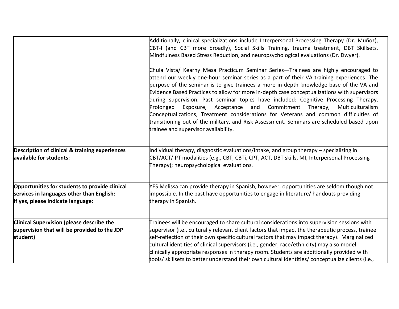|                                                                                                                                  | Additionally, clinical specializations include Interpersonal Processing Therapy (Dr. Muñoz),<br>CBT-I (and CBT more broadly), Social Skills Training, trauma treatment, DBT Skillsets,<br>Mindfulness Based Stress Reduction, and neuropsychological evaluations (Dr. Dwyer).<br>Chula Vista/ Kearny Mesa Practicum Seminar Series-Trainees are highly encouraged to<br>attend our weekly one-hour seminar series as a part of their VA training experiences! The<br>purpose of the seminar is to give trainees a more in-depth knowledge base of the VA and<br>Evidence Based Practices to allow for more in-depth case conceptualizations with supervisors<br>during supervision. Past seminar topics have included: Cognitive Processing Therapy,<br>Prolonged<br>Exposure, Acceptance and Commitment Therapy,<br>Multiculturalism<br>Conceptualizations, Treatment considerations for Veterans and common difficulties of<br>transitioning out of the military, and Risk Assessment. Seminars are scheduled based upon<br>trainee and supervisor availability. |
|----------------------------------------------------------------------------------------------------------------------------------|--------------------------------------------------------------------------------------------------------------------------------------------------------------------------------------------------------------------------------------------------------------------------------------------------------------------------------------------------------------------------------------------------------------------------------------------------------------------------------------------------------------------------------------------------------------------------------------------------------------------------------------------------------------------------------------------------------------------------------------------------------------------------------------------------------------------------------------------------------------------------------------------------------------------------------------------------------------------------------------------------------------------------------------------------------------------|
| Description of clinical & training experiences<br>available for students:                                                        | Individual therapy, diagnostic evaluations/intake, and group therapy – specializing in<br>CBT/ACT/IPT modalities (e.g., CBT, CBTi, CPT, ACT, DBT skills, MI, Interpersonal Processing<br>Therapy); neuropsychological evaluations.                                                                                                                                                                                                                                                                                                                                                                                                                                                                                                                                                                                                                                                                                                                                                                                                                                 |
| Opportunities for students to provide clinical<br>services in languages other than English:<br>If yes, please indicate language: | YES Melissa can provide therapy in Spanish, however, opportunities are seldom though not<br>impossible. In the past have opportunities to engage in literature/ handouts providing<br>therapy in Spanish.                                                                                                                                                                                                                                                                                                                                                                                                                                                                                                                                                                                                                                                                                                                                                                                                                                                          |
| Clinical Supervision (please describe the<br>supervision that will be provided to the JDP<br>student)                            | Trainees will be encouraged to share cultural considerations into supervision sessions with<br>supervisor (i.e., culturally relevant client factors that impact the therapeutic process, trainee<br>self-reflection of their own specific cultural factors that may impact therapy). Marginalized<br>cultural identities of clinical supervisors (i.e., gender, race/ethnicity) may also model<br>clinically appropriate responses in therapy room. Students are additionally provided with<br>tools/ skillsets to better understand their own cultural identities/ conceptualize clients (i.e.,                                                                                                                                                                                                                                                                                                                                                                                                                                                                   |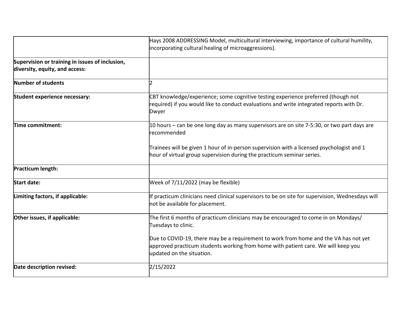|                                                                                   | Hays 2008 ADDRESSING Model, multicultural interviewing, importance of cultural humility,                                                                                                               |
|-----------------------------------------------------------------------------------|--------------------------------------------------------------------------------------------------------------------------------------------------------------------------------------------------------|
|                                                                                   | incorporating cultural healing of microaggressions).                                                                                                                                                   |
| Supervision or training in issues of inclusion,<br>diversity, equity, and access: |                                                                                                                                                                                                        |
| Number of students                                                                | $\overline{2}$                                                                                                                                                                                         |
| Student experience necessary:                                                     | CBT knowledge/experience; some cognitive testing experience preferred (though not<br>required) if you would like to conduct evaluations and write integrated reports with Dr.<br>Dwyer                 |
| Time commitment:                                                                  | 10 hours – can be one long day as many supervisors are on site 7-5:30, or two part days are<br>recommended                                                                                             |
|                                                                                   | Trainees will be given 1 hour of in-person supervision with a licensed psychologist and 1<br>hour of virtual group supervision during the practicum seminar series.                                    |
| Practicum length:                                                                 |                                                                                                                                                                                                        |
| <b>Start date:</b>                                                                | Week of 7/11/2022 (may be flexible)                                                                                                                                                                    |
| Limiting factors, if applicable:                                                  | If practicum clinicians need clinical supervisors to be on site for supervision, Wednesdays will<br>not be available for placement.                                                                    |
| Other issues, if applicable:                                                      | The first 6 months of practicum clinicians may be encouraged to come in on Mondays/<br>Tuesdays to clinic.                                                                                             |
|                                                                                   | Due to COVID-19, there may be a requirement to work from home and the VA has not yet<br>approved practicum students working from home with patient care. We will keep you<br>updated on the situation. |
| Date description revised:                                                         | 2/15/2022                                                                                                                                                                                              |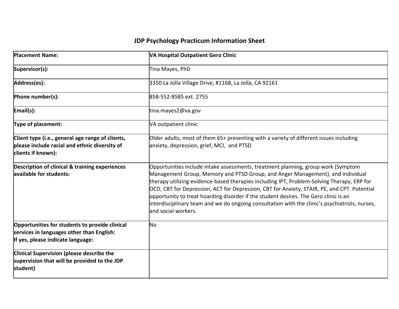| <b>Placement Name:</b>                                                                                                           | VA Hospital Outpatient Gero Clinic                                                                                                                                                                                                                                                                                                                                                                                                                                                                                                                                                 |
|----------------------------------------------------------------------------------------------------------------------------------|------------------------------------------------------------------------------------------------------------------------------------------------------------------------------------------------------------------------------------------------------------------------------------------------------------------------------------------------------------------------------------------------------------------------------------------------------------------------------------------------------------------------------------------------------------------------------------|
| Supervisor(s):                                                                                                                   | Tina Mayes, PhD                                                                                                                                                                                                                                                                                                                                                                                                                                                                                                                                                                    |
| Address(es):                                                                                                                     | 3350 La Jolla Village Drive, #116B, La Jolla, CA 92161                                                                                                                                                                                                                                                                                                                                                                                                                                                                                                                             |
| Phone number(s):                                                                                                                 | 858-552-8585 ext. 2755                                                                                                                                                                                                                                                                                                                                                                                                                                                                                                                                                             |
| Email(s):                                                                                                                        | tina.mayes2@va.gov                                                                                                                                                                                                                                                                                                                                                                                                                                                                                                                                                                 |
| Type of placement:                                                                                                               | VA outpatient clinic                                                                                                                                                                                                                                                                                                                                                                                                                                                                                                                                                               |
| Client type (i.e., general age range of clients,<br>please include racial and ethnic diversity of<br>clients if known):          | Older adults, most of them 65+ presenting with a variety of different issues including<br>anxiety, depression, grief, MCI, and PTSD                                                                                                                                                                                                                                                                                                                                                                                                                                                |
| <b>Description of clinical &amp; training experiences</b><br>available for students:                                             | Opportunities include intake assessments, treatment planning, group work (Symptom<br>Management Group, Memory and PTSD Group, and Anger Management), and individual<br>therapy utilizing evidence-based therapies including IPT, Problem-Solving Therapy, ERP for<br>OCD, CBT for Depression, ACT for Depression, CBT for Anxiety, STAIR, PE, and CPT. Potential<br>opportunity to treat hoarding disorder if the student desires. The Gero clinic is an<br>interdisciplinary team and we do ongoing consultation with the clinic's psychiatrists, nurses,<br>land social workers. |
| Opportunities for students to provide clinical<br>services in languages other than English:<br>If yes, please indicate language: | No                                                                                                                                                                                                                                                                                                                                                                                                                                                                                                                                                                                 |
| <b>Clinical Supervision (please describe the</b><br>supervision that will be provided to the JDP<br>student)                     |                                                                                                                                                                                                                                                                                                                                                                                                                                                                                                                                                                                    |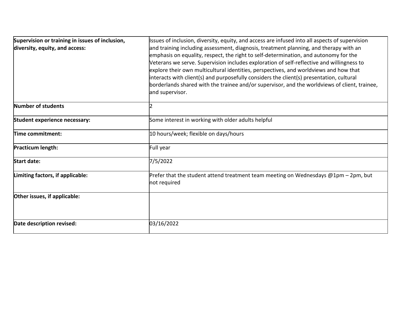| Supervision or training in issues of inclusion,<br>diversity, equity, and access: | Issues of inclusion, diversity, equity, and access are infused into all aspects of supervision<br>and training including assessment, diagnosis, treatment planning, and therapy with an<br>emphasis on equality, respect, the right to self-determination, and autonomy for the<br>Veterans we serve. Supervision includes exploration of self-reflective and willingness to<br>explore their own multicultural identities, perspectives, and worldviews and how that<br>interacts with client(s) and purposefully considers the client(s) presentation, cultural<br>borderlands shared with the trainee and/or supervisor, and the worldviews of client, trainee,<br>and supervisor. |
|-----------------------------------------------------------------------------------|---------------------------------------------------------------------------------------------------------------------------------------------------------------------------------------------------------------------------------------------------------------------------------------------------------------------------------------------------------------------------------------------------------------------------------------------------------------------------------------------------------------------------------------------------------------------------------------------------------------------------------------------------------------------------------------|
| Number of students                                                                |                                                                                                                                                                                                                                                                                                                                                                                                                                                                                                                                                                                                                                                                                       |
| Student experience necessary:                                                     | Some interest in working with older adults helpful                                                                                                                                                                                                                                                                                                                                                                                                                                                                                                                                                                                                                                    |
| Time commitment:                                                                  | 10 hours/week; flexible on days/hours                                                                                                                                                                                                                                                                                                                                                                                                                                                                                                                                                                                                                                                 |
| Practicum length:                                                                 | Full year                                                                                                                                                                                                                                                                                                                                                                                                                                                                                                                                                                                                                                                                             |
| <b>Start date:</b>                                                                | 7/5/2022                                                                                                                                                                                                                                                                                                                                                                                                                                                                                                                                                                                                                                                                              |
| Limiting factors, if applicable:                                                  | Prefer that the student attend treatment team meeting on Wednesdays @1pm - 2pm, but<br>not required                                                                                                                                                                                                                                                                                                                                                                                                                                                                                                                                                                                   |
| Other issues, if applicable:                                                      |                                                                                                                                                                                                                                                                                                                                                                                                                                                                                                                                                                                                                                                                                       |
| Date description revised:                                                         | 03/16/2022                                                                                                                                                                                                                                                                                                                                                                                                                                                                                                                                                                                                                                                                            |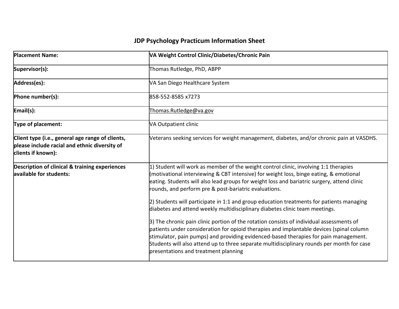| <b>Placement Name:</b>                                                                                                  | VA Weight Control Clinic/Diabetes/Chronic Pain                                                                                                                                                                                                                                                                                                                                                                                                 |
|-------------------------------------------------------------------------------------------------------------------------|------------------------------------------------------------------------------------------------------------------------------------------------------------------------------------------------------------------------------------------------------------------------------------------------------------------------------------------------------------------------------------------------------------------------------------------------|
| Supervisor(s):                                                                                                          | Thomas Rutledge, PhD, ABPP                                                                                                                                                                                                                                                                                                                                                                                                                     |
| Address(es):                                                                                                            | VA San Diego Healthcare System                                                                                                                                                                                                                                                                                                                                                                                                                 |
| Phone number(s):                                                                                                        | 858-552-8585 x7273                                                                                                                                                                                                                                                                                                                                                                                                                             |
| Email(s):                                                                                                               | Thomas.Rutledge@va.gov                                                                                                                                                                                                                                                                                                                                                                                                                         |
| Type of placement:                                                                                                      | VA Outpatient clinic                                                                                                                                                                                                                                                                                                                                                                                                                           |
| Client type (i.e., general age range of clients,<br>please include racial and ethnic diversity of<br>clients if known): | Veterans seeking services for weight management, diabetes, and/or chronic pain at VASDHS.                                                                                                                                                                                                                                                                                                                                                      |
| <b>Description of clinical &amp; training experiences</b><br>available for students:                                    | $ 1\rangle$ Student will work as member of the weight control clinic, involving 1:1 therapies<br>(motivational interviewing & CBT intensive) for weight loss, binge eating, & emotional<br>eating. Students will also lead groups for weight loss and bariatric surgery, attend clinic<br>rounds, and perform pre & post-bariatric evaluations.<br>$ 2)$ Students will participate in 1:1 and group education treatments for patients managing |
|                                                                                                                         | diabetes and attend weekly multidisciplinary diabetes clinic team meetings.                                                                                                                                                                                                                                                                                                                                                                    |
|                                                                                                                         | 3) The chronic pain clinic portion of the rotation consists of individual assessments of<br>patients under consideration for opioid therapies and implantable devices (spinal column<br>stimulator, pain pumps) and providing evidenced-based therapies for pain management.<br>Students will also attend up to three separate multidisciplinary rounds per month for case<br>presentations and treatment planning                             |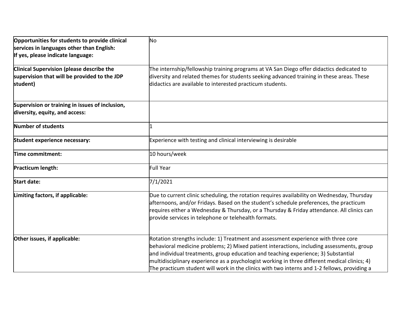| Opportunities for students to provide clinical<br>services in languages other than English:<br>If yes, please indicate language: | No                                                                                                                                                                                                                                                                                                                                                                                                                                                                     |
|----------------------------------------------------------------------------------------------------------------------------------|------------------------------------------------------------------------------------------------------------------------------------------------------------------------------------------------------------------------------------------------------------------------------------------------------------------------------------------------------------------------------------------------------------------------------------------------------------------------|
| Clinical Supervision (please describe the<br>supervision that will be provided to the JDP<br>student)                            | The internship/fellowship training programs at VA San Diego offer didactics dedicated to<br>diversity and related themes for students seeking advanced training in these areas. These<br>didactics are available to interested practicum students.                                                                                                                                                                                                                     |
| Supervision or training in issues of inclusion,<br>diversity, equity, and access:                                                |                                                                                                                                                                                                                                                                                                                                                                                                                                                                        |
| Number of students                                                                                                               |                                                                                                                                                                                                                                                                                                                                                                                                                                                                        |
| <b>Student experience necessary:</b>                                                                                             | Experience with testing and clinical interviewing is desirable                                                                                                                                                                                                                                                                                                                                                                                                         |
| Time commitment:                                                                                                                 | 10 hours/week                                                                                                                                                                                                                                                                                                                                                                                                                                                          |
| Practicum length:                                                                                                                | Full Year                                                                                                                                                                                                                                                                                                                                                                                                                                                              |
| <b>Start date:</b>                                                                                                               | 7/1/2021                                                                                                                                                                                                                                                                                                                                                                                                                                                               |
| Limiting factors, if applicable:                                                                                                 | Due to current clinic scheduling, the rotation requires availability on Wednesday, Thursday<br>afternoons, and/or Fridays. Based on the student's schedule preferences, the practicum<br>requires either a Wednesday & Thursday, or a Thursday & Friday attendance. All clinics can<br>provide services in telephone or telehealth formats.                                                                                                                            |
| Other issues, if applicable:                                                                                                     | Rotation strengths include: 1) Treatment and assessment experience with three core<br>behavioral medicine problems; 2) Mixed patient interactions, including assessments, group<br>and individual treatments, group education and teaching experience; 3) Substantial<br>multidisciplinary experience as a psychologist working in three different medical clinics; 4)<br>The practicum student will work in the clinics with two interns and 1-2 fellows, providing a |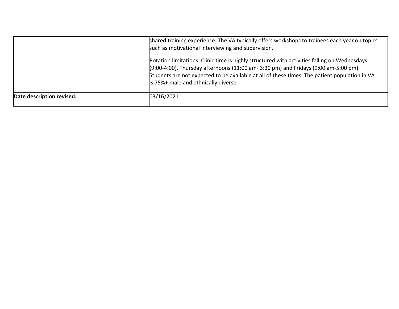|                           | shared training experience. The VA typically offers workshops to trainees each year on topics<br>such as motivational interviewing and supervision.                                                                                                                                                                             |
|---------------------------|---------------------------------------------------------------------------------------------------------------------------------------------------------------------------------------------------------------------------------------------------------------------------------------------------------------------------------|
|                           | Rotation limitations: Clinic time is highly structured with activities falling on Wednesdays<br>$(9:00-4:00)$ , Thursday afternoons (11:00 am- 3:30 pm) and Fridays (9:00 am-5:00 pm).<br>Students are not expected to be available at all of these times. The patient population in VA<br>is 75%+ male and ethnically diverse. |
| Date description revised: | 03/16/2021                                                                                                                                                                                                                                                                                                                      |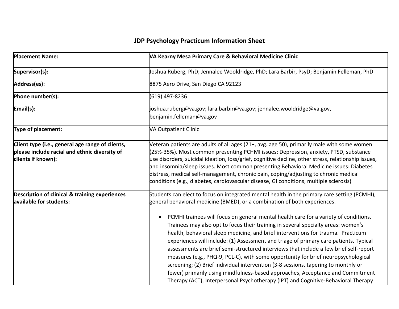| <b>Placement Name:</b>                                                                                                  | VA Kearny Mesa Primary Care & Behavioral Medicine Clinic                                                                                                                                                                                                                                                                                                                                                                                                                                                                                                                                                                                                                                                                                                                                                                                                                                                                                                                                    |
|-------------------------------------------------------------------------------------------------------------------------|---------------------------------------------------------------------------------------------------------------------------------------------------------------------------------------------------------------------------------------------------------------------------------------------------------------------------------------------------------------------------------------------------------------------------------------------------------------------------------------------------------------------------------------------------------------------------------------------------------------------------------------------------------------------------------------------------------------------------------------------------------------------------------------------------------------------------------------------------------------------------------------------------------------------------------------------------------------------------------------------|
| Supervisor(s):                                                                                                          | Joshua Ruberg, PhD; Jennalee Wooldridge, PhD; Lara Barbir, PsyD; Benjamin Felleman, PhD                                                                                                                                                                                                                                                                                                                                                                                                                                                                                                                                                                                                                                                                                                                                                                                                                                                                                                     |
| Address(es):                                                                                                            | 8875 Aero Drive, San Diego CA 92123                                                                                                                                                                                                                                                                                                                                                                                                                                                                                                                                                                                                                                                                                                                                                                                                                                                                                                                                                         |
| Phone number(s):                                                                                                        | (619) 497-8236                                                                                                                                                                                                                                                                                                                                                                                                                                                                                                                                                                                                                                                                                                                                                                                                                                                                                                                                                                              |
| Email(s):                                                                                                               | joshua.ruberg@va.gov; lara.barbir@va.gov; jennalee.wooldridge@va.gov,<br>benjamin.felleman@va.gov                                                                                                                                                                                                                                                                                                                                                                                                                                                                                                                                                                                                                                                                                                                                                                                                                                                                                           |
| <b>Type of placement:</b>                                                                                               | <b>VA Outpatient Clinic</b>                                                                                                                                                                                                                                                                                                                                                                                                                                                                                                                                                                                                                                                                                                                                                                                                                                                                                                                                                                 |
| Client type (i.e., general age range of clients,<br>please include racial and ethnic diversity of<br>clients if known): | Veteran patients are adults of all ages (21+, avg. age 50), primarily male with some women<br>(25%-35%). Most common presenting PCHMI issues: Depression, anxiety, PTSD, substance<br>use disorders, suicidal ideation, loss/grief, cognitive decline, other stress, relationship issues,<br>and insomnia/sleep issues. Most common presenting Behavioral Medicine issues: Diabetes<br>distress, medical self-management, chronic pain, coping/adjusting to chronic medical<br>conditions (e.g., diabetes, cardiovascular disease, GI conditions, multiple sclerosis)                                                                                                                                                                                                                                                                                                                                                                                                                       |
| <b>Description of clinical &amp; training experiences</b><br>available for students:                                    | Students can elect to focus on integrated mental health in the primary care setting (PCMHI),<br>general behavioral medicine (BMED), or a combination of both experiences.<br>PCMHI trainees will focus on general mental health care for a variety of conditions.<br>$\bullet$<br>Trainees may also opt to focus their training in several specialty areas: women's<br>health, behavioral sleep medicine, and brief interventions for trauma. Practicum<br>experiences will include: (1) Assessment and triage of primary care patients. Typical<br>assessments are brief semi-structured interviews that include a few brief self-report<br>measures (e.g., PHQ-9, PCL-C), with some opportunity for brief neuropsychological<br>screening; (2) Brief individual intervention (3-8 sessions, tapering to monthly or<br>fewer) primarily using mindfulness-based approaches, Acceptance and Commitment<br>Therapy (ACT), Interpersonal Psychotherapy (IPT) and Cognitive-Behavioral Therapy |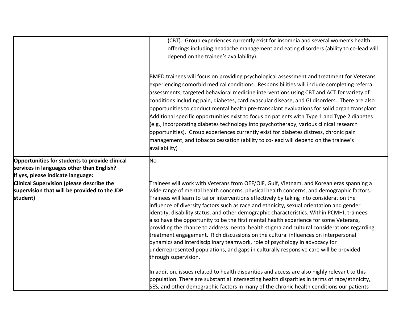|                                                | (CBT). Group experiences currently exist for insomnia and several women's health                              |
|------------------------------------------------|---------------------------------------------------------------------------------------------------------------|
|                                                | offerings including headache management and eating disorders (ability to co-lead will                         |
|                                                | depend on the trainee's availability).                                                                        |
|                                                |                                                                                                               |
|                                                |                                                                                                               |
|                                                | BMED trainees will focus on providing psychological assessment and treatment for Veterans                     |
|                                                | experiencing comorbid medical conditions. Responsibilities will include completing referral                   |
|                                                | assessments, targeted behavioral medicine interventions using CBT and ACT for variety of                      |
|                                                | conditions including pain, diabetes, cardiovascular disease, and GI disorders. There are also                 |
|                                                | opportunities to conduct mental health pre-transplant evaluations for solid organ transplant.                 |
|                                                | Additional specific opportunities exist to focus on patients with Type 1 and Type 2 diabetes                  |
|                                                | (e.g., incorporating diabetes technology into psychotherapy, various clinical research                        |
|                                                | opportunities). Group experiences currently exist for diabetes distress, chronic pain                         |
|                                                | management, and tobacco cessation (ability to co-lead will depend on the trainee's                            |
|                                                | availability)                                                                                                 |
|                                                |                                                                                                               |
| Opportunities for students to provide clinical | No                                                                                                            |
| services in languages other than English?      |                                                                                                               |
| If yes, please indicate language:              |                                                                                                               |
| Clinical Supervision (please describe the      | Trainees will work with Veterans from OEF/OIF, Gulf, Vietnam, and Korean eras spanning a                      |
| supervision that will be provided to the JDP   | wide range of mental health concerns, physical health concerns, and demographic factors.                      |
| student)                                       | Trainees will learn to tailor interventions effectively by taking into consideration the                      |
|                                                | influence of diversity factors such as race and ethnicity, sexual orientation and gender                      |
|                                                | identity, disability status, and other demographic characteristics. Within PCMHI, trainees                    |
|                                                | also have the opportunity to be the first mental health experience for some Veterans,                         |
|                                                | providing the chance to address mental health stigma and cultural considerations regarding                    |
|                                                | treatment engagement. Rich discussions on the cultural influences on interpersonal                            |
|                                                | dynamics and interdisciplinary teamwork, role of psychology in advocacy for                                   |
|                                                | underrepresented populations, and gaps in culturally responsive care will be provided<br>through supervision. |
|                                                |                                                                                                               |
|                                                | In addition, issues related to health disparities and access are also highly relevant to this                 |
|                                                | population. There are substantial intersecting health disparities in terms of race/ethnicity,                 |
|                                                | SES, and other demographic factors in many of the chronic health conditions our patients                      |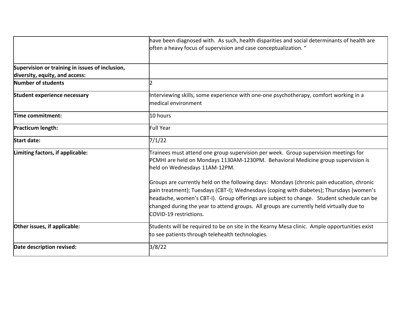|                                                                                   | have been diagnosed with. As such, health disparities and social determinants of health are<br>often a heavy focus of supervision and case conceptualization. "                                                                                                                                                                                                                                         |
|-----------------------------------------------------------------------------------|---------------------------------------------------------------------------------------------------------------------------------------------------------------------------------------------------------------------------------------------------------------------------------------------------------------------------------------------------------------------------------------------------------|
| Supervision or training in issues of inclusion,<br>diversity, equity, and access: |                                                                                                                                                                                                                                                                                                                                                                                                         |
| Number of students                                                                | $\overline{\phantom{a}}$                                                                                                                                                                                                                                                                                                                                                                                |
| <b>Student experience necessary</b>                                               | Interviewing skills, some experience with one-one psychotherapy, comfort working in a<br>medical environment                                                                                                                                                                                                                                                                                            |
| Time commitment:                                                                  | 10 hours                                                                                                                                                                                                                                                                                                                                                                                                |
| Practicum length:                                                                 | Full Year                                                                                                                                                                                                                                                                                                                                                                                               |
| <b>Start date:</b>                                                                | 7/1/22                                                                                                                                                                                                                                                                                                                                                                                                  |
| Limiting factors, if applicable:                                                  | Trainees must attend one group supervision per week. Group supervision meetings for<br>PCMHI are held on Mondays 1130AM-1230PM. Behavioral Medicine group supervision is<br>held on Wednesdays 11AM-12PM.                                                                                                                                                                                               |
|                                                                                   | Groups are currently held on the following days: Mondays (chronic pain education, chronic<br>pain treatment); Tuesdays (CBT-I); Wednesdays (coping with diabetes); Thursdays (women's<br>headache, women's CBT-I). Group offerings are subject to change. Student schedule can be<br>changed during the year to attend groups. All groups are currently held virtually due to<br>COVID-19 restrictions. |
| Other issues, if applicable:                                                      | Students will be required to be on site in the Kearny Mesa clinic. Ample opportunities exist<br>to see patients through telehealth technologies.                                                                                                                                                                                                                                                        |
| Date description revised:                                                         | 3/8/22                                                                                                                                                                                                                                                                                                                                                                                                  |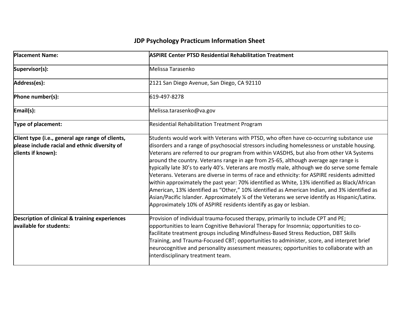| <b>Placement Name:</b>                                                                                                  | <b>ASPIRE Center PTSD Residential Rehabilitation Treatment</b>                                                                                                                                                                                                                                                                                                                                                                                                                                                                                                                                                                                                                                                                                                                                                                                                                                                                                   |
|-------------------------------------------------------------------------------------------------------------------------|--------------------------------------------------------------------------------------------------------------------------------------------------------------------------------------------------------------------------------------------------------------------------------------------------------------------------------------------------------------------------------------------------------------------------------------------------------------------------------------------------------------------------------------------------------------------------------------------------------------------------------------------------------------------------------------------------------------------------------------------------------------------------------------------------------------------------------------------------------------------------------------------------------------------------------------------------|
| Supervisor(s):                                                                                                          | Melissa Tarasenko                                                                                                                                                                                                                                                                                                                                                                                                                                                                                                                                                                                                                                                                                                                                                                                                                                                                                                                                |
| Address(es):                                                                                                            | 2121 San Diego Avenue, San Diego, CA 92110                                                                                                                                                                                                                                                                                                                                                                                                                                                                                                                                                                                                                                                                                                                                                                                                                                                                                                       |
| Phone number(s):                                                                                                        | 619-497-8278                                                                                                                                                                                                                                                                                                                                                                                                                                                                                                                                                                                                                                                                                                                                                                                                                                                                                                                                     |
| Email(s):                                                                                                               | Melissa.tarasenko@va.gov                                                                                                                                                                                                                                                                                                                                                                                                                                                                                                                                                                                                                                                                                                                                                                                                                                                                                                                         |
| Type of placement:                                                                                                      | Residential Rehabilitation Treatment Program                                                                                                                                                                                                                                                                                                                                                                                                                                                                                                                                                                                                                                                                                                                                                                                                                                                                                                     |
| Client type (i.e., general age range of clients,<br>please include racial and ethnic diversity of<br>clients if known): | Students would work with Veterans with PTSD, who often have co-occurring substance use<br>disorders and a range of psychosocial stressors including homelessness or unstable housing.<br>Veterans are referred to our program from within VASDHS, but also from other VA Systems<br>around the country. Veterans range in age from 25-65, although average age range is<br>typically late 30's to early 40's. Veterans are mostly male, although we do serve some female<br>Veterans. Veterans are diverse in terms of race and ethnicity: for ASPIRE residents admitted<br>within approximately the past year: 70% identified as White, 13% identified as Black/African<br>American, 13% identified as "Other," 10% identified as American Indian, and 3% identified as<br>Asian/Pacific Islander. Approximately 1/4 of the Veterans we serve identify as Hispanic/Latinx.<br>Approximately 10% of ASPIRE residents identify as gay or lesbian. |
| Description of clinical & training experiences<br>available for students:                                               | Provision of individual trauma-focused therapy, primarily to include CPT and PE;<br>opportunities to learn Cognitive Behavioral Therapy for Insomnia; opportunities to co-<br>facilitate treatment groups including Mindfulness-Based Stress Reduction, DBT Skills<br>Training, and Trauma-Focused CBT; opportunities to administer, score, and interpret brief<br>neurocognitive and personality assessment measures; opportunities to collaborate with an<br>interdisciplinary treatment team.                                                                                                                                                                                                                                                                                                                                                                                                                                                 |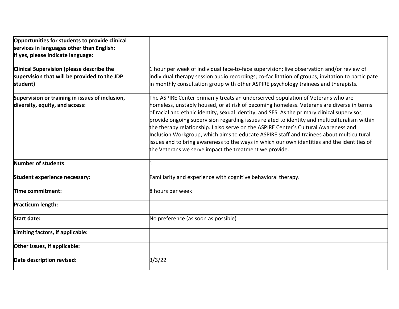| Opportunities for students to provide clinical<br>services in languages other than English:<br>If yes, please indicate language: |                                                                                                                                                                                                                                                                                                                                                                                                                                                                                                                                                                                                                                                                                                                              |
|----------------------------------------------------------------------------------------------------------------------------------|------------------------------------------------------------------------------------------------------------------------------------------------------------------------------------------------------------------------------------------------------------------------------------------------------------------------------------------------------------------------------------------------------------------------------------------------------------------------------------------------------------------------------------------------------------------------------------------------------------------------------------------------------------------------------------------------------------------------------|
| Clinical Supervision (please describe the<br>supervision that will be provided to the JDP<br>student)                            | 1 hour per week of individual face-to-face supervision; live observation and/or review of<br>individual therapy session audio recordings; co-facilitation of groups; invitation to participate<br>in monthly consultation group with other ASPIRE psychology trainees and therapists.                                                                                                                                                                                                                                                                                                                                                                                                                                        |
| Supervision or training in issues of inclusion,<br>diversity, equity, and access:                                                | The ASPIRE Center primarily treats an underserved population of Veterans who are<br>homeless, unstably housed, or at risk of becoming homeless. Veterans are diverse in terms<br>of racial and ethnic identity, sexual identity, and SES. As the primary clinical supervisor, I<br>provide ongoing supervision regarding issues related to identity and multiculturalism within<br>the therapy relationship. I also serve on the ASPIRE Center's Cultural Awareness and<br>Inclusion Workgroup, which aims to educate ASPIRE staff and trainees about multicultural<br>issues and to bring awareness to the ways in which our own identities and the identities of<br>the Veterans we serve impact the treatment we provide. |
| Number of students                                                                                                               |                                                                                                                                                                                                                                                                                                                                                                                                                                                                                                                                                                                                                                                                                                                              |
| Student experience necessary:                                                                                                    | Familiarity and experience with cognitive behavioral therapy.                                                                                                                                                                                                                                                                                                                                                                                                                                                                                                                                                                                                                                                                |
| Time commitment:                                                                                                                 | 8 hours per week                                                                                                                                                                                                                                                                                                                                                                                                                                                                                                                                                                                                                                                                                                             |
| Practicum length:                                                                                                                |                                                                                                                                                                                                                                                                                                                                                                                                                                                                                                                                                                                                                                                                                                                              |
| <b>Start date:</b>                                                                                                               | No preference (as soon as possible)                                                                                                                                                                                                                                                                                                                                                                                                                                                                                                                                                                                                                                                                                          |
| Limiting factors, if applicable:                                                                                                 |                                                                                                                                                                                                                                                                                                                                                                                                                                                                                                                                                                                                                                                                                                                              |
| Other issues, if applicable:                                                                                                     |                                                                                                                                                                                                                                                                                                                                                                                                                                                                                                                                                                                                                                                                                                                              |
| Date description revised:                                                                                                        | 3/3/22                                                                                                                                                                                                                                                                                                                                                                                                                                                                                                                                                                                                                                                                                                                       |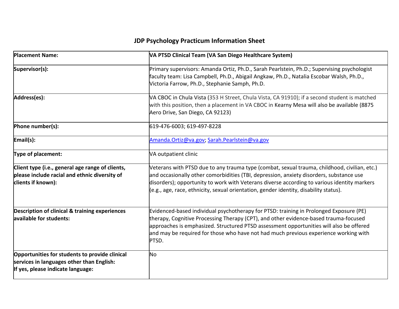| <b>Placement Name:</b>                                                                                                           | VA PTSD Clinical Team (VA San Diego Healthcare System)                                                                                                                                                                                                                                                                                                                          |
|----------------------------------------------------------------------------------------------------------------------------------|---------------------------------------------------------------------------------------------------------------------------------------------------------------------------------------------------------------------------------------------------------------------------------------------------------------------------------------------------------------------------------|
| Supervisor(s):                                                                                                                   | Primary supervisors: Amanda Ortiz, Ph.D., Sarah Pearlstein, Ph.D.; Supervising psychologist<br>faculty team: Lisa Campbell, Ph.D., Abigail Angkaw, Ph.D., Natalia Escobar Walsh, Ph.D.,<br>Victoria Farrow, Ph.D., Stephanie Samph, Ph.D.                                                                                                                                       |
| Address(es):                                                                                                                     | VA CBOC in Chula Vista (353 H Street, Chula Vista, CA 91910); if a second student is matched<br>with this position, then a placement in VA CBOC in Kearny Mesa will also be available (8875<br>Aero Drive, San Diego, CA 92123)                                                                                                                                                 |
| Phone number(s):                                                                                                                 | 619-476-6003; 619-497-8228                                                                                                                                                                                                                                                                                                                                                      |
| Email(s):                                                                                                                        | Amanda.Ortiz@va.gov; Sarah.Pearlstein@va.gov                                                                                                                                                                                                                                                                                                                                    |
| Type of placement:                                                                                                               | VA outpatient clinic                                                                                                                                                                                                                                                                                                                                                            |
| Client type (i.e., general age range of clients,<br>please include racial and ethnic diversity of<br>clients if known):          | Veterans with PTSD due to any trauma type (combat, sexual trauma, childhood, civilian, etc.)<br>and occasionally other comorbidities (TBI, depression, anxiety disorders, substance use<br>disorders); opportunity to work with Veterans diverse according to various identity markers<br>(e.g., age, race, ethnicity, sexual orientation, gender identity, disability status). |
| <b>Description of clinical &amp; training experiences</b><br>available for students:                                             | Evidenced-based individual psychotherapy for PTSD: training in Prolonged Exposure (PE)<br>therapy, Cognitive Processing Therapy (CPT), and other evidence-based trauma-focused<br>approaches is emphasized. Structured PTSD assessment opportunities will also be offered<br>and may be required for those who have not had much previous experience working with<br>PTSD.      |
| Opportunities for students to provide clinical<br>services in languages other than English:<br>If yes, please indicate language: | No                                                                                                                                                                                                                                                                                                                                                                              |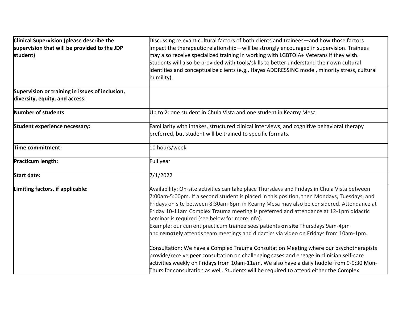| Clinical Supervision (please describe the       | Discussing relevant cultural factors of both clients and trainees—and how those factors       |  |
|-------------------------------------------------|-----------------------------------------------------------------------------------------------|--|
| supervision that will be provided to the JDP    | impact the therapeutic relationship—will be strongly encouraged in supervision. Trainees      |  |
| student)                                        | may also receive specialized training in working with LGBTQIA+ Veterans if they wish.         |  |
|                                                 | Students will also be provided with tools/skills to better understand their own cultural      |  |
|                                                 | identities and conceptualize clients (e.g., Hayes ADDRESSING model, minority stress, cultural |  |
|                                                 | humility).                                                                                    |  |
| Supervision or training in issues of inclusion, |                                                                                               |  |
| diversity, equity, and access:                  |                                                                                               |  |
| Number of students                              | Up to 2: one student in Chula Vista and one student in Kearny Mesa                            |  |
| Student experience necessary:                   | Familiarity with intakes, structured clinical interviews, and cognitive behavioral therapy    |  |
|                                                 | preferred, but student will be trained to specific formats.                                   |  |
| Time commitment:                                | 10 hours/week                                                                                 |  |
|                                                 |                                                                                               |  |
| <b>Practicum length:</b>                        | Full year                                                                                     |  |
| <b>Start date:</b>                              | 7/1/2022                                                                                      |  |
| Limiting factors, if applicable:                | Availability: On-site activities can take place Thursdays and Fridays in Chula Vista between  |  |
|                                                 | 7:00am-5:00pm. If a second student is placed in this position, then Mondays, Tuesdays, and    |  |
|                                                 | Fridays on site between 8:30am-6pm in Kearny Mesa may also be considered. Attendance at       |  |
|                                                 | Friday 10-11am Complex Trauma meeting is preferred and attendance at 12-1pm didactic          |  |
|                                                 | seminar is required (see below for more info).                                                |  |
|                                                 | Example: our current practicum trainee sees patients on site Thursdays 9am-4pm                |  |
|                                                 | and remotely attends team meetings and didactics via video on Fridays from 10am-1pm.          |  |
|                                                 | Consultation: We have a Complex Trauma Consultation Meeting where our psychotherapists        |  |
|                                                 | provide/receive peer consultation on challenging cases and engage in clinician self-care      |  |
|                                                 | activities weekly on Fridays from 10am-11am. We also have a daily huddle from 9-9:30 Mon-     |  |
|                                                 | Thurs for consultation as well. Students will be required to attend either the Complex        |  |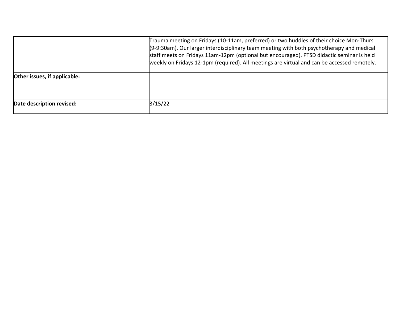|                              | Trauma meeting on Fridays (10-11am, preferred) or two huddles of their choice Mon-Thurs<br>$(9-9:30am)$ . Our larger interdisciplinary team meeting with both psychotherapy and medical<br>staff meets on Fridays 11am-12pm (optional but encouraged). PTSD didactic seminar is held<br>weekly on Fridays 12-1pm (required). All meetings are virtual and can be accessed remotely. |
|------------------------------|-------------------------------------------------------------------------------------------------------------------------------------------------------------------------------------------------------------------------------------------------------------------------------------------------------------------------------------------------------------------------------------|
| Other issues, if applicable: |                                                                                                                                                                                                                                                                                                                                                                                     |
| Date description revised:    | 3/15/22                                                                                                                                                                                                                                                                                                                                                                             |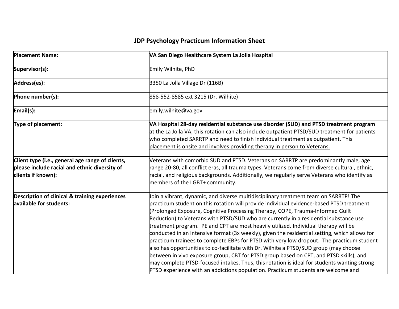| <b>Placement Name:</b>                                                                                                  | VA San Diego Healthcare System La Jolla Hospital                                                                                                                                                                                                                                                                                                                                                                                                                                                                                                                                                                                                                                                                                                                                                                                                                                                                                                                                                                        |
|-------------------------------------------------------------------------------------------------------------------------|-------------------------------------------------------------------------------------------------------------------------------------------------------------------------------------------------------------------------------------------------------------------------------------------------------------------------------------------------------------------------------------------------------------------------------------------------------------------------------------------------------------------------------------------------------------------------------------------------------------------------------------------------------------------------------------------------------------------------------------------------------------------------------------------------------------------------------------------------------------------------------------------------------------------------------------------------------------------------------------------------------------------------|
| Supervisor(s):                                                                                                          | Emily Wilhite, PhD                                                                                                                                                                                                                                                                                                                                                                                                                                                                                                                                                                                                                                                                                                                                                                                                                                                                                                                                                                                                      |
| Address(es):                                                                                                            | 3350 La Jolla Village Dr (116B)                                                                                                                                                                                                                                                                                                                                                                                                                                                                                                                                                                                                                                                                                                                                                                                                                                                                                                                                                                                         |
| Phone number(s):                                                                                                        | 858-552-8585 ext 3215 (Dr. Wilhite)                                                                                                                                                                                                                                                                                                                                                                                                                                                                                                                                                                                                                                                                                                                                                                                                                                                                                                                                                                                     |
| Email(s):                                                                                                               | emily.wilhite@va.gov                                                                                                                                                                                                                                                                                                                                                                                                                                                                                                                                                                                                                                                                                                                                                                                                                                                                                                                                                                                                    |
| Type of placement:                                                                                                      | VA Hospital 28-day residential substance use disorder (SUD) and PTSD treatment program<br>at the La Jolla VA; this rotation can also include outpatient PTSD/SUD treatment for patients<br>who completed SARRTP and need to finish individual treatment as outpatient. This<br>placement is onsite and involves providing therapy in person to Veterans.                                                                                                                                                                                                                                                                                                                                                                                                                                                                                                                                                                                                                                                                |
| Client type (i.e., general age range of clients,<br>please include racial and ethnic diversity of<br>clients if known): | Veterans with comorbid SUD and PTSD. Veterans on SARRTP are predominantly male, age<br>range 20-80, all conflict eras, all trauma types. Veterans come from diverse cultural, ethnic,<br>racial, and religious backgrounds. Additionally, we regularly serve Veterans who identify as<br>members of the LGBT+ community.                                                                                                                                                                                                                                                                                                                                                                                                                                                                                                                                                                                                                                                                                                |
| <b>Description of clinical &amp; training experiences</b><br>available for students:                                    | Join a vibrant, dynamic, and diverse multidisciplinary treatment team on SARRTP! The<br>practicum student on this rotation will provide individual evidence-based PTSD treatment<br>(Prolonged Exposure, Cognitive Processing Therapy, COPE, Trauma-Informed Guilt<br>Reduction) to Veterans with PTSD/SUD who are currently in a residential substance use<br>treatment program. PE and CPT are most heavily utilized. Individual therapy will be<br>conducted in an intensive format (3x weekly), given the residential setting, which allows for<br>practicum trainees to complete EBPs for PTSD with very low dropout. The practicum student<br>also has opportunities to co-facilitate with Dr. Wilhite a PTSD/SUD group (may choose<br>between in vivo exposure group, CBT for PTSD group based on CPT, and PTSD skills), and<br>may complete PTSD-focused intakes. Thus, this rotation is ideal for students wanting strong<br>PTSD experience with an addictions population. Practicum students are welcome and |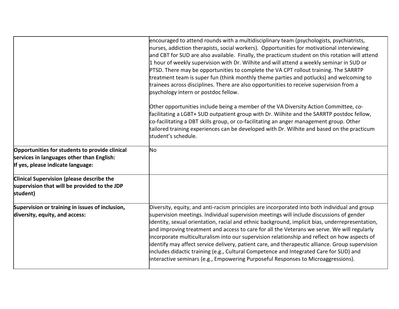|                                                                                                                                  | encouraged to attend rounds with a multidisciplinary team (psychologists, psychiatrists,<br>nurses, addiction therapists, social workers). Opportunities for motivational interviewing<br>and CBT for SUD are also available. Finally, the practicum student on this rotation will attend<br>1 hour of weekly supervision with Dr. Wilhite and will attend a weekly seminar in SUD or<br>PTSD. There may be opportunities to complete the VA CPT rollout training. The SARRTP<br>treatment team is super fun (think monthly theme parties and potlucks) and welcoming to<br>trainees across disciplines. There are also opportunities to receive supervision from a<br>psychology intern or postdoc fellow.                                                                   |
|----------------------------------------------------------------------------------------------------------------------------------|-------------------------------------------------------------------------------------------------------------------------------------------------------------------------------------------------------------------------------------------------------------------------------------------------------------------------------------------------------------------------------------------------------------------------------------------------------------------------------------------------------------------------------------------------------------------------------------------------------------------------------------------------------------------------------------------------------------------------------------------------------------------------------|
|                                                                                                                                  | Other opportunities include being a member of the VA Diversity Action Committee, co-<br>facilitating a LGBT+ SUD outpatient group with Dr. Wilhite and the SARRTP postdoc fellow,<br>co-facilitating a DBT skills group, or co-facilitating an anger management group. Other<br>tailored training experiences can be developed with Dr. Wilhite and based on the practicum<br>student's schedule.                                                                                                                                                                                                                                                                                                                                                                             |
| Opportunities for students to provide clinical<br>services in languages other than English:<br>If yes, please indicate language: | No                                                                                                                                                                                                                                                                                                                                                                                                                                                                                                                                                                                                                                                                                                                                                                            |
| Clinical Supervision (please describe the<br>supervision that will be provided to the JDP<br>student)                            |                                                                                                                                                                                                                                                                                                                                                                                                                                                                                                                                                                                                                                                                                                                                                                               |
| Supervision or training in issues of inclusion,<br>diversity, equity, and access:                                                | Diversity, equity, and anti-racism principles are incorporated into both individual and group<br>supervision meetings. Individual supervision meetings will include discussions of gender<br>identity, sexual orientation, racial and ethnic background, implicit bias, underrepresentation,<br>and improving treatment and access to care for all the Veterans we serve. We will regularly<br>incorporate multiculturalism into our supervision relationship and reflect on how aspects of<br>identify may affect service delivery, patient care, and therapeutic alliance. Group supervision<br>includes didactic training (e.g., Cultural Competence and Integrated Care for SUD) and<br>interactive seminars (e.g., Empowering Purposeful Responses to Microaggressions). |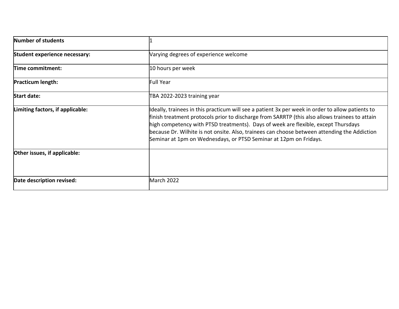| Number of students               |                                                                                                                                                                                                                                                                                                                                                                                                                                                               |
|----------------------------------|---------------------------------------------------------------------------------------------------------------------------------------------------------------------------------------------------------------------------------------------------------------------------------------------------------------------------------------------------------------------------------------------------------------------------------------------------------------|
| Student experience necessary:    | Varying degrees of experience welcome                                                                                                                                                                                                                                                                                                                                                                                                                         |
| Time commitment:                 | 10 hours per week                                                                                                                                                                                                                                                                                                                                                                                                                                             |
| <b>Practicum length:</b>         | <b>Full Year</b>                                                                                                                                                                                                                                                                                                                                                                                                                                              |
| <b>Start date:</b>               | TBA 2022-2023 training year                                                                                                                                                                                                                                                                                                                                                                                                                                   |
| Limiting factors, if applicable: | Ideally, trainees in this practicum will see a patient 3x per week in order to allow patients to<br>finish treatment protocols prior to discharge from SARRTP (this also allows trainees to attain<br>high competency with PTSD treatments). Days of week are flexible, except Thursdays<br>because Dr. Wilhite is not onsite. Also, trainees can choose between attending the Addiction<br>Seminar at 1pm on Wednesdays, or PTSD Seminar at 12pm on Fridays. |
| Other issues, if applicable:     |                                                                                                                                                                                                                                                                                                                                                                                                                                                               |
| Date description revised:        | <b>March 2022</b>                                                                                                                                                                                                                                                                                                                                                                                                                                             |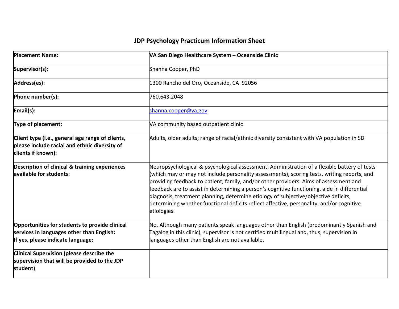| <b>Placement Name:</b>                                                                                                           | VA San Diego Healthcare System - Oceanside Clinic                                                                                                                                                                                                                                                                                                                                                                                                                                                                                                                                      |
|----------------------------------------------------------------------------------------------------------------------------------|----------------------------------------------------------------------------------------------------------------------------------------------------------------------------------------------------------------------------------------------------------------------------------------------------------------------------------------------------------------------------------------------------------------------------------------------------------------------------------------------------------------------------------------------------------------------------------------|
| Supervisor(s):                                                                                                                   | Shanna Cooper, PhD                                                                                                                                                                                                                                                                                                                                                                                                                                                                                                                                                                     |
| Address(es):                                                                                                                     | 1300 Rancho del Oro, Oceanside, CA 92056                                                                                                                                                                                                                                                                                                                                                                                                                                                                                                                                               |
| Phone number(s):                                                                                                                 | 760.643.2048                                                                                                                                                                                                                                                                                                                                                                                                                                                                                                                                                                           |
| Email(s):                                                                                                                        | shanna.cooper@va.gov                                                                                                                                                                                                                                                                                                                                                                                                                                                                                                                                                                   |
| <b>Type of placement:</b>                                                                                                        | VA community based outpatient clinic                                                                                                                                                                                                                                                                                                                                                                                                                                                                                                                                                   |
| Client type (i.e., general age range of clients,<br>please include racial and ethnic diversity of<br>clients if known):          | Adults, older adults; range of racial/ethnic diversity consistent with VA population in SD                                                                                                                                                                                                                                                                                                                                                                                                                                                                                             |
| <b>Description of clinical &amp; training experiences</b><br>available for students:                                             | Neuropsychological & psychological assessment: Administration of a flexible battery of tests<br>(which may or may not include personality assessments), scoring tests, writing reports, and<br>providing feedback to patient, family, and/or other providers. Aims of assessment and<br>feedback are to assist in determining a person's cognitive functioning, aide in differential<br>diagnosis, treatment planning, determine etiology of subjective/objective deficits,<br>determining whether functional deficits reflect affective, personality, and/or cognitive<br>etiologies. |
| Opportunities for students to provide clinical<br>services in languages other than English:<br>If yes, please indicate language: | No. Although many patients speak languages other than English (predominantly Spanish and<br>Tagalog in this clinic), supervisor is not certified multilingual and, thus, supervision in<br>languages other than English are not available.                                                                                                                                                                                                                                                                                                                                             |
| Clinical Supervision (please describe the<br>supervision that will be provided to the JDP<br>student)                            |                                                                                                                                                                                                                                                                                                                                                                                                                                                                                                                                                                                        |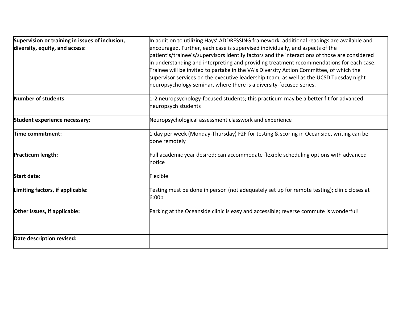| Supervision or training in issues of inclusion,<br>diversity, equity, and access: | In addition to utilizing Hays' ADDRESSING framework, additional readings are available and<br>encouraged. Further, each case is supervised individually, and aspects of the<br>patient's/trainee's/supervisors identify factors and the interactions of those are considered<br>in understanding and interpreting and providing treatment recommendations for each case.<br>Trainee will be invited to partake in the VA's Diversity Action Committee, of which the<br>supervisor services on the executive leadership team, as well as the UCSD Tuesday night<br>neuropsychology seminar, where there is a diversity-focused series. |
|-----------------------------------------------------------------------------------|---------------------------------------------------------------------------------------------------------------------------------------------------------------------------------------------------------------------------------------------------------------------------------------------------------------------------------------------------------------------------------------------------------------------------------------------------------------------------------------------------------------------------------------------------------------------------------------------------------------------------------------|
| Number of students                                                                | 1-2 neuropsychology-focused students; this practicum may be a better fit for advanced<br>neuropsych students                                                                                                                                                                                                                                                                                                                                                                                                                                                                                                                          |
| Student experience necessary:                                                     | Neuropsychological assessment classwork and experience                                                                                                                                                                                                                                                                                                                                                                                                                                                                                                                                                                                |
| Time commitment:                                                                  | 1 day per week (Monday-Thursday) F2F for testing & scoring in Oceanside, writing can be<br>done remotely                                                                                                                                                                                                                                                                                                                                                                                                                                                                                                                              |
| Practicum length:                                                                 | Full academic year desired; can accommodate flexible scheduling options with advanced<br>notice                                                                                                                                                                                                                                                                                                                                                                                                                                                                                                                                       |
| <b>Start date:</b>                                                                | Flexible                                                                                                                                                                                                                                                                                                                                                                                                                                                                                                                                                                                                                              |
| Limiting factors, if applicable:                                                  | Testing must be done in person (not adequately set up for remote testing); clinic closes at<br>6:00p                                                                                                                                                                                                                                                                                                                                                                                                                                                                                                                                  |
| Other issues, if applicable:                                                      | Parking at the Oceanside clinic is easy and accessible; reverse commute is wonderful!                                                                                                                                                                                                                                                                                                                                                                                                                                                                                                                                                 |
| Date description revised:                                                         |                                                                                                                                                                                                                                                                                                                                                                                                                                                                                                                                                                                                                                       |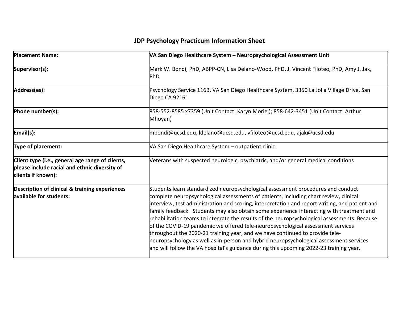| <b>Placement Name:</b>                                                                                                  | VA San Diego Healthcare System - Neuropsychological Assessment Unit                                                                                                                                                                                                                                                                                                                                                                                                                                                                                                                                                                                                                                                                                                                                                            |
|-------------------------------------------------------------------------------------------------------------------------|--------------------------------------------------------------------------------------------------------------------------------------------------------------------------------------------------------------------------------------------------------------------------------------------------------------------------------------------------------------------------------------------------------------------------------------------------------------------------------------------------------------------------------------------------------------------------------------------------------------------------------------------------------------------------------------------------------------------------------------------------------------------------------------------------------------------------------|
| Supervisor(s):                                                                                                          | Mark W. Bondi, PhD, ABPP-CN, Lisa Delano-Wood, PhD, J. Vincent Filoteo, PhD, Amy J. Jak,<br><b>PhD</b>                                                                                                                                                                                                                                                                                                                                                                                                                                                                                                                                                                                                                                                                                                                         |
| Address(es):                                                                                                            | Psychology Service 116B, VA San Diego Healthcare System, 3350 La Jolla Village Drive, San<br>Diego CA 92161                                                                                                                                                                                                                                                                                                                                                                                                                                                                                                                                                                                                                                                                                                                    |
| Phone number(s):                                                                                                        | 858-552-8585 x7359 (Unit Contact: Karyn Moriel); 858-642-3451 (Unit Contact: Arthur<br>Mhoyan)                                                                                                                                                                                                                                                                                                                                                                                                                                                                                                                                                                                                                                                                                                                                 |
| Email(s):                                                                                                               | mbondi@ucsd.edu, ldelano@ucsd.edu, vfiloteo@ucsd.edu, ajak@ucsd.edu                                                                                                                                                                                                                                                                                                                                                                                                                                                                                                                                                                                                                                                                                                                                                            |
| Type of placement:                                                                                                      | VA San Diego Healthcare System - outpatient clinic                                                                                                                                                                                                                                                                                                                                                                                                                                                                                                                                                                                                                                                                                                                                                                             |
| Client type (i.e., general age range of clients,<br>please include racial and ethnic diversity of<br>clients if known): | Veterans with suspected neurologic, psychiatric, and/or general medical conditions                                                                                                                                                                                                                                                                                                                                                                                                                                                                                                                                                                                                                                                                                                                                             |
| <b>Description of clinical &amp; training experiences</b><br>available for students:                                    | Students learn standardized neuropsychological assessment procedures and conduct<br>complete neuropsychological assessments of patients, including chart review, clinical<br>interview, test administration and scoring, interpretation and report writing, and patient and<br>family feedback. Students may also obtain some experience interacting with treatment and<br>rehabilitation teams to integrate the results of the neuropsychological assessments. Because<br>of the COVID-19 pandemic we offered tele-neuropsychological assessment services<br>throughout the 2020-21 training year, and we have continued to provide tele-<br>neuropsychology as well as in-person and hybrid neuropsychological assessment services<br>and will follow the VA hospital's guidance during this upcoming 2022-23 training year. |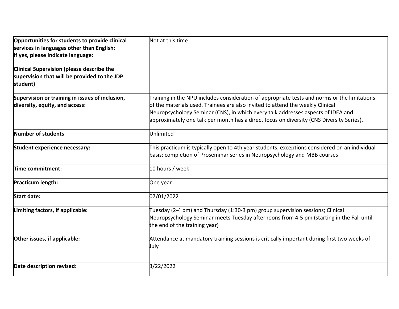| Opportunities for students to provide clinical<br>services in languages other than English:<br>If yes, please indicate language: | Not at this time                                                                                                                                                                                                                                                                                                                                               |
|----------------------------------------------------------------------------------------------------------------------------------|----------------------------------------------------------------------------------------------------------------------------------------------------------------------------------------------------------------------------------------------------------------------------------------------------------------------------------------------------------------|
| <b>Clinical Supervision (please describe the</b><br>supervision that will be provided to the JDP<br>student)                     |                                                                                                                                                                                                                                                                                                                                                                |
| Supervision or training in issues of inclusion,<br>diversity, equity, and access:                                                | Training in the NPU includes consideration of appropriate tests and norms or the limitations<br>of the materials used. Trainees are also invited to attend the weekly Clinical<br>Neuropsychology Seminar (CNS), in which every talk addresses aspects of IDEA and<br>approximately one talk per month has a direct focus on diversity (CNS Diversity Series). |
| Number of students                                                                                                               | Unlimited                                                                                                                                                                                                                                                                                                                                                      |
| Student experience necessary:                                                                                                    | This practicum is typically open to 4th year students; exceptions considered on an individual<br>basis; completion of Proseminar series in Neuropsychology and MBB courses                                                                                                                                                                                     |
| Time commitment:                                                                                                                 | 10 hours / week                                                                                                                                                                                                                                                                                                                                                |
| Practicum length:                                                                                                                | One year                                                                                                                                                                                                                                                                                                                                                       |
| <b>Start date:</b>                                                                                                               | 07/01/2022                                                                                                                                                                                                                                                                                                                                                     |
| Limiting factors, if applicable:                                                                                                 | Tuesday (2-4 pm) and Thursday (1:30-3 pm) group supervision sessions; Clinical<br>Neuropsychology Seminar meets Tuesday afternoons from 4-5 pm (starting in the Fall until<br>the end of the training year)                                                                                                                                                    |
| Other issues, if applicable:                                                                                                     | Attendance at mandatory training sessions is critically important during first two weeks of<br>July                                                                                                                                                                                                                                                            |
| Date description revised:                                                                                                        | 3/22/2022                                                                                                                                                                                                                                                                                                                                                      |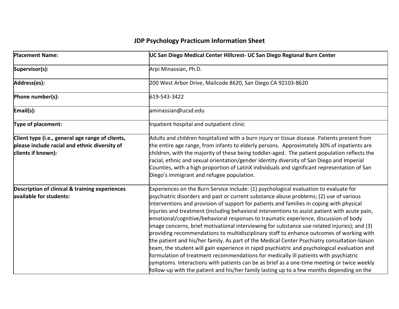| <b>Placement Name:</b>                                                                                                  | UC San Diego Medical Center Hillcrest- UC San Diego Regional Burn Center                                                                                                                                                                                                                                                                                                                                                                                                                                                                                                                                                                                                                                                                                                                                                                                                                                                                                                                                                                                                                                                                             |
|-------------------------------------------------------------------------------------------------------------------------|------------------------------------------------------------------------------------------------------------------------------------------------------------------------------------------------------------------------------------------------------------------------------------------------------------------------------------------------------------------------------------------------------------------------------------------------------------------------------------------------------------------------------------------------------------------------------------------------------------------------------------------------------------------------------------------------------------------------------------------------------------------------------------------------------------------------------------------------------------------------------------------------------------------------------------------------------------------------------------------------------------------------------------------------------------------------------------------------------------------------------------------------------|
| Supervisor(s):                                                                                                          | Arpi Minassian, Ph.D.                                                                                                                                                                                                                                                                                                                                                                                                                                                                                                                                                                                                                                                                                                                                                                                                                                                                                                                                                                                                                                                                                                                                |
| Address(es):                                                                                                            | 200 West Arbor Drive, Mailcode 8620, San Diego CA 92103-8620                                                                                                                                                                                                                                                                                                                                                                                                                                                                                                                                                                                                                                                                                                                                                                                                                                                                                                                                                                                                                                                                                         |
| Phone number(s):                                                                                                        | 619-543-3422                                                                                                                                                                                                                                                                                                                                                                                                                                                                                                                                                                                                                                                                                                                                                                                                                                                                                                                                                                                                                                                                                                                                         |
| Email(s):                                                                                                               | aminassian@ucsd.edu                                                                                                                                                                                                                                                                                                                                                                                                                                                                                                                                                                                                                                                                                                                                                                                                                                                                                                                                                                                                                                                                                                                                  |
| Type of placement:                                                                                                      | Inpatient hospital and outpatient clinic                                                                                                                                                                                                                                                                                                                                                                                                                                                                                                                                                                                                                                                                                                                                                                                                                                                                                                                                                                                                                                                                                                             |
| Client type (i.e., general age range of clients,<br>please include racial and ethnic diversity of<br>clients if known): | Adults and children hospitalized with a burn injury or tissue disease. Patients present from<br>the entire age range, from infants to elderly persons. Approximately 30% of inpatients are<br>children, with the majority of these being toddler-aged. The patient population reflects the<br>racial, ethnic and sexual orientation/gender identity diversity of San Diego and Imperial<br>Counties, with a high proportion of LatinX individuals and significant representation of San<br>Diego's immigrant and refugee population.                                                                                                                                                                                                                                                                                                                                                                                                                                                                                                                                                                                                                 |
| Description of clinical & training experiences<br>available for students:                                               | Experiences on the Burn Service include: (1) psychological evaluation to evaluate for<br>psychiatric disorders and past or current substance abuse problems; (2) use of various<br>interventions and provision of support for patients and families in coping with physical<br>injuries and treatment (including behavioral interventions to assist patient with acute pain,<br>emotional/cognitive/behavioral responses to traumatic experience, discussion of body<br>image concerns, brief motivational interviewing for substance use-related injuries); and (3)<br>providing recommendations to multidisciplinary staff to enhance outcomes of working with<br>the patient and his/her family. As part of the Medical Center Psychiatry consultation-liaison<br>team, the student will gain experience in rapid psychiatric and psychological evaluation and<br>formulation of treatment recommendations for medically ill patients with psychiatric<br>symptoms. Interactions with patients can be as brief as a one-time meeting or twice weekly<br>follow-up with the patient and his/her family lasting up to a few months depending on the |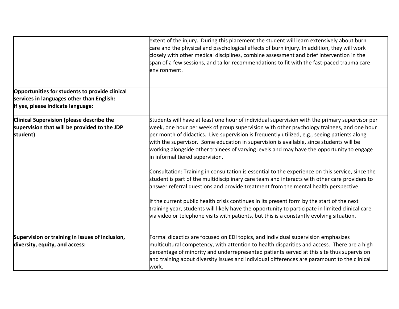|                                                                                                                                  | extent of the injury. During this placement the student will learn extensively about burn<br>care and the physical and psychological effects of burn injury. In addition, they will work<br>closely with other medical disciplines, combine assessment and brief intervention in the<br>span of a few sessions, and tailor recommendations to fit with the fast-paced trauma care<br>environment.                                                                                                                      |
|----------------------------------------------------------------------------------------------------------------------------------|------------------------------------------------------------------------------------------------------------------------------------------------------------------------------------------------------------------------------------------------------------------------------------------------------------------------------------------------------------------------------------------------------------------------------------------------------------------------------------------------------------------------|
| Opportunities for students to provide clinical<br>services in languages other than English:<br>If yes, please indicate language: |                                                                                                                                                                                                                                                                                                                                                                                                                                                                                                                        |
| Clinical Supervision (please describe the<br>supervision that will be provided to the JDP<br>student)                            | Students will have at least one hour of individual supervision with the primary supervisor per<br>week, one hour per week of group supervision with other psychology trainees, and one hour<br>per month of didactics. Live supervision is frequently utilized, e.g., seeing patients along<br>with the supervisor. Some education in supervision is available, since students will be<br>working alongside other trainees of varying levels and may have the opportunity to engage<br>in informal tiered supervision. |
|                                                                                                                                  | Consultation: Training in consultation is essential to the experience on this service, since the<br>student is part of the multidisciplinary care team and interacts with other care providers to<br>answer referral questions and provide treatment from the mental health perspective.                                                                                                                                                                                                                               |
|                                                                                                                                  | If the current public health crisis continues in its present form by the start of the next<br>training year, students will likely have the opportunity to participate in limited clinical care<br>via video or telephone visits with patients, but this is a constantly evolving situation.                                                                                                                                                                                                                            |
| Supervision or training in issues of inclusion,<br>diversity, equity, and access:                                                | Formal didactics are focused on EDI topics, and individual supervision emphasizes<br>multicultural competency, with attention to health disparities and access. There are a high<br>percentage of minority and underrepresented patients served at this site thus supervision<br>and training about diversity issues and individual differences are paramount to the clinical<br>work.                                                                                                                                 |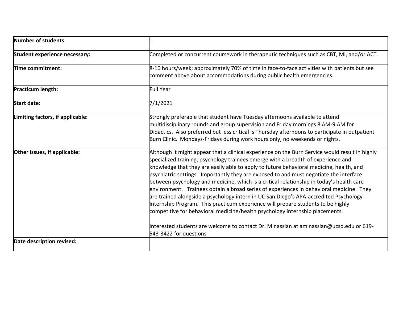| Number of students                   |                                                                                                                                                                                                                                                                                                                                                                                                                                                                                                                                                                                                                                                                                                                                                                                                                                                                                                                         |
|--------------------------------------|-------------------------------------------------------------------------------------------------------------------------------------------------------------------------------------------------------------------------------------------------------------------------------------------------------------------------------------------------------------------------------------------------------------------------------------------------------------------------------------------------------------------------------------------------------------------------------------------------------------------------------------------------------------------------------------------------------------------------------------------------------------------------------------------------------------------------------------------------------------------------------------------------------------------------|
| <b>Student experience necessary:</b> | Completed or concurrent coursework in therapeutic techniques such as CBT, MI, and/or ACT.                                                                                                                                                                                                                                                                                                                                                                                                                                                                                                                                                                                                                                                                                                                                                                                                                               |
| Time commitment:                     | 8-10 hours/week; approximately 70% of time in face-to-face activities with patients but see<br>comment above about accommodations during public health emergencies.                                                                                                                                                                                                                                                                                                                                                                                                                                                                                                                                                                                                                                                                                                                                                     |
| Practicum length:                    | Full Year                                                                                                                                                                                                                                                                                                                                                                                                                                                                                                                                                                                                                                                                                                                                                                                                                                                                                                               |
| Start date:                          | 7/1/2021                                                                                                                                                                                                                                                                                                                                                                                                                                                                                                                                                                                                                                                                                                                                                                                                                                                                                                                |
| Limiting factors, if applicable:     | Strongly preferable that student have Tuesday afternoons available to attend<br>multidisciplinary rounds and group supervision and Friday mornings 8 AM-9 AM for<br>Didactics. Also preferred but less critical is Thursday afternoons to participate in outpatient<br>Burn Clinic. Mondays-Fridays during work hours only, no weekends or nights.                                                                                                                                                                                                                                                                                                                                                                                                                                                                                                                                                                      |
| Other issues, if applicable:         | Although it might appear that a clinical experience on the Burn Service would result in highly<br>specialized training, psychology trainees emerge with a breadth of experience and<br>knowledge that they are easily able to apply to future behavioral medicine, health, and<br>psychiatric settings. Importantly they are exposed to and must negotiate the interface<br>between psychology and medicine, which is a critical relationship in today's health care<br>environment. Trainees obtain a broad series of experiences in behavioral medicine. They<br>are trained alongside a psychology intern in UC San Diego's APA-accredited Psychology<br>Internship Program. This practicum experience will prepare students to be highly<br>competitive for behavioral medicine/health psychology internship placements.<br>Interested students are welcome to contact Dr. Minassian at aminassian@ucsd.edu or 619- |
|                                      | 543-3422 for questions                                                                                                                                                                                                                                                                                                                                                                                                                                                                                                                                                                                                                                                                                                                                                                                                                                                                                                  |
| Date description revised:            |                                                                                                                                                                                                                                                                                                                                                                                                                                                                                                                                                                                                                                                                                                                                                                                                                                                                                                                         |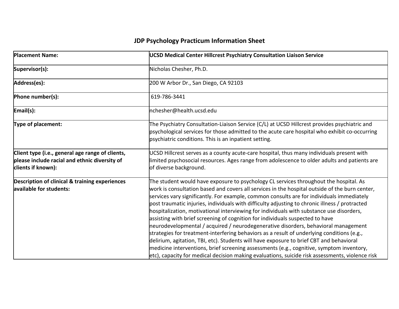| <b>Placement Name:</b>                                                                                                  | <b>UCSD Medical Center Hillcrest Psychiatry Consultation Liaison Service</b>                                                                                                                                                                                                                                                                                                                                                                                                                                                                                                                                                                                                                                                                                                                                                                                                                                                                                                                                                                      |
|-------------------------------------------------------------------------------------------------------------------------|---------------------------------------------------------------------------------------------------------------------------------------------------------------------------------------------------------------------------------------------------------------------------------------------------------------------------------------------------------------------------------------------------------------------------------------------------------------------------------------------------------------------------------------------------------------------------------------------------------------------------------------------------------------------------------------------------------------------------------------------------------------------------------------------------------------------------------------------------------------------------------------------------------------------------------------------------------------------------------------------------------------------------------------------------|
| Supervisor(s):                                                                                                          | Nicholas Chesher, Ph.D.                                                                                                                                                                                                                                                                                                                                                                                                                                                                                                                                                                                                                                                                                                                                                                                                                                                                                                                                                                                                                           |
| Address(es):                                                                                                            | 200 W Arbor Dr., San Diego, CA 92103                                                                                                                                                                                                                                                                                                                                                                                                                                                                                                                                                                                                                                                                                                                                                                                                                                                                                                                                                                                                              |
| Phone number(s):                                                                                                        | 619-786-3441                                                                                                                                                                                                                                                                                                                                                                                                                                                                                                                                                                                                                                                                                                                                                                                                                                                                                                                                                                                                                                      |
| Email(s):                                                                                                               | nchesher@health.ucsd.edu                                                                                                                                                                                                                                                                                                                                                                                                                                                                                                                                                                                                                                                                                                                                                                                                                                                                                                                                                                                                                          |
| Type of placement:                                                                                                      | The Psychiatry Consultation-Liaison Service (C/L) at UCSD Hillcrest provides psychiatric and<br>psychological services for those admitted to the acute care hospital who exhibit co-occurring<br>psychiatric conditions. This is an inpatient setting.                                                                                                                                                                                                                                                                                                                                                                                                                                                                                                                                                                                                                                                                                                                                                                                            |
| Client type (i.e., general age range of clients,<br>please include racial and ethnic diversity of<br>clients if known): | UCSD Hillcrest serves as a county acute-care hospital, thus many individuals present with<br>limited psychosocial resources. Ages range from adolescence to older adults and patients are<br>of diverse background.                                                                                                                                                                                                                                                                                                                                                                                                                                                                                                                                                                                                                                                                                                                                                                                                                               |
| Description of clinical & training experiences<br>available for students:                                               | The student would have exposure to psychology CL services throughout the hospital. As<br>work is consultation based and covers all services in the hospital outside of the burn center,<br>services vary significantly. For example, common consults are for individuals immediately<br>post traumatic injuries, individuals with difficulty adjusting to chronic illness / protracted<br>hospitalization, motivational interviewing for individuals with substance use disorders,<br>assisting with brief screening of cognition for individuals suspected to have<br>neurodevelopmental / acquired / neurodegenerative disorders, behavioral management<br>strategies for treatment-interfering behaviors as a result of underlying conditions (e.g.,<br>delirium, agitation, TBI, etc). Students will have exposure to brief CBT and behavioral<br>medicine interventions, brief screening assessments (e.g., cognitive, symptom inventory,<br>etc), capacity for medical decision making evaluations, suicide risk assessments, violence risk |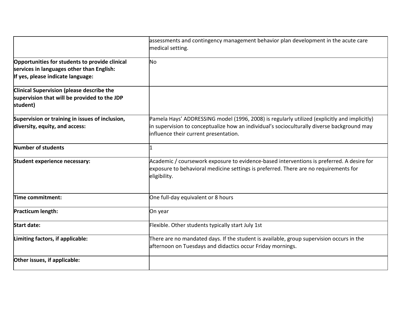|                                                                                                              | assessments and contingency management behavior plan development in the acute care                                                                                                                                                  |
|--------------------------------------------------------------------------------------------------------------|-------------------------------------------------------------------------------------------------------------------------------------------------------------------------------------------------------------------------------------|
|                                                                                                              | medical setting.                                                                                                                                                                                                                    |
| Opportunities for students to provide clinical<br>services in languages other than English:                  | No                                                                                                                                                                                                                                  |
| If yes, please indicate language:                                                                            |                                                                                                                                                                                                                                     |
| <b>Clinical Supervision (please describe the</b><br>supervision that will be provided to the JDP<br>student) |                                                                                                                                                                                                                                     |
| Supervision or training in issues of inclusion,<br>diversity, equity, and access:                            | Pamela Hays' ADDRESSING model (1996, 2008) is regularly utilized (explicitly and implicitly)<br>in supervision to conceptualize how an individual's socioculturally diverse background may<br>influence their current presentation. |
| Number of students                                                                                           |                                                                                                                                                                                                                                     |
| Student experience necessary:                                                                                | Academic / coursework exposure to evidence-based interventions is preferred. A desire for<br>exposure to behavioral medicine settings is preferred. There are no requirements for<br>eligibility.                                   |
| Time commitment:                                                                                             | One full-day equivalent or 8 hours                                                                                                                                                                                                  |
| Practicum length:                                                                                            | On year                                                                                                                                                                                                                             |
| <b>Start date:</b>                                                                                           | Flexible. Other students typically start July 1st                                                                                                                                                                                   |
| Limiting factors, if applicable:                                                                             | There are no mandated days. If the student is available, group supervision occurs in the<br>afternoon on Tuesdays and didactics occur Friday mornings.                                                                              |
| Other issues, if applicable:                                                                                 |                                                                                                                                                                                                                                     |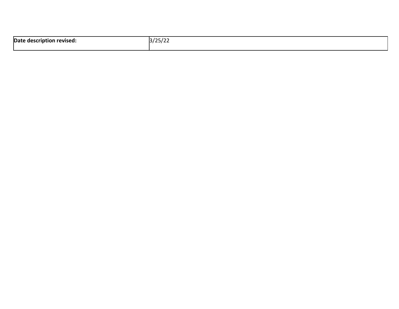| Date description revised: | 3/25/22 |
|---------------------------|---------|
|                           | 25/22   |
|                           |         |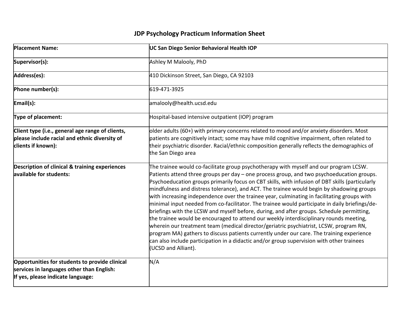| <b>Placement Name:</b>                                                                                                           | UC San Diego Senior Behavioral Health IOP                                                                                                                                                                                                                                                                                                                                                                                                                                                                                                                                                                                                                                                                                                                                                                                                                                                                                                                                                                                                                                             |
|----------------------------------------------------------------------------------------------------------------------------------|---------------------------------------------------------------------------------------------------------------------------------------------------------------------------------------------------------------------------------------------------------------------------------------------------------------------------------------------------------------------------------------------------------------------------------------------------------------------------------------------------------------------------------------------------------------------------------------------------------------------------------------------------------------------------------------------------------------------------------------------------------------------------------------------------------------------------------------------------------------------------------------------------------------------------------------------------------------------------------------------------------------------------------------------------------------------------------------|
| Supervisor(s):                                                                                                                   | Ashley M Malooly, PhD                                                                                                                                                                                                                                                                                                                                                                                                                                                                                                                                                                                                                                                                                                                                                                                                                                                                                                                                                                                                                                                                 |
| Address(es):                                                                                                                     | 410 Dickinson Street, San Diego, CA 92103                                                                                                                                                                                                                                                                                                                                                                                                                                                                                                                                                                                                                                                                                                                                                                                                                                                                                                                                                                                                                                             |
| Phone number(s):                                                                                                                 | 619-471-3925                                                                                                                                                                                                                                                                                                                                                                                                                                                                                                                                                                                                                                                                                                                                                                                                                                                                                                                                                                                                                                                                          |
| $\mathsf{Email}(s)$ :                                                                                                            | amalooly@health.ucsd.edu                                                                                                                                                                                                                                                                                                                                                                                                                                                                                                                                                                                                                                                                                                                                                                                                                                                                                                                                                                                                                                                              |
| Type of placement:                                                                                                               | Hospital-based intensive outpatient (IOP) program                                                                                                                                                                                                                                                                                                                                                                                                                                                                                                                                                                                                                                                                                                                                                                                                                                                                                                                                                                                                                                     |
| Client type (i.e., general age range of clients,<br>please include racial and ethnic diversity of<br>clients if known):          | older adults (60+) with primary concerns related to mood and/or anxiety disorders. Most<br>patients are cognitively intact; some may have mild cognitive impairment, often related to<br>their psychiatric disorder. Racial/ethnic composition generally reflects the demographics of<br>the San Diego area                                                                                                                                                                                                                                                                                                                                                                                                                                                                                                                                                                                                                                                                                                                                                                           |
| <b>Description of clinical &amp; training experiences</b><br>available for students:                                             | The trainee would co-facilitate group psychotherapy with myself and our program LCSW.<br>Patients attend three groups per day - one process group, and two psychoeducation groups.<br>Psychoeducation groups primarily focus on CBT skills, with infusion of DBT skills (particularly<br>mindfulness and distress tolerance), and ACT. The trainee would begin by shadowing groups<br>with increasing independence over the trainee year, culminating in facilitating groups with<br>minimal input needed from co-facilitator. The trainee would participate in daily briefings/de-<br>briefings with the LCSW and myself before, during, and after groups. Schedule permitting,<br>the trainee would be encouraged to attend our weekly interdisciplinary rounds meeting,<br>wherein our treatment team (medical director/geriatric psychiatrist, LCSW, program RN,<br>program MA) gathers to discuss patients currently under our care. The training experience<br>can also include participation in a didactic and/or group supervision with other trainees<br>(UCSD and Alliant). |
| Opportunities for students to provide clinical<br>services in languages other than English:<br>If yes, please indicate language: | N/A                                                                                                                                                                                                                                                                                                                                                                                                                                                                                                                                                                                                                                                                                                                                                                                                                                                                                                                                                                                                                                                                                   |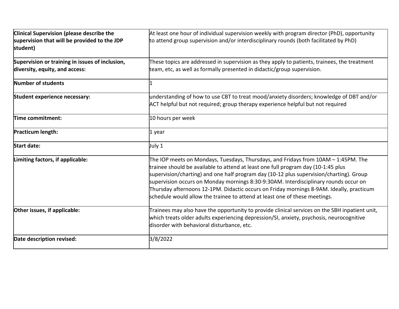| Clinical Supervision (please describe the                                         | At least one hour of individual supervision weekly with program director (PhD), opportunity                                                                                                                                                                                                                                                                                                                                                                                                                                          |
|-----------------------------------------------------------------------------------|--------------------------------------------------------------------------------------------------------------------------------------------------------------------------------------------------------------------------------------------------------------------------------------------------------------------------------------------------------------------------------------------------------------------------------------------------------------------------------------------------------------------------------------|
| supervision that will be provided to the JDP<br>student)                          | to attend group supervision and/or interdisciplinary rounds (both facilitated by PhD)                                                                                                                                                                                                                                                                                                                                                                                                                                                |
| Supervision or training in issues of inclusion,<br>diversity, equity, and access: | These topics are addressed in supervision as they apply to patients, trainees, the treatment<br>team, etc, as well as formally presented in didactic/group supervision.                                                                                                                                                                                                                                                                                                                                                              |
| Number of students                                                                |                                                                                                                                                                                                                                                                                                                                                                                                                                                                                                                                      |
| Student experience necessary:                                                     | understanding of how to use CBT to treat mood/anxiety disorders; knowledge of DBT and/or<br>ACT helpful but not required; group therapy experience helpful but not required                                                                                                                                                                                                                                                                                                                                                          |
| Time commitment:                                                                  | 10 hours per week                                                                                                                                                                                                                                                                                                                                                                                                                                                                                                                    |
| Practicum length:                                                                 | 1 year                                                                                                                                                                                                                                                                                                                                                                                                                                                                                                                               |
| <b>Start date:</b>                                                                | July 1                                                                                                                                                                                                                                                                                                                                                                                                                                                                                                                               |
| Limiting factors, if applicable:                                                  | The IOP meets on Mondays, Tuesdays, Thursdays, and Fridays from 10AM - 1:45PM. The<br>trainee should be available to attend at least one full program day (10-1:45 plus<br>supervision/charting) and one half program day (10-12 plus supervision/charting). Group<br>supervision occurs on Monday mornings 8:30-9:30AM. Interdisciplinary rounds occur on<br>Thursday afternoons 12-1PM. Didactic occurs on Friday mornings 8-9AM. Ideally, practicum<br>schedule would allow the trainee to attend at least one of these meetings. |
| Other issues, if applicable:                                                      | Trainees may also have the opportunity to provide clinical services on the SBH inpatient unit,<br>which treats older adults experiencing depression/SI, anxiety, psychosis, neurocognitive<br>disorder with behavioral disturbance, etc.                                                                                                                                                                                                                                                                                             |
| Date description revised:                                                         | 3/8/2022                                                                                                                                                                                                                                                                                                                                                                                                                                                                                                                             |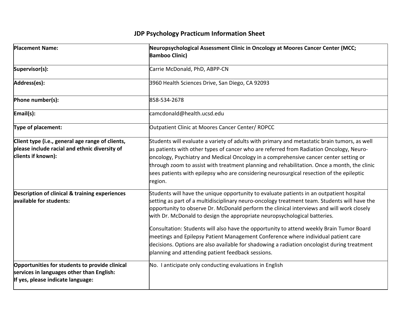| <b>Placement Name:</b>                                                                                                           | Neuropsychological Assessment Clinic in Oncology at Moores Cancer Center (MCC;<br><b>Bamboo Clinic)</b>                                                                                                                                                                                                                                                                                                                                                                                                                                                                                                                                                                                                 |
|----------------------------------------------------------------------------------------------------------------------------------|---------------------------------------------------------------------------------------------------------------------------------------------------------------------------------------------------------------------------------------------------------------------------------------------------------------------------------------------------------------------------------------------------------------------------------------------------------------------------------------------------------------------------------------------------------------------------------------------------------------------------------------------------------------------------------------------------------|
| Supervisor(s):                                                                                                                   | Carrie McDonald, PhD, ABPP-CN                                                                                                                                                                                                                                                                                                                                                                                                                                                                                                                                                                                                                                                                           |
| Address(es):                                                                                                                     | 3960 Health Sciences Drive, San Diego, CA 92093                                                                                                                                                                                                                                                                                                                                                                                                                                                                                                                                                                                                                                                         |
| Phone number(s):                                                                                                                 | 858-534-2678                                                                                                                                                                                                                                                                                                                                                                                                                                                                                                                                                                                                                                                                                            |
| Email(s):                                                                                                                        | camcdonald@health.ucsd.edu                                                                                                                                                                                                                                                                                                                                                                                                                                                                                                                                                                                                                                                                              |
| Type of placement:                                                                                                               | Outpatient Clinic at Moores Cancer Center/ ROPCC                                                                                                                                                                                                                                                                                                                                                                                                                                                                                                                                                                                                                                                        |
| Client type (i.e., general age range of clients,<br>please include racial and ethnic diversity of<br>clients if known):          | Students will evaluate a variety of adults with primary and metastatic brain tumors, as well<br>as patients with other types of cancer who are referred from Radiation Oncology, Neuro-<br>oncology, Psychiatry and Medical Oncology in a comprehensive cancer center setting or<br>through zoom to assist with treatment planning and rehabilitation. Once a month, the clinic<br>sees patients with epilepsy who are considering neurosurgical resection of the epileptic<br>region.                                                                                                                                                                                                                  |
| Description of clinical & training experiences<br>available for students:                                                        | Students will have the unique opportunity to evaluate patients in an outpatient hospital<br>setting as part of a multidisciplinary neuro-oncology treatment team. Students will have the<br>opportunity to observe Dr. McDonald perform the clinical interviews and will work closely<br>with Dr. McDonald to design the appropriate neuropsychological batteries.<br>Consultation: Students will also have the opportunity to attend weekly Brain Tumor Board<br>meetings and Epilepsy Patient Management Conference where individual patient care<br>decisions. Options are also available for shadowing a radiation oncologist during treatment<br>planning and attending patient feedback sessions. |
| Opportunities for students to provide clinical<br>services in languages other than English:<br>If yes, please indicate language: | No. I anticipate only conducting evaluations in English                                                                                                                                                                                                                                                                                                                                                                                                                                                                                                                                                                                                                                                 |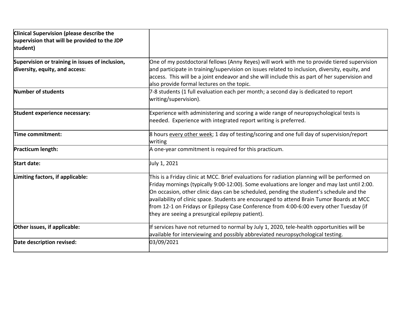| Clinical Supervision (please describe the<br>supervision that will be provided to the JDP<br>student) |                                                                                                                                                                                                                                                                                                                                                                                                                                                                                                                                      |
|-------------------------------------------------------------------------------------------------------|--------------------------------------------------------------------------------------------------------------------------------------------------------------------------------------------------------------------------------------------------------------------------------------------------------------------------------------------------------------------------------------------------------------------------------------------------------------------------------------------------------------------------------------|
| Supervision or training in issues of inclusion,<br>diversity, equity, and access:                     | One of my postdoctoral fellows (Anny Reyes) will work with me to provide tiered supervision<br>and participate in training/supervision on issues related to inclusion, diversity, equity, and<br>access. This will be a joint endeavor and she will include this as part of her supervision and<br>also provide formal lectures on the topic.                                                                                                                                                                                        |
| Number of students                                                                                    | 7-8 students (1 full evaluation each per month; a second day is dedicated to report<br>writing/supervision).                                                                                                                                                                                                                                                                                                                                                                                                                         |
| Student experience necessary:                                                                         | Experience with administering and scoring a wide range of neuropsychological tests is<br>needed. Experience with integrated report writing is preferred.                                                                                                                                                                                                                                                                                                                                                                             |
| Time commitment:                                                                                      | 8 hours every other week; 1 day of testing/scoring and one full day of supervision/report<br>writing                                                                                                                                                                                                                                                                                                                                                                                                                                 |
| Practicum length:                                                                                     | A one-year commitment is required for this practicum.                                                                                                                                                                                                                                                                                                                                                                                                                                                                                |
| <b>Start date:</b>                                                                                    | July 1, 2021                                                                                                                                                                                                                                                                                                                                                                                                                                                                                                                         |
| Limiting factors, if applicable:                                                                      | This is a Friday clinic at MCC. Brief evaluations for radiation planning will be performed on<br>Friday mornings (typically 9:00-12:00). Some evaluations are longer and may last until 2:00.<br>On occasion, other clinic days can be scheduled, pending the student's schedule and the<br>availability of clinic space. Students are encouraged to attend Brain Tumor Boards at MCC<br>from 12-1 on Fridays or Epilepsy Case Conference from 4:00-6:00 every other Tuesday (if<br>they are seeing a presurgical epilepsy patient). |
| Other issues, if applicable:                                                                          | If services have not returned to normal by July 1, 2020, tele-health opportunities will be<br>available for interviewing and possibly abbreviated neuropsychological testing.                                                                                                                                                                                                                                                                                                                                                        |
| Date description revised:                                                                             | 03/09/2021                                                                                                                                                                                                                                                                                                                                                                                                                                                                                                                           |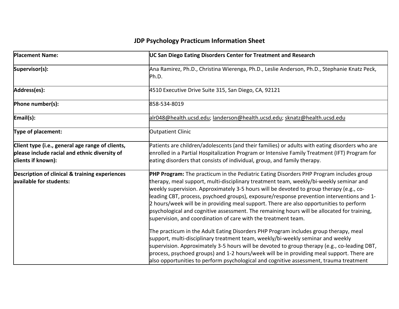| <b>Placement Name:</b>                                                                                                  | UC San Diego Eating Disorders Center for Treatment and Research                                                                                                                                                                                                                                                                                                                                                                                                                                                                                                                                                                       |
|-------------------------------------------------------------------------------------------------------------------------|---------------------------------------------------------------------------------------------------------------------------------------------------------------------------------------------------------------------------------------------------------------------------------------------------------------------------------------------------------------------------------------------------------------------------------------------------------------------------------------------------------------------------------------------------------------------------------------------------------------------------------------|
| Supervisor(s):                                                                                                          | Ana Ramirez, Ph.D., Christina Wierenga, Ph.D., Leslie Anderson, Ph.D., Stephanie Knatz Peck,<br>Ph.D.                                                                                                                                                                                                                                                                                                                                                                                                                                                                                                                                 |
| Address(es):                                                                                                            | 4510 Executive Drive Suite 315, San Diego, CA, 92121                                                                                                                                                                                                                                                                                                                                                                                                                                                                                                                                                                                  |
| Phone number(s):                                                                                                        | 858-534-8019                                                                                                                                                                                                                                                                                                                                                                                                                                                                                                                                                                                                                          |
| Email(s):                                                                                                               | alr048@health.ucsd.edu; landerson@health.ucsd.edu; sknatz@health.ucsd.edu                                                                                                                                                                                                                                                                                                                                                                                                                                                                                                                                                             |
| Type of placement:                                                                                                      | <b>Outpatient Clinic</b>                                                                                                                                                                                                                                                                                                                                                                                                                                                                                                                                                                                                              |
| Client type (i.e., general age range of clients,<br>please include racial and ethnic diversity of<br>clients if known): | Patients are children/adolescents (and their families) or adults with eating disorders who are<br>enrolled in a Partial Hospitalization Program or Intensive Family Treatment (IFT) Program for<br>eating disorders that consists of individual, group, and family therapy.                                                                                                                                                                                                                                                                                                                                                           |
| <b>Description of clinical &amp; training experiences</b><br>available for students:                                    | PHP Program: The practicum in the Pediatric Eating Disorders PHP Program includes group<br>therapy, meal support, multi-disciplinary treatment team, weekly/bi-weekly seminar and<br>weekly supervision. Approximately 3-5 hours will be devoted to group therapy (e.g., co-<br>leading CBT, process, psychoed groups), exposure/response prevention interventions and 1-<br>2 hours/week will be in providing meal support. There are also opportunities to perform<br>psychological and cognitive assessment. The remaining hours will be allocated for training,<br>supervision, and coordination of care with the treatment team. |
|                                                                                                                         | The practicum in the Adult Eating Disorders PHP Program includes group therapy, meal<br>support, multi-disciplinary treatment team, weekly/bi-weekly seminar and weekly<br>supervision. Approximately 3-5 hours will be devoted to group therapy (e.g., co-leading DBT,<br>process, psychoed groups) and 1-2 hours/week will be in providing meal support. There are<br>also opportunities to perform psychological and cognitive assessment, trauma treatment                                                                                                                                                                        |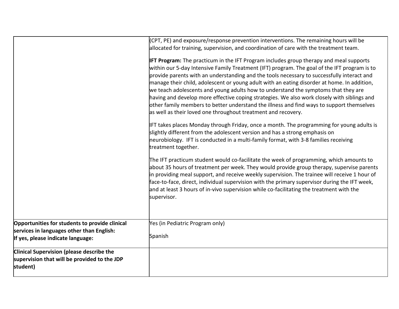|                                                                                                                                  | (CPT, PE) and exposure/response prevention interventions. The remaining hours will be<br>allocated for training, supervision, and coordination of care with the treatment team.                                                                                                                                                                                                                                                                                                                                                                                                                                                                                                                                                               |
|----------------------------------------------------------------------------------------------------------------------------------|-----------------------------------------------------------------------------------------------------------------------------------------------------------------------------------------------------------------------------------------------------------------------------------------------------------------------------------------------------------------------------------------------------------------------------------------------------------------------------------------------------------------------------------------------------------------------------------------------------------------------------------------------------------------------------------------------------------------------------------------------|
|                                                                                                                                  | <b>IFT Program:</b> The practicum in the IFT Program includes group therapy and meal supports<br>within our 5-day Intensive Family Treatment (IFT) program. The goal of the IFT program is to<br>provide parents with an understanding and the tools necessary to successfully interact and<br>manage their child, adolescent or young adult with an eating disorder at home. In addition,<br>we teach adolescents and young adults how to understand the symptoms that they are<br>having and develop more effective coping strategies. We also work closely with siblings and<br>other family members to better understand the illness and find ways to support themselves<br>as well as their loved one throughout treatment and recovery. |
|                                                                                                                                  | IFT takes places Monday through Friday, once a month. The programming for young adults is<br>slightly different from the adolescent version and has a strong emphasis on<br>neurobiology. IFT is conducted in a multi-family format, with 3-8 families receiving<br>treatment together.                                                                                                                                                                                                                                                                                                                                                                                                                                                       |
|                                                                                                                                  | The IFT practicum student would co-facilitate the week of programming, which amounts to<br>about 35 hours of treatment per week. They would provide group therapy, supervise parents<br>in providing meal support, and receive weekly supervision. The trainee will receive 1 hour of<br>face-to-face, direct, individual supervision with the primary supervisor during the IFT week,<br>and at least 3 hours of in-vivo supervision while co-facilitating the treatment with the<br>supervisor.                                                                                                                                                                                                                                             |
| Opportunities for students to provide clinical<br>services in languages other than English:<br>If yes, please indicate language: | Yes (in Pediatric Program only)<br>Spanish                                                                                                                                                                                                                                                                                                                                                                                                                                                                                                                                                                                                                                                                                                    |
| Clinical Supervision (please describe the<br>supervision that will be provided to the JDP<br>student)                            |                                                                                                                                                                                                                                                                                                                                                                                                                                                                                                                                                                                                                                                                                                                                               |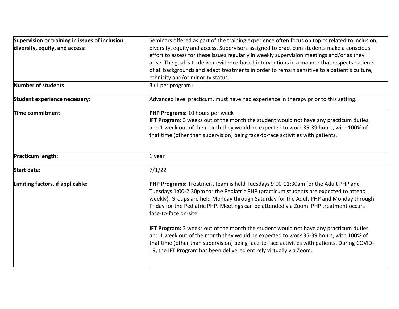| Supervision or training in issues of inclusion, | Seminars offered as part of the training experience often focus on topics related to inclusion,                                                                                                                                                                                                                                                                                                                                                                                       |
|-------------------------------------------------|---------------------------------------------------------------------------------------------------------------------------------------------------------------------------------------------------------------------------------------------------------------------------------------------------------------------------------------------------------------------------------------------------------------------------------------------------------------------------------------|
| diversity, equity, and access:                  | diversity, equity and access. Supervisors assigned to practicum students make a conscious                                                                                                                                                                                                                                                                                                                                                                                             |
|                                                 | effort to assess for these issues regularly in weekly supervision meetings and/or as they                                                                                                                                                                                                                                                                                                                                                                                             |
|                                                 | arise. The goal is to deliver evidence-based interventions in a manner that respects patients                                                                                                                                                                                                                                                                                                                                                                                         |
|                                                 | of all backgrounds and adapt treatments in order to remain sensitive to a patient's culture,                                                                                                                                                                                                                                                                                                                                                                                          |
|                                                 | ethnicity and/or minority status.                                                                                                                                                                                                                                                                                                                                                                                                                                                     |
| Number of students                              | $3(1$ per program)                                                                                                                                                                                                                                                                                                                                                                                                                                                                    |
| Student experience necessary:                   | Advanced level practicum, must have had experience in therapy prior to this setting.                                                                                                                                                                                                                                                                                                                                                                                                  |
| Time commitment:                                | PHP Programs: 10 hours per week                                                                                                                                                                                                                                                                                                                                                                                                                                                       |
|                                                 | <b>IFT Program:</b> 3 weeks out of the month the student would not have any practicum duties,                                                                                                                                                                                                                                                                                                                                                                                         |
|                                                 | and 1 week out of the month they would be expected to work 35-39 hours, with 100% of                                                                                                                                                                                                                                                                                                                                                                                                  |
|                                                 | that time (other than supervision) being face-to-face activities with patients.                                                                                                                                                                                                                                                                                                                                                                                                       |
| Practicum length:                               | 1 year                                                                                                                                                                                                                                                                                                                                                                                                                                                                                |
| <b>Start date:</b>                              | 7/1/22                                                                                                                                                                                                                                                                                                                                                                                                                                                                                |
| Limiting factors, if applicable:                | PHP Programs: Treatment team is held Tuesdays 9:00-11:30am for the Adult PHP and<br>Tuesdays 1:00-2:30pm for the Pediatric PHP (practicum students are expected to attend<br>weekly). Groups are held Monday through Saturday for the Adult PHP and Monday through<br>Friday for the Pediatric PHP. Meetings can be attended via Zoom. PHP treatment occurs<br>face-to-face on-site.<br><b>IFT Program:</b> 3 weeks out of the month the student would not have any practicum duties, |
|                                                 | and 1 week out of the month they would be expected to work 35-39 hours, with 100% of<br>that time (other than supervision) being face-to-face activities with patients. During COVID-<br>19, the IFT Program has been delivered entirely virtually via Zoom.                                                                                                                                                                                                                          |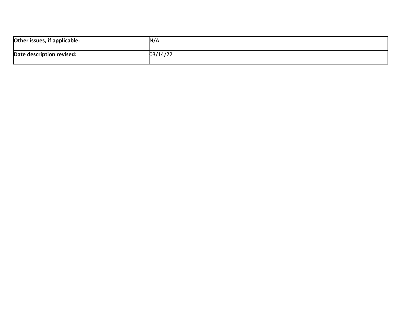| Other issues, if applicable: | N/A      |
|------------------------------|----------|
| Date description revised:    | 03/14/22 |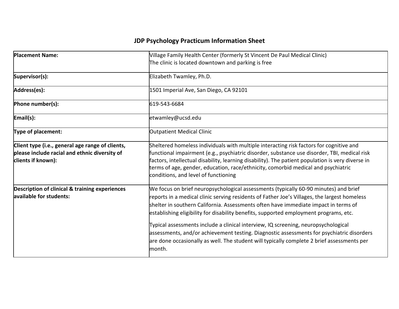| <b>Placement Name:</b>                                                                                                  | Village Family Health Center (formerly St Vincent De Paul Medical Clinic)<br>The clinic is located downtown and parking is free                                                                                                                                                                                                                                                                                                                                                                                                                                                                                                                                 |
|-------------------------------------------------------------------------------------------------------------------------|-----------------------------------------------------------------------------------------------------------------------------------------------------------------------------------------------------------------------------------------------------------------------------------------------------------------------------------------------------------------------------------------------------------------------------------------------------------------------------------------------------------------------------------------------------------------------------------------------------------------------------------------------------------------|
| Supervisor(s):                                                                                                          | Elizabeth Twamley, Ph.D.                                                                                                                                                                                                                                                                                                                                                                                                                                                                                                                                                                                                                                        |
| Address(es):                                                                                                            | 1501 Imperial Ave, San Diego, CA 92101                                                                                                                                                                                                                                                                                                                                                                                                                                                                                                                                                                                                                          |
| Phone number(s):                                                                                                        | 619-543-6684                                                                                                                                                                                                                                                                                                                                                                                                                                                                                                                                                                                                                                                    |
| Email(s):                                                                                                               | etwamley@ucsd.edu                                                                                                                                                                                                                                                                                                                                                                                                                                                                                                                                                                                                                                               |
| Type of placement:                                                                                                      | Outpatient Medical Clinic                                                                                                                                                                                                                                                                                                                                                                                                                                                                                                                                                                                                                                       |
| Client type (i.e., general age range of clients,<br>please include racial and ethnic diversity of<br>clients if known): | Sheltered homeless individuals with multiple interacting risk factors for cognitive and<br>functional impairment (e.g., psychiatric disorder, substance use disorder, TBI, medical risk<br>factors, intellectual disability, learning disability). The patient population is very diverse in<br>terms of age, gender, education, race/ethnicity, comorbid medical and psychiatric<br>conditions, and level of functioning                                                                                                                                                                                                                                       |
| Description of clinical & training experiences<br>available for students:                                               | We focus on brief neuropsychological assessments (typically 60-90 minutes) and brief<br>reports in a medical clinic serving residents of Father Joe's Villages, the largest homeless<br>shelter in southern California. Assessments often have immediate impact in terms of<br>establishing eligibility for disability benefits, supported employment programs, etc.<br>Typical assessments include a clinical interview, IQ screening, neuropsychological<br>assessments, and/or achievement testing. Diagnostic assessments for psychiatric disorders<br>are done occasionally as well. The student will typically complete 2 brief assessments per<br>month. |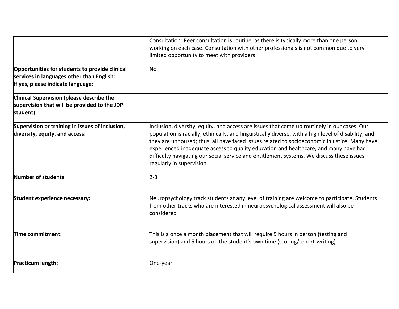|                                                                                                                                  | Consultation: Peer consultation is routine, as there is typically more than one person<br>working on each case. Consultation with other professionals is not common due to very<br>limited opportunity to meet with providers                                                                                                                                                                                                                                                                                          |
|----------------------------------------------------------------------------------------------------------------------------------|------------------------------------------------------------------------------------------------------------------------------------------------------------------------------------------------------------------------------------------------------------------------------------------------------------------------------------------------------------------------------------------------------------------------------------------------------------------------------------------------------------------------|
| Opportunities for students to provide clinical<br>services in languages other than English:<br>If yes, please indicate language: | No                                                                                                                                                                                                                                                                                                                                                                                                                                                                                                                     |
| Clinical Supervision (please describe the<br>supervision that will be provided to the JDP<br>student)                            |                                                                                                                                                                                                                                                                                                                                                                                                                                                                                                                        |
| Supervision or training in issues of inclusion,<br>diversity, equity, and access:                                                | Inclusion, diversity, equity, and access are issues that come up routinely in our cases. Our<br>population is racially, ethnically, and linguistically diverse, with a high level of disability, and<br>they are unhoused; thus, all have faced issues related to socioeconomic injustice. Many have<br>experienced inadequate access to quality education and healthcare, and many have had<br>difficulty navigating our social service and entitlement systems. We discuss these issues<br>regularly in supervision. |
| Number of students                                                                                                               | $2 - 3$                                                                                                                                                                                                                                                                                                                                                                                                                                                                                                                |
| Student experience necessary:                                                                                                    | Neuropsychology track students at any level of training are welcome to participate. Students<br>from other tracks who are interested in neuropsychological assessment will also be<br>considered                                                                                                                                                                                                                                                                                                                       |
| Time commitment:                                                                                                                 | This is a once a month placement that will require 5 hours in person (testing and<br>supervision) and 5 hours on the student's own time (scoring/report-writing).                                                                                                                                                                                                                                                                                                                                                      |
| Practicum length:                                                                                                                | One-year                                                                                                                                                                                                                                                                                                                                                                                                                                                                                                               |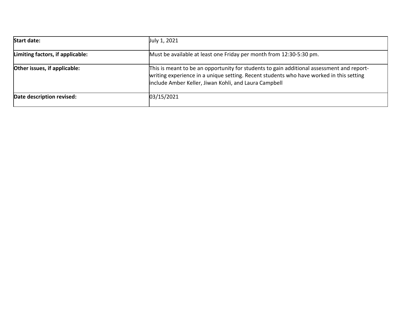| <b>Start date:</b>               | July 1, 2021                                                                                                                                                                                                                                  |
|----------------------------------|-----------------------------------------------------------------------------------------------------------------------------------------------------------------------------------------------------------------------------------------------|
| Limiting factors, if applicable: | Must be available at least one Friday per month from 12:30-5:30 pm.                                                                                                                                                                           |
| Other issues, if applicable:     | This is meant to be an opportunity for students to gain additional assessment and report-<br>writing experience in a unique setting. Recent students who have worked in this setting<br>include Amber Keller, Jiwan Kohli, and Laura Campbell |
| Date description revised:        | 03/15/2021                                                                                                                                                                                                                                    |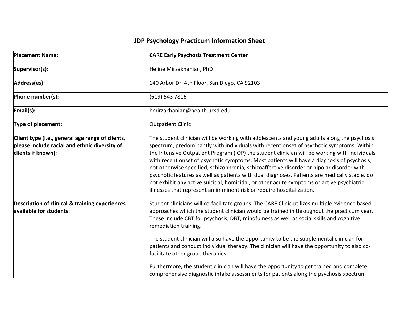| <b>Placement Name:</b>                                                                                                  | <b>CARE Early Psychosis Treatment Center</b>                                                                                                                                                                                                                                                                                                                                                                                                                                                                                                                                                                                                                                                                                                               |
|-------------------------------------------------------------------------------------------------------------------------|------------------------------------------------------------------------------------------------------------------------------------------------------------------------------------------------------------------------------------------------------------------------------------------------------------------------------------------------------------------------------------------------------------------------------------------------------------------------------------------------------------------------------------------------------------------------------------------------------------------------------------------------------------------------------------------------------------------------------------------------------------|
| Supervisor(s):                                                                                                          | Heline Mirzakhanian, PhD                                                                                                                                                                                                                                                                                                                                                                                                                                                                                                                                                                                                                                                                                                                                   |
| Address(es):                                                                                                            | 140 Arbor Dr. 4th Floor, San Diego, CA 92103                                                                                                                                                                                                                                                                                                                                                                                                                                                                                                                                                                                                                                                                                                               |
| Phone number(s):                                                                                                        | (619) 543 7816                                                                                                                                                                                                                                                                                                                                                                                                                                                                                                                                                                                                                                                                                                                                             |
| Email(s):                                                                                                               | hmirzakhanian@health.ucsd.edu                                                                                                                                                                                                                                                                                                                                                                                                                                                                                                                                                                                                                                                                                                                              |
| Type of placement:                                                                                                      | Outpatient Clinic                                                                                                                                                                                                                                                                                                                                                                                                                                                                                                                                                                                                                                                                                                                                          |
| Client type (i.e., general age range of clients,<br>please include racial and ethnic diversity of<br>clients if known): | The student clinician will be working with adolescents and young adults along the psychosis<br>spectrum, predominantly with individuals with recent onset of psychotic symptoms. Within<br>the Intensive Outpatient Program (IOP) the student clinician will be working with individuals<br>with recent onset of psychotic symptoms. Most patients will have a diagnosis of psychosis,<br>not otherwise specified; schizophrenia, schizoaffective disorder or bipolar disorder with<br>psychotic features as well as patients with dual diagnoses. Patients are medically stable, do<br>not exhibit any active suicidal, homicidal, or other acute symptoms or active psychiatric<br>illnesses that represent an imminent risk or require hospitalization. |
| <b>Description of clinical &amp; training experiences</b><br>available for students:                                    | Student clinicians will co-facilitate groups. The CARE Clinic utilizes multiple evidence based<br>approaches which the student clinician would be trained in throughout the practicum year.<br>These include CBT for psychosis, DBT, mindfulness as well as social skills and cognitive<br>remediation training.<br>The student clinician will also have the opportunity to be the supplemental clinician for<br>patients and conduct individual therapy. The clinician will have the opportunity to also co-<br>facilitate other group therapies.                                                                                                                                                                                                         |
|                                                                                                                         | Furthermore, the student clinician will have the opportunity to get trained and complete<br>comprehensive diagnostic intake assessments for patients along the psychosis spectrum                                                                                                                                                                                                                                                                                                                                                                                                                                                                                                                                                                          |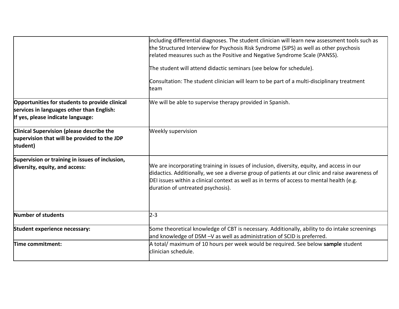|                                                                                                                                  | including differential diagnoses. The student clinician will learn new assessment tools such as<br>the Structured Interview for Psychosis Risk Syndrome (SIPS) as well as other psychosis<br>related measures such as the Positive and Negative Syndrome Scale (PANSS).<br>The student will attend didactic seminars (see below for schedule).<br>Consultation: The student clinician will learn to be part of a multi-disciplinary treatment |
|----------------------------------------------------------------------------------------------------------------------------------|-----------------------------------------------------------------------------------------------------------------------------------------------------------------------------------------------------------------------------------------------------------------------------------------------------------------------------------------------------------------------------------------------------------------------------------------------|
|                                                                                                                                  | team                                                                                                                                                                                                                                                                                                                                                                                                                                          |
| Opportunities for students to provide clinical<br>services in languages other than English:<br>If yes, please indicate language: | We will be able to supervise therapy provided in Spanish.                                                                                                                                                                                                                                                                                                                                                                                     |
| <b>Clinical Supervision (please describe the</b><br>supervision that will be provided to the JDP<br>student)                     | <b>Weekly supervision</b>                                                                                                                                                                                                                                                                                                                                                                                                                     |
| Supervision or training in issues of inclusion,<br>diversity, equity, and access:                                                | We are incorporating training in issues of inclusion, diversity, equity, and access in our<br>didactics. Additionally, we see a diverse group of patients at our clinic and raise awareness of<br>DEI issues within a clinical context as well as in terms of access to mental health (e.g.<br>duration of untreated psychosis).                                                                                                              |
| Number of students                                                                                                               | $2 - 3$                                                                                                                                                                                                                                                                                                                                                                                                                                       |
| Student experience necessary:                                                                                                    | Some theoretical knowledge of CBT is necessary. Additionally, ability to do intake screenings<br>and knowledge of DSM -V as well as administration of SCID is preferred.                                                                                                                                                                                                                                                                      |
| Time commitment:                                                                                                                 | A total/ maximum of 10 hours per week would be required. See below sample student<br>clinician schedule.                                                                                                                                                                                                                                                                                                                                      |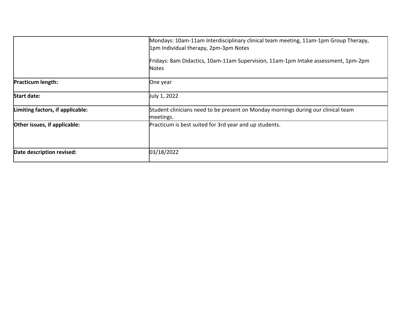|                                  | Mondays: 10am-11am Interdisciplinary clinical team meeting, 11am-1pm Group Therapy,<br>1pm Individual therapy, 2pm-3pm Notes |
|----------------------------------|------------------------------------------------------------------------------------------------------------------------------|
|                                  | Fridays: 8am Didactics, 10am-11am Supervision, 11am-1pm Intake assessment, 1pm-2pm<br><b>Notes</b>                           |
| <b>Practicum length:</b>         | One year                                                                                                                     |
| <b>Start date:</b>               | July 1, 2022                                                                                                                 |
| Limiting factors, if applicable: | Student clinicians need to be present on Monday mornings during our clinical team<br>meetings.                               |
| Other issues, if applicable:     | Practicum is best suited for 3rd year and up students.                                                                       |
| Date description revised:        | 03/18/2022                                                                                                                   |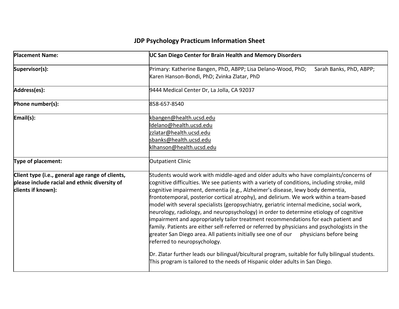| <b>Placement Name:</b>                                                                                                  | UC San Diego Center for Brain Health and Memory Disorders                                                                                                                                                                                                                                                                                                                                                                                                                                                                                                                                                                                                                                                                                                                                                                                                                                                                                                                                                                                                    |
|-------------------------------------------------------------------------------------------------------------------------|--------------------------------------------------------------------------------------------------------------------------------------------------------------------------------------------------------------------------------------------------------------------------------------------------------------------------------------------------------------------------------------------------------------------------------------------------------------------------------------------------------------------------------------------------------------------------------------------------------------------------------------------------------------------------------------------------------------------------------------------------------------------------------------------------------------------------------------------------------------------------------------------------------------------------------------------------------------------------------------------------------------------------------------------------------------|
| Supervisor(s):                                                                                                          | Primary: Katherine Bangen, PhD, ABPP; Lisa Delano-Wood, PhD;<br>Sarah Banks, PhD, ABPP;<br>Karen Hanson-Bondi, PhD; Zvinka Zlatar, PhD                                                                                                                                                                                                                                                                                                                                                                                                                                                                                                                                                                                                                                                                                                                                                                                                                                                                                                                       |
| Address(es):                                                                                                            | 9444 Medical Center Dr, La Jolla, CA 92037                                                                                                                                                                                                                                                                                                                                                                                                                                                                                                                                                                                                                                                                                                                                                                                                                                                                                                                                                                                                                   |
| Phone number(s):                                                                                                        | 858-657-8540                                                                                                                                                                                                                                                                                                                                                                                                                                                                                                                                                                                                                                                                                                                                                                                                                                                                                                                                                                                                                                                 |
| Email(s):                                                                                                               | kbangen@health.ucsd.edu<br>ldelano@health.ucsd.edu<br>zzlatar@health.ucsd.edu<br>sbanks@health.ucsd.edu<br>klhanson@health.ucsd.edu                                                                                                                                                                                                                                                                                                                                                                                                                                                                                                                                                                                                                                                                                                                                                                                                                                                                                                                          |
| Type of placement:                                                                                                      | <b>Outpatient Clinic</b>                                                                                                                                                                                                                                                                                                                                                                                                                                                                                                                                                                                                                                                                                                                                                                                                                                                                                                                                                                                                                                     |
| Client type (i.e., general age range of clients,<br>please include racial and ethnic diversity of<br>clients if known): | Students would work with middle-aged and older adults who have complaints/concerns of<br>cognitive difficulties. We see patients with a variety of conditions, including stroke, mild<br>cognitive impairment, dementia (e.g., Alzheimer's disease, lewy body dementia,<br>frontotemporal, posterior cortical atrophy), and delirium. We work within a team-based<br>model with several specialists (geropsychiatry, geriatric internal medicine, social work,<br>neurology, radiology, and neuropsychology) in order to determine etiology of cognitive<br>impairment and appropriately tailor treatment recommendations for each patient and<br>family. Patients are either self-referred or referred by physicians and psychologists in the<br>greater San Diego area. All patients initially see one of our physicians before being<br>referred to neuropsychology.<br>Dr. Zlatar further leads our bilingual/bicultural program, suitable for fully bilingual students.<br>This program is tailored to the needs of Hispanic older adults in San Diego. |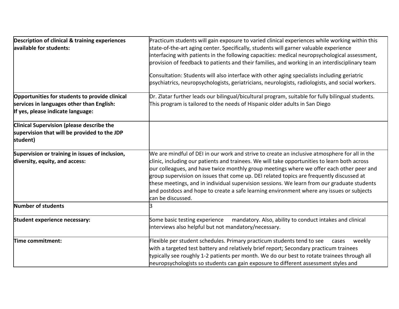| <b>Description of clinical &amp; training experiences</b>                                             | Practicum students will gain exposure to varied clinical experiences while working within this                                                                                                                                                                                                                                                                                                                                                                                                                                                                                                        |  |
|-------------------------------------------------------------------------------------------------------|-------------------------------------------------------------------------------------------------------------------------------------------------------------------------------------------------------------------------------------------------------------------------------------------------------------------------------------------------------------------------------------------------------------------------------------------------------------------------------------------------------------------------------------------------------------------------------------------------------|--|
| available for students:                                                                               | state-of-the-art aging center. Specifically, students will garner valuable experience                                                                                                                                                                                                                                                                                                                                                                                                                                                                                                                 |  |
|                                                                                                       | interfacing with patients in the following capacities: medical neuropsychological assessment,                                                                                                                                                                                                                                                                                                                                                                                                                                                                                                         |  |
|                                                                                                       | provision of feedback to patients and their families, and working in an interdisciplinary team                                                                                                                                                                                                                                                                                                                                                                                                                                                                                                        |  |
|                                                                                                       | Consultation: Students will also interface with other aging specialists including geriatric<br>psychiatrics, neuropsychologists, geriatricians, neurologists, radiologists, and social workers.                                                                                                                                                                                                                                                                                                                                                                                                       |  |
| Opportunities for students to provide clinical                                                        | Dr. Zlatar further leads our bilingual/bicultural program, suitable for fully bilingual students.                                                                                                                                                                                                                                                                                                                                                                                                                                                                                                     |  |
| services in languages other than English:                                                             | This program is tailored to the needs of Hispanic older adults in San Diego                                                                                                                                                                                                                                                                                                                                                                                                                                                                                                                           |  |
| If yes, please indicate language:                                                                     |                                                                                                                                                                                                                                                                                                                                                                                                                                                                                                                                                                                                       |  |
| Clinical Supervision (please describe the<br>supervision that will be provided to the JDP<br>student) |                                                                                                                                                                                                                                                                                                                                                                                                                                                                                                                                                                                                       |  |
| Supervision or training in issues of inclusion,<br>diversity, equity, and access:                     | We are mindful of DEI in our work and strive to create an inclusive atmosphere for all in the<br>clinic, including our patients and trainees. We will take opportunities to learn both across<br>our colleagues, and have twice monthly group meetings where we offer each other peer and<br>group supervision on issues that come up. DEI related topics are frequently discussed at<br>these meetings, and in individual supervision sessions. We learn from our graduate students<br>and postdocs and hope to create a safe learning environment where any issues or subjects<br>can be discussed. |  |
| Number of students                                                                                    |                                                                                                                                                                                                                                                                                                                                                                                                                                                                                                                                                                                                       |  |
| Student experience necessary:                                                                         | Some basic testing experience<br>mandatory. Also, ability to conduct intakes and clinical<br>interviews also helpful but not mandatory/necessary.                                                                                                                                                                                                                                                                                                                                                                                                                                                     |  |
| Time commitment:                                                                                      | Flexible per student schedules. Primary practicum students tend to see<br>weekly<br>cases<br>with a targeted test battery and relatively brief report; Secondary practicum trainees<br>typically see roughly 1-2 patients per month. We do our best to rotate trainees through all<br>neuropsychologists so students can gain exposure to different assessment styles and                                                                                                                                                                                                                             |  |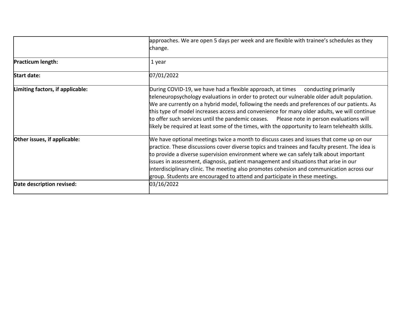|                                  | approaches. We are open 5 days per week and are flexible with trainee's schedules as they<br>change.                                                                                                                                                                                                                                                                                                                                                                                                                                                                           |
|----------------------------------|--------------------------------------------------------------------------------------------------------------------------------------------------------------------------------------------------------------------------------------------------------------------------------------------------------------------------------------------------------------------------------------------------------------------------------------------------------------------------------------------------------------------------------------------------------------------------------|
| <b>Practicum length:</b>         | 1 year                                                                                                                                                                                                                                                                                                                                                                                                                                                                                                                                                                         |
| <b>Start date:</b>               | 07/01/2022                                                                                                                                                                                                                                                                                                                                                                                                                                                                                                                                                                     |
| Limiting factors, if applicable: | During COVID-19, we have had a flexible approach, at times<br>conducting primarily<br>teleneuropsychology evaluations in order to protect our vulnerable older adult population.<br>We are currently on a hybrid model, following the needs and preferences of our patients. As<br>this type of model increases access and convenience for many older adults, we will continue<br>to offer such services until the pandemic ceases.  Please note in person evaluations will<br>likely be required at least some of the times, with the opportunity to learn telehealth skills. |
| Other issues, if applicable:     | We have optional meetings twice a month to discuss cases and issues that come up on our<br>practice. These discussions cover diverse topics and trainees and faculty present. The idea is<br>to provide a diverse supervision environment where we can safely talk about important<br>issues in assessment, diagnosis, patient management and situations that arise in our<br>interdisciplinary clinic. The meeting also promotes cohesion and communication across our<br>group. Students are encouraged to attend and participate in these meetings.                         |
| Date description revised:        | 03/16/2022                                                                                                                                                                                                                                                                                                                                                                                                                                                                                                                                                                     |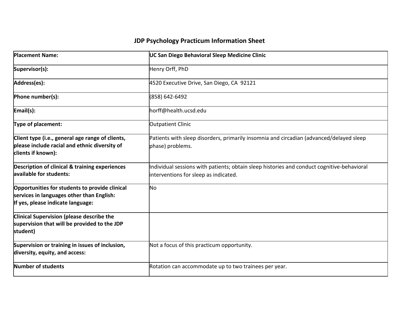| <b>Placement Name:</b>                                                                                                           | UC San Diego Behavioral Sleep Medicine Clinic                                                                                       |
|----------------------------------------------------------------------------------------------------------------------------------|-------------------------------------------------------------------------------------------------------------------------------------|
| Supervisor(s):                                                                                                                   | Henry Orff, PhD                                                                                                                     |
| Address(es):                                                                                                                     | 4520 Executive Drive, San Diego, CA 92121                                                                                           |
| Phone number(s):                                                                                                                 | (858) 642-6492                                                                                                                      |
| Email(s):                                                                                                                        | horff@health.ucsd.edu                                                                                                               |
| Type of placement:                                                                                                               | Outpatient Clinic                                                                                                                   |
| Client type (i.e., general age range of clients,<br>please include racial and ethnic diversity of<br>clients if known):          | Patients with sleep disorders, primarily insomnia and circadian (advanced/delayed sleep<br>phase) problems.                         |
| <b>Description of clinical &amp; training experiences</b><br>available for students:                                             | Individual sessions with patients; obtain sleep histories and conduct cognitive-behavioral<br>interventions for sleep as indicated. |
| Opportunities for students to provide clinical<br>services in languages other than English:<br>If yes, please indicate language: | <b>No</b>                                                                                                                           |
| Clinical Supervision (please describe the<br>supervision that will be provided to the JDP<br>student)                            |                                                                                                                                     |
| Supervision or training in issues of inclusion,<br>diversity, equity, and access:                                                | Not a focus of this practicum opportunity.                                                                                          |
| Number of students                                                                                                               | Rotation can accommodate up to two trainees per year.                                                                               |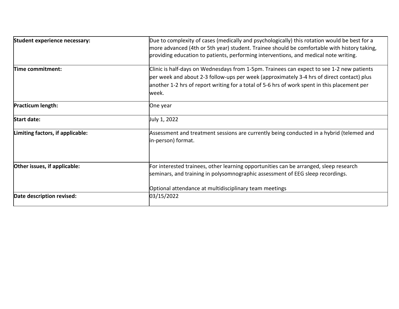| Student experience necessary:    | Due to complexity of cases (medically and psychologically) this rotation would be best for a<br>more advanced (4th or 5th year) student. Trainee should be comfortable with history taking,<br>providing education to patients, performing interventions, and medical note writing.             |
|----------------------------------|-------------------------------------------------------------------------------------------------------------------------------------------------------------------------------------------------------------------------------------------------------------------------------------------------|
| Time commitment:                 | Clinic is half-days on Wednesdays from 1-5pm. Trainees can expect to see 1-2 new patients<br>per week and about 2-3 follow-ups per week (approximately 3-4 hrs of direct contact) plus<br>another 1-2 hrs of report writing for a total of 5-6 hrs of work spent in this placement per<br>week. |
| Practicum length:                | One year                                                                                                                                                                                                                                                                                        |
| Start date:                      | July 1, 2022                                                                                                                                                                                                                                                                                    |
| Limiting factors, if applicable: | Assessment and treatment sessions are currently being conducted in a hybrid (telemed and<br>in-person) format.                                                                                                                                                                                  |
| Other issues, if applicable:     | For interested trainees, other learning opportunities can be arranged, sleep research<br>seminars, and training in polysomnographic assessment of EEG sleep recordings.<br>Optional attendance at multidisciplinary team meetings                                                               |
| Date description revised:        | 03/15/2022                                                                                                                                                                                                                                                                                      |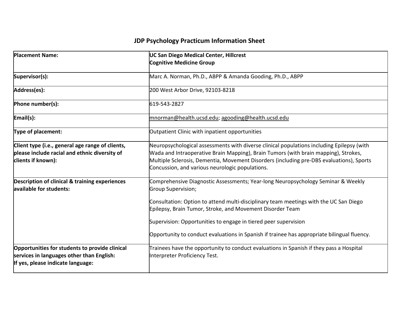| <b>Placement Name:</b>                                                                                                           | <b>UC San Diego Medical Center, Hillcrest</b><br><b>Cognitive Medicine Group</b>                                                                                                                                                                                                                                                                                                                                               |
|----------------------------------------------------------------------------------------------------------------------------------|--------------------------------------------------------------------------------------------------------------------------------------------------------------------------------------------------------------------------------------------------------------------------------------------------------------------------------------------------------------------------------------------------------------------------------|
| Supervisor(s):                                                                                                                   | Marc A. Norman, Ph.D., ABPP & Amanda Gooding, Ph.D., ABPP                                                                                                                                                                                                                                                                                                                                                                      |
| Address(es):                                                                                                                     | 200 West Arbor Drive, 92103-8218                                                                                                                                                                                                                                                                                                                                                                                               |
| Phone number(s):                                                                                                                 | 619-543-2827                                                                                                                                                                                                                                                                                                                                                                                                                   |
| Email(s):                                                                                                                        | mnorman@health.ucsd.edu; agooding@health.ucsd.edu                                                                                                                                                                                                                                                                                                                                                                              |
| Type of placement:                                                                                                               | Outpatient Clinic with inpatient opportunities                                                                                                                                                                                                                                                                                                                                                                                 |
| Client type (i.e., general age range of clients,<br>please include racial and ethnic diversity of<br>clients if known):          | Neuropsychological assessments with diverse clinical populations including Epilepsy (with<br>Wada and Intraoperative Brain Mapping), Brain Tumors (with brain mapping), Strokes,<br>Multiple Sclerosis, Dementia, Movement Disorders (including pre-DBS evaluations), Sports<br>Concussion, and various neurologic populations.                                                                                                |
| <b>Description of clinical &amp; training experiences</b><br>available for students:                                             | Comprehensive Diagnostic Assessments; Year-long Neuropsychology Seminar & Weekly<br>Group Supervision;<br>Consultation: Option to attend multi-disciplinary team meetings with the UC San Diego<br>Epilepsy, Brain Tumor, Stroke, and Movement Disorder Team<br>Supervision: Opportunities to engage in tiered peer supervision<br>Opportunity to conduct evaluations in Spanish if trainee has appropriate bilingual fluency. |
| Opportunities for students to provide clinical<br>services in languages other than English:<br>If yes, please indicate language: | Trainees have the opportunity to conduct evaluations in Spanish if they pass a Hospital<br>Interpreter Proficiency Test.                                                                                                                                                                                                                                                                                                       |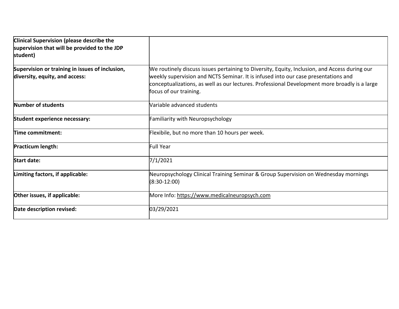| <b>Clinical Supervision (please describe the</b><br>supervision that will be provided to the JDP<br>student) |                                                                                                                                                                                                                                                                                                                |
|--------------------------------------------------------------------------------------------------------------|----------------------------------------------------------------------------------------------------------------------------------------------------------------------------------------------------------------------------------------------------------------------------------------------------------------|
| Supervision or training in issues of inclusion,<br>diversity, equity, and access:                            | We routinely discuss issues pertaining to Diversity, Equity, Inclusion, and Access during our<br>weekly supervision and NCTS Seminar. It is infused into our case presentations and<br>conceptualizations, as well as our lectures. Professional Development more broadly is a large<br>focus of our training. |
| Number of students                                                                                           | Variable advanced students                                                                                                                                                                                                                                                                                     |
| Student experience necessary:                                                                                | Familiarity with Neuropsychology                                                                                                                                                                                                                                                                               |
| Time commitment:                                                                                             | Flexibile, but no more than 10 hours per week.                                                                                                                                                                                                                                                                 |
| <b>Practicum length:</b>                                                                                     | <b>Full Year</b>                                                                                                                                                                                                                                                                                               |
| <b>Start date:</b>                                                                                           | 7/1/2021                                                                                                                                                                                                                                                                                                       |
| Limiting factors, if applicable:                                                                             | Neuropsychology Clinical Training Seminar & Group Supervision on Wednesday mornings<br>$(8:30-12:00)$                                                                                                                                                                                                          |
| Other issues, if applicable:                                                                                 | More Info: https://www.medicalneuropsych.com                                                                                                                                                                                                                                                                   |
| Date description revised:                                                                                    | 03/29/2021                                                                                                                                                                                                                                                                                                     |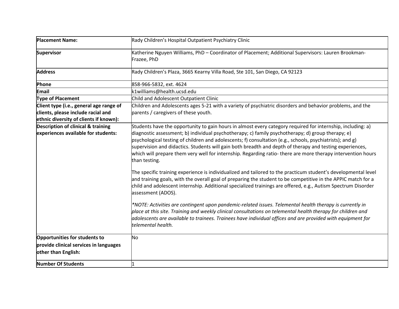| <b>Placement Name:</b>                                                                                                  | Rady Children's Hospital Outpatient Psychiatry Clinic                                                                                                                                                                                                                                                                                                                                                                                                                                                                                                                                                                                                                                                                                   |
|-------------------------------------------------------------------------------------------------------------------------|-----------------------------------------------------------------------------------------------------------------------------------------------------------------------------------------------------------------------------------------------------------------------------------------------------------------------------------------------------------------------------------------------------------------------------------------------------------------------------------------------------------------------------------------------------------------------------------------------------------------------------------------------------------------------------------------------------------------------------------------|
| <b>Supervisor</b>                                                                                                       | Katherine Nguyen Williams, PhD - Coordinator of Placement; Additional Supervisors: Lauren Brookman-<br>Frazee, PhD                                                                                                                                                                                                                                                                                                                                                                                                                                                                                                                                                                                                                      |
| <b>Address</b>                                                                                                          | Rady Children's Plaza, 3665 Kearny Villa Road, Ste 101, San Diego, CA 92123                                                                                                                                                                                                                                                                                                                                                                                                                                                                                                                                                                                                                                                             |
| Phone                                                                                                                   | 858-966-5832, ext. 4624                                                                                                                                                                                                                                                                                                                                                                                                                                                                                                                                                                                                                                                                                                                 |
| <b>Email</b>                                                                                                            | k1williams@health.ucsd.edu                                                                                                                                                                                                                                                                                                                                                                                                                                                                                                                                                                                                                                                                                                              |
| <b>Type of Placement</b>                                                                                                | Child and Adolescent Outpatient Clinic                                                                                                                                                                                                                                                                                                                                                                                                                                                                                                                                                                                                                                                                                                  |
| Client type (i.e., general age range of<br>clients, please include racial and<br>ethnic diversity of clients if known): | Children and Adolescents ages 5-21 with a variety of psychiatric disorders and behavior problems, and the<br>parents / caregivers of these youth.                                                                                                                                                                                                                                                                                                                                                                                                                                                                                                                                                                                       |
| Description of clinical & training<br>experiences available for students:                                               | [Students have the opportunity to gain hours in almost every category required for internship, including: a)<br>diagnostic assessment; b) individual psychotherapy; c) family psychotherapy; d) group therapy; e)<br>psychological testing of children and adolescents; f) consultation (e.g., schools, psychiatrists); and g)<br>supervision and didactics. Students will gain both breadth and depth of therapy and testing experiences,<br>which will prepare them very well for internship. Regarding ratio- there are more therapy intervention hours<br>than testing.                                                                                                                                                             |
|                                                                                                                         | The specific training experience is individualized and tailored to the practicum student's developmental level<br>and training goals, with the overall goal of preparing the student to be competitive in the APPIC match for a<br>child and adolescent internship. Additional specialized trainings are offered, e.g., Autism Spectrum Disorder<br>assessment (ADOS).<br>*NOTE: Activities are contingent upon pandemic-related issues. Telemental health therapy is currently in<br>place at this site. Training and weekly clinical consultations on telemental health therapy for children and<br>adolescents are available to trainees. Trainees have individual offices and are provided with equipment for<br>telemental health. |
|                                                                                                                         |                                                                                                                                                                                                                                                                                                                                                                                                                                                                                                                                                                                                                                                                                                                                         |
| Opportunities for students to                                                                                           | No                                                                                                                                                                                                                                                                                                                                                                                                                                                                                                                                                                                                                                                                                                                                      |
| provide clinical services in languages<br>other than English:                                                           |                                                                                                                                                                                                                                                                                                                                                                                                                                                                                                                                                                                                                                                                                                                                         |
| <b>Number Of Students</b>                                                                                               |                                                                                                                                                                                                                                                                                                                                                                                                                                                                                                                                                                                                                                                                                                                                         |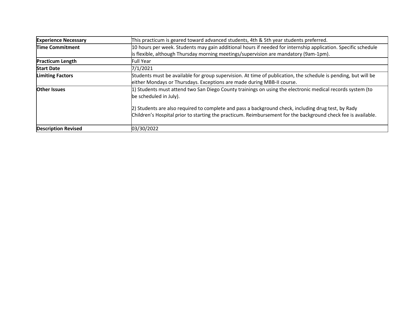| <b>Experience Necessary</b> | This practicum is geared toward advanced students, 4th & 5th year students preferred.                                                                                                                                |
|-----------------------------|----------------------------------------------------------------------------------------------------------------------------------------------------------------------------------------------------------------------|
| <b>Time Commitment</b>      | 10 hours per week. Students may gain additional hours if needed for internship application. Specific schedule                                                                                                        |
|                             | is flexible, although Thursday morning meetings/supervision are mandatory (9am-1pm).                                                                                                                                 |
| <b>Practicum Length</b>     | <b>Full Year</b>                                                                                                                                                                                                     |
| <b>Start Date</b>           | 7/1/2021                                                                                                                                                                                                             |
| <b>Limiting Factors</b>     | Students must be available for group supervision. At time of publication, the schedule is pending, but will be<br>either Mondays or Thursdays. Exceptions are made during MBB-II course.                             |
| <b>Other Issues</b>         | 1) Students must attend two San Diego County trainings on using the electronic medical records system (to<br>be scheduled in July).                                                                                  |
|                             | 2) Students are also required to complete and pass a background check, including drug test, by Rady<br>Children's Hospital prior to starting the practicum. Reimbursement for the background check fee is available. |
| <b>Description Revised</b>  | 03/30/2022                                                                                                                                                                                                           |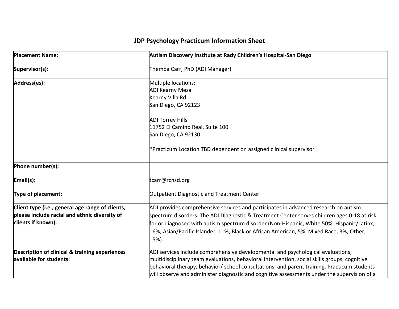| <b>Placement Name:</b>                                                                                                  | Autism Discovery Institute at Rady Children's Hospital-San Diego                                                                                                                                                                                                                                                                                                                    |
|-------------------------------------------------------------------------------------------------------------------------|-------------------------------------------------------------------------------------------------------------------------------------------------------------------------------------------------------------------------------------------------------------------------------------------------------------------------------------------------------------------------------------|
| Supervisor(s):                                                                                                          | Themba Carr, PhD (ADI Manager)                                                                                                                                                                                                                                                                                                                                                      |
| Address(es):                                                                                                            | Multiple locations:<br><b>ADI Kearny Mesa</b><br>Kearny Villa Rd<br>San Diego, CA 92123<br><b>ADI Torrey Hills</b><br>11752 El Camino Real, Suite 100<br>San Diego, CA 92130<br>*Practicum Location TBD dependent on assigned clinical supervisor                                                                                                                                   |
| Phone number(s):                                                                                                        |                                                                                                                                                                                                                                                                                                                                                                                     |
| Email(s):                                                                                                               | tcarr@rchsd.org                                                                                                                                                                                                                                                                                                                                                                     |
| Type of placement:                                                                                                      | Outpatient Diagnostic and Treatment Center                                                                                                                                                                                                                                                                                                                                          |
| Client type (i.e., general age range of clients,<br>please include racial and ethnic diversity of<br>clients if known): | ADI provides comprehensive services and participates in advanced research on autism<br>spectrum disorders. The ADI Diagnostic & Treatment Center serves children ages 0-18 at risk<br>for or diagnosed with autism spectrum disorder (Non-Hispanic, White 50%; Hispanic/Latinx,<br>16%; Asian/Pacific Islander, 11%; Black or African American, 5%; Mixed Race, 3%; Other,<br>15%). |
| <b>Description of clinical &amp; training experiences</b><br>available for students:                                    | ADI services include comprehensive developmental and psychological evaluations,<br>multidisciplinary team evaluations, behavioral intervention, social skills groups, cognitive<br>behavioral therapy, behavior/ school consultations, and parent training. Practicum students<br>will observe and administer diagnostic and cognitive assessments under the supervision of a       |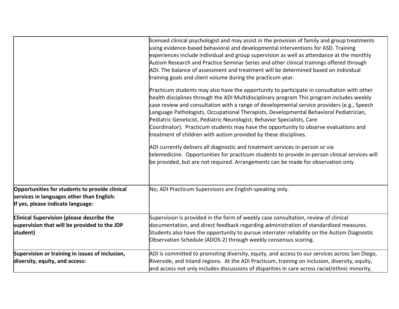|                                                                                                                                  | licensed clinical psychologist and may assist in the provision of family and group treatments<br>using evidence-based behavioral and developmental interventions for ASD. Training<br>experiences include individual and group supervision as well as attendance at the monthly<br>Autism Research and Practice Seminar Series and other clinical trainings offered through<br>ADI. The balance of assessment and treatment will be determined based on individual<br>training goals and client volume during the practicum year.                                                                                                                                                                                                                                                                                                                                                              |
|----------------------------------------------------------------------------------------------------------------------------------|------------------------------------------------------------------------------------------------------------------------------------------------------------------------------------------------------------------------------------------------------------------------------------------------------------------------------------------------------------------------------------------------------------------------------------------------------------------------------------------------------------------------------------------------------------------------------------------------------------------------------------------------------------------------------------------------------------------------------------------------------------------------------------------------------------------------------------------------------------------------------------------------|
|                                                                                                                                  | Practicum students may also have the opportunity to participate in consultation with other<br>health disciplines through the ADI Multidisciplinary program This program includes weekly<br>case review and consultation with a range of developmental service providers (e.g., Speech<br>Language Pathologists, Occupational Therapists, Developmental Behavioral Pediatrician,<br>Pediatric Geneticist, Pediatric Neurologist, Behavior Specialists, Care<br>Coordinator). Practicum students may have the opportunity to observe evaluations and<br>treatment of children with autism provided by these disciplines.<br>ADI currently delivers all diagnostic and treatment services in-person or via<br>telemedicine. Opportunities for practicum students to provide in-person clinical services will<br>be provided, but are not required. Arrangements can be made for observation only. |
| Opportunities for students to provide clinical<br>services in languages other than English:<br>If yes, please indicate language: | No; ADI Practicum Supervisors are English-speaking only.                                                                                                                                                                                                                                                                                                                                                                                                                                                                                                                                                                                                                                                                                                                                                                                                                                       |
| <b>Clinical Supervision (please describe the</b><br>supervision that will be provided to the JDP<br>student)                     | Supervision is provided in the form of weekly case consultation, review of clinical<br>documentation, and direct feedback regarding administration of standardized measures.<br>Students also have the opportunity to pursue interrater reliability on the Autism Diagnostic<br>Observation Schedule (ADOS-2) through weekly consensus scoring.                                                                                                                                                                                                                                                                                                                                                                                                                                                                                                                                                |
| Supervision or training in issues of inclusion,<br>diversity, equity, and access:                                                | ADI is committed to promoting diversity, equity, and access to our services across San Diego,<br>Riverside, and Inland regions. At the ADI Practicum, training on inclusion, diversity, equity,<br>and access not only includes discussions of disparities in care across racial/ethnic minority,                                                                                                                                                                                                                                                                                                                                                                                                                                                                                                                                                                                              |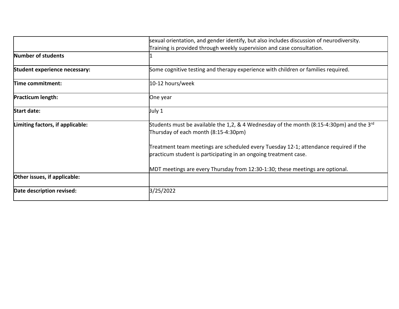|                                  | sexual orientation, and gender identify, but also includes discussion of neurodiversity.                                                                 |
|----------------------------------|----------------------------------------------------------------------------------------------------------------------------------------------------------|
|                                  | Training is provided through weekly supervision and case consultation.                                                                                   |
| Number of students               |                                                                                                                                                          |
| Student experience necessary:    | Some cognitive testing and therapy experience with children or families required.                                                                        |
| Time commitment:                 | 10-12 hours/week                                                                                                                                         |
| Practicum length:                | One year                                                                                                                                                 |
| <b>Start date:</b>               | July 1                                                                                                                                                   |
| Limiting factors, if applicable: | Students must be available the 1,2, & 4 Wednesday of the month (8:15-4:30pm) and the 3 <sup>rd</sup><br>Thursday of each month (8:15-4:30pm)             |
|                                  | Treatment team meetings are scheduled every Tuesday 12-1; attendance required if the<br>practicum student is participating in an ongoing treatment case. |
|                                  | MDT meetings are every Thursday from 12:30-1:30; these meetings are optional.                                                                            |
| Other issues, if applicable:     |                                                                                                                                                          |
| Date description revised:        | 3/25/2022                                                                                                                                                |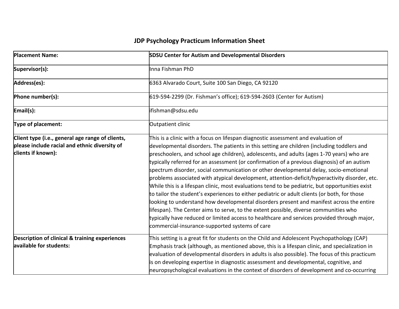| <b>Placement Name:</b>                                                                                                  | <b>SDSU Center for Autism and Developmental Disorders</b>                                                                                                                                                                                                                                                                                                                                                                                                                                                                                                                                                                                                                                                                                                                                                                                                                                                                                                                                                                                                                                                     |
|-------------------------------------------------------------------------------------------------------------------------|---------------------------------------------------------------------------------------------------------------------------------------------------------------------------------------------------------------------------------------------------------------------------------------------------------------------------------------------------------------------------------------------------------------------------------------------------------------------------------------------------------------------------------------------------------------------------------------------------------------------------------------------------------------------------------------------------------------------------------------------------------------------------------------------------------------------------------------------------------------------------------------------------------------------------------------------------------------------------------------------------------------------------------------------------------------------------------------------------------------|
| Supervisor(s):                                                                                                          | lınna Fishman PhD                                                                                                                                                                                                                                                                                                                                                                                                                                                                                                                                                                                                                                                                                                                                                                                                                                                                                                                                                                                                                                                                                             |
| Address(es):                                                                                                            | 6363 Alvarado Court, Suite 100 San Diego, CA 92120                                                                                                                                                                                                                                                                                                                                                                                                                                                                                                                                                                                                                                                                                                                                                                                                                                                                                                                                                                                                                                                            |
| Phone number(s):                                                                                                        | 619-594-2299 (Dr. Fishman's office); 619-594-2603 (Center for Autism)                                                                                                                                                                                                                                                                                                                                                                                                                                                                                                                                                                                                                                                                                                                                                                                                                                                                                                                                                                                                                                         |
| Email(s):                                                                                                               | ifishman@sdsu.edu                                                                                                                                                                                                                                                                                                                                                                                                                                                                                                                                                                                                                                                                                                                                                                                                                                                                                                                                                                                                                                                                                             |
| Type of placement:                                                                                                      | Outpatient clinic                                                                                                                                                                                                                                                                                                                                                                                                                                                                                                                                                                                                                                                                                                                                                                                                                                                                                                                                                                                                                                                                                             |
| Client type (i.e., general age range of clients,<br>please include racial and ethnic diversity of<br>clients if known): | This is a clinic with a focus on lifespan diagnostic assessment and evaluation of<br>developmental disorders. The patients in this setting are children (including toddlers and<br>preschoolers, and school age children), adolescents, and adults (ages 1-70 years) who are<br>typically referred for an assessment (or confirmation of a previous diagnosis) of an autism<br>spectrum disorder, social communication or other developmental delay, socio-emotional<br>problems associated with atypical development, attention-deficit/hyperactivity disorder, etc.<br>While this is a lifespan clinic, most evaluations tend to be pediatric, but opportunities exist<br>to tailor the student's experiences to either pediatric or adult clients (or both, for those<br>looking to understand how developmental disorders present and manifest across the entire<br>lifespan). The Center aims to serve, to the extent possible, diverse communities who<br>typically have reduced or limited access to healthcare and services provided through major,<br>commercial-insurance-supported systems of care |
| Description of clinical & training experiences<br>available for students:                                               | This setting is a great fit for students on the Child and Adolescent Psychopathology (CAP)<br>Emphasis track (although, as mentioned above, this is a lifespan clinic, and specialization in<br>evaluation of developmental disorders in adults is also possible). The focus of this practicum<br>is on developing expertise in diagnostic assessment and developmental, cognitive, and<br>neuropsychological evaluations in the context of disorders of development and co-occurring                                                                                                                                                                                                                                                                                                                                                                                                                                                                                                                                                                                                                         |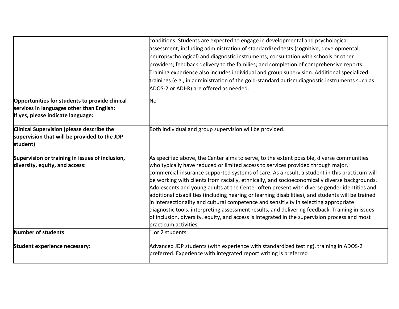|                                                                                                                                  | conditions. Students are expected to engage in developmental and psychological<br>assessment, including administration of standardized tests (cognitive, developmental,<br>neuropsychological) and diagnostic instruments; consultation with schools or other<br>providers; feedback delivery to the families; and completion of comprehensive reports.<br>Training experience also includes individual and group supervision. Additional specialized<br>trainings (e.g., in administration of the gold-standard autism diagnostic instruments such as                                                                                                                                                                                                                                                                                                                                                    |
|----------------------------------------------------------------------------------------------------------------------------------|-----------------------------------------------------------------------------------------------------------------------------------------------------------------------------------------------------------------------------------------------------------------------------------------------------------------------------------------------------------------------------------------------------------------------------------------------------------------------------------------------------------------------------------------------------------------------------------------------------------------------------------------------------------------------------------------------------------------------------------------------------------------------------------------------------------------------------------------------------------------------------------------------------------|
|                                                                                                                                  | ADOS-2 or ADI-R) are offered as needed.                                                                                                                                                                                                                                                                                                                                                                                                                                                                                                                                                                                                                                                                                                                                                                                                                                                                   |
| Opportunities for students to provide clinical<br>services in languages other than English:<br>If yes, please indicate language: | No                                                                                                                                                                                                                                                                                                                                                                                                                                                                                                                                                                                                                                                                                                                                                                                                                                                                                                        |
| <b>Clinical Supervision (please describe the</b><br>supervision that will be provided to the JDP<br>student)                     | Both individual and group supervision will be provided.                                                                                                                                                                                                                                                                                                                                                                                                                                                                                                                                                                                                                                                                                                                                                                                                                                                   |
| Supervision or training in issues of inclusion,<br>diversity, equity, and access:                                                | As specified above, the Center aims to serve, to the extent possible, diverse communities<br>who typically have reduced or limited access to services provided through major,<br>commercial-insurance supported systems of care. As a result, a student in this practicum will<br>be working with clients from racially, ethnically, and socioeconomically diverse backgrounds.<br>Adolescents and young adults at the Center often present with diverse gender identities and<br>additional disabilities (including hearing or learning disabilities), and students will be trained<br>in intersectionality and cultural competence and sensitivity in selecting appropriate<br>diagnostic tools, interpreting assessment results, and delivering feedback. Training in issues<br>of inclusion, diversity, equity, and access is integrated in the supervision process and most<br>practicum activities. |
| Number of students                                                                                                               | 1 or 2 students                                                                                                                                                                                                                                                                                                                                                                                                                                                                                                                                                                                                                                                                                                                                                                                                                                                                                           |
| Student experience necessary:                                                                                                    | Advanced JDP students (with experience with standardized testing), training in ADOS-2<br>preferred. Experience with integrated report writing is preferred                                                                                                                                                                                                                                                                                                                                                                                                                                                                                                                                                                                                                                                                                                                                                |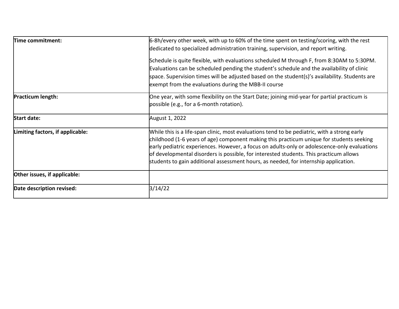| Time commitment:                 | 6-8h/every other week, with up to 60% of the time spent on testing/scoring, with the rest                                                                                                                                                                                                                                                                                                                                                                                  |
|----------------------------------|----------------------------------------------------------------------------------------------------------------------------------------------------------------------------------------------------------------------------------------------------------------------------------------------------------------------------------------------------------------------------------------------------------------------------------------------------------------------------|
|                                  | dedicated to specialized administration training, supervision, and report writing.                                                                                                                                                                                                                                                                                                                                                                                         |
|                                  | Schedule is quite flexible, with evaluations scheduled M through F, from 8:30AM to 5:30PM.                                                                                                                                                                                                                                                                                                                                                                                 |
|                                  | Evaluations can be scheduled pending the student's schedule and the availability of clinic                                                                                                                                                                                                                                                                                                                                                                                 |
|                                  | space. Supervision times will be adjusted based on the student(s)'s availability. Students are                                                                                                                                                                                                                                                                                                                                                                             |
|                                  | exempt from the evaluations during the MBB-II course                                                                                                                                                                                                                                                                                                                                                                                                                       |
| <b>Practicum length:</b>         | One year, with some flexibility on the Start Date; joining mid-year for partial practicum is<br>possible (e.g., for a 6-month rotation).                                                                                                                                                                                                                                                                                                                                   |
| <b>Start date:</b>               | August 1, 2022                                                                                                                                                                                                                                                                                                                                                                                                                                                             |
| Limiting factors, if applicable: | While this is a life-span clinic, most evaluations tend to be pediatric, with a strong early<br>childhood (1-6 years of age) component making this practicum unique for students seeking<br>early pediatric experiences. However, a focus on adults-only or adolescence-only evaluations<br>of developmental disorders is possible, for interested students. This practicum allows<br>students to gain additional assessment hours, as needed, for internship application. |
| Other issues, if applicable:     |                                                                                                                                                                                                                                                                                                                                                                                                                                                                            |
| Date description revised:        | 3/14/22                                                                                                                                                                                                                                                                                                                                                                                                                                                                    |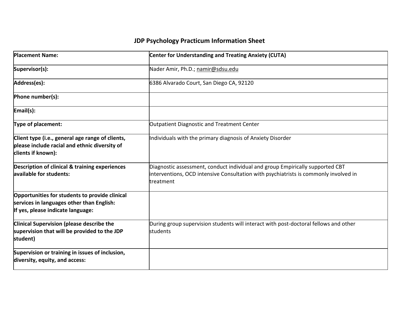| <b>Placement Name:</b>                                                                                                           | <b>Center for Understanding and Treating Anxiety (CUTA)</b>                                                                                                                        |
|----------------------------------------------------------------------------------------------------------------------------------|------------------------------------------------------------------------------------------------------------------------------------------------------------------------------------|
| Supervisor(s):                                                                                                                   | Nader Amir, Ph.D.; namir@sdsu.edu                                                                                                                                                  |
| Address(es):                                                                                                                     | 6386 Alvarado Court, San Diego CA, 92120                                                                                                                                           |
| Phone number(s):                                                                                                                 |                                                                                                                                                                                    |
| Email(s):                                                                                                                        |                                                                                                                                                                                    |
| Type of placement:                                                                                                               | Outpatient Diagnostic and Treatment Center                                                                                                                                         |
| Client type (i.e., general age range of clients,<br>please include racial and ethnic diversity of<br>clients if known):          | Individuals with the primary diagnosis of Anxiety Disorder                                                                                                                         |
| Description of clinical & training experiences<br>available for students:                                                        | Diagnostic assessment, conduct individual and group Empirically supported CBT<br>interventions, OCD intensive Consultation with psychiatrists is commonly involved in<br>treatment |
| Opportunities for students to provide clinical<br>services in languages other than English:<br>If yes, please indicate language: |                                                                                                                                                                                    |
| <b>Clinical Supervision (please describe the</b><br>supervision that will be provided to the JDP<br>student)                     | During group supervision students will interact with post-doctoral fellows and other<br>students                                                                                   |
| Supervision or training in issues of inclusion,<br>diversity, equity, and access:                                                |                                                                                                                                                                                    |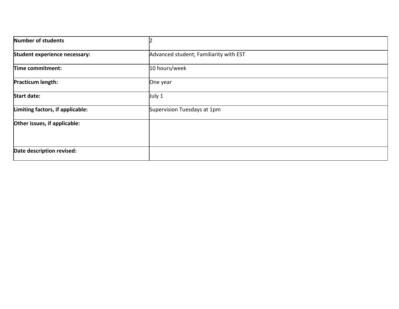| Number of students               |                                        |  |
|----------------------------------|----------------------------------------|--|
| Student experience necessary:    | Advanced student; Familiarity with EST |  |
| Time commitment:                 | 10 hours/week                          |  |
| Practicum length:                | One year                               |  |
| <b>Start date:</b>               | July 1                                 |  |
| Limiting factors, if applicable: | Supervision Tuesdays at 1pm            |  |
| Other issues, if applicable:     |                                        |  |
| Date description revised:        |                                        |  |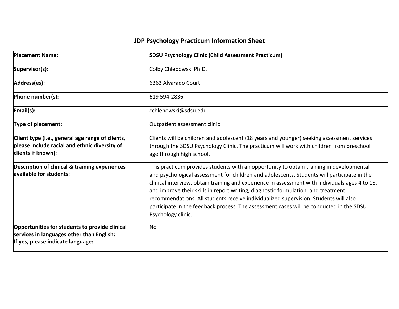| <b>Placement Name:</b>                                                                                                           | <b>SDSU Psychology Clinic (Child Assessment Practicum)</b>                                                                                                                                                                                                                                                                                                                                                                                                                                                                                                                               |
|----------------------------------------------------------------------------------------------------------------------------------|------------------------------------------------------------------------------------------------------------------------------------------------------------------------------------------------------------------------------------------------------------------------------------------------------------------------------------------------------------------------------------------------------------------------------------------------------------------------------------------------------------------------------------------------------------------------------------------|
| Supervisor(s):                                                                                                                   | Colby Chlebowski Ph.D.                                                                                                                                                                                                                                                                                                                                                                                                                                                                                                                                                                   |
| Address(es):                                                                                                                     | 6363 Alvarado Court                                                                                                                                                                                                                                                                                                                                                                                                                                                                                                                                                                      |
| Phone number(s):                                                                                                                 | 619 594-2836                                                                                                                                                                                                                                                                                                                                                                                                                                                                                                                                                                             |
| Email(s):                                                                                                                        | cchlebowski@sdsu.edu                                                                                                                                                                                                                                                                                                                                                                                                                                                                                                                                                                     |
| Type of placement:                                                                                                               | Outpatient assessment clinic                                                                                                                                                                                                                                                                                                                                                                                                                                                                                                                                                             |
| Client type (i.e., general age range of clients,<br>please include racial and ethnic diversity of<br>clients if known):          | Clients will be children and adolescent (18 years and younger) seeking assessment services<br>through the SDSU Psychology Clinic. The practicum will work with children from preschool<br>age through high school.                                                                                                                                                                                                                                                                                                                                                                       |
| Description of clinical & training experiences<br>available for students:                                                        | This practicum provides students with an opportunity to obtain training in developmental<br>and psychological assessment for children and adolescents. Students will participate in the<br>clinical interview, obtain training and experience in assessment with individuals ages 4 to 18,<br>and improve their skills in report writing, diagnostic formulation, and treatment<br>recommendations. All students receive individualized supervision. Students will also<br>participate in the feedback process. The assessment cases will be conducted in the SDSU<br>Psychology clinic. |
| Opportunities for students to provide clinical<br>services in languages other than English:<br>If yes, please indicate language: | No                                                                                                                                                                                                                                                                                                                                                                                                                                                                                                                                                                                       |